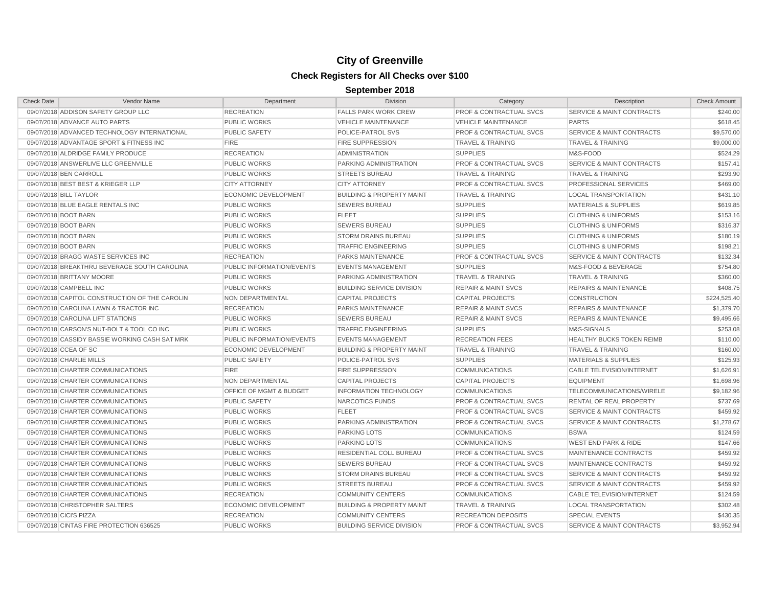| <b>Check Date</b>       | <b>Vendor Name</b>                             | Department                  | <b>Division</b>                      | Category                           | Description                          | <b>Check Amount</b> |
|-------------------------|------------------------------------------------|-----------------------------|--------------------------------------|------------------------------------|--------------------------------------|---------------------|
|                         | 09/07/2018 ADDISON SAFETY GROUP LLC            | <b>RECREATION</b>           | <b>FALLS PARK WORK CREW</b>          | <b>PROF &amp; CONTRACTUAL SVCS</b> | <b>SERVICE &amp; MAINT CONTRACTS</b> | \$240.00            |
|                         | 09/07/2018 ADVANCE AUTO PARTS                  | <b>PUBLIC WORKS</b>         | <b>VEHICLE MAINTENANCE</b>           | <b>VEHICLE MAINTENANCE</b>         | <b>PARTS</b>                         | \$618.45            |
|                         | 09/07/2018 ADVANCED TECHNOLOGY INTERNATIONAL   | <b>PUBLIC SAFETY</b>        | POLICE-PATROL SVS                    | <b>PROF &amp; CONTRACTUAL SVCS</b> | <b>SERVICE &amp; MAINT CONTRACTS</b> | \$9,570.00          |
|                         | 09/07/2018 ADVANTAGE SPORT & FITNESS INC       | <b>FIRE</b>                 | <b>FIRE SUPPRESSION</b>              | <b>TRAVEL &amp; TRAINING</b>       | <b>TRAVEL &amp; TRAINING</b>         | \$9,000.00          |
|                         | 09/07/2018 ALDRIDGE FAMILY PRODUCE             | <b>RECREATION</b>           | <b>ADMINISTRATION</b>                | <b>SUPPLIES</b>                    | M&S-FOOD                             | \$524.29            |
|                         | 09/07/2018 ANSWERLIVE LLC GREENVILLE           | <b>PUBLIC WORKS</b>         | PARKING ADMINISTRATION               | <b>PROF &amp; CONTRACTUAL SVCS</b> | <b>SERVICE &amp; MAINT CONTRACTS</b> | \$157.41            |
|                         | 09/07/2018 BEN CARROLL                         | <b>PUBLIC WORKS</b>         | <b>STREETS BUREAU</b>                | <b>TRAVEL &amp; TRAINING</b>       | <b>TRAVEL &amp; TRAINING</b>         | \$293.90            |
|                         | 09/07/2018 BEST BEST & KRIEGER LLP             | <b>CITY ATTORNEY</b>        | <b>CITY ATTORNEY</b>                 | <b>PROF &amp; CONTRACTUAL SVCS</b> | PROFESSIONAL SERVICES                | \$469.00            |
|                         | 09/07/2018 BILL TAYLOR                         | <b>ECONOMIC DEVELOPMENT</b> | <b>BUILDING &amp; PROPERTY MAINT</b> | <b>TRAVEL &amp; TRAINING</b>       | <b>LOCAL TRANSPORTATION</b>          | \$431.10            |
|                         | 09/07/2018 BLUE EAGLE RENTALS INC              | <b>PUBLIC WORKS</b>         | <b>SEWERS BUREAU</b>                 | <b>SUPPLIES</b>                    | <b>MATERIALS &amp; SUPPLIES</b>      | \$619.85            |
| 09/07/2018 BOOT BARN    |                                                | <b>PUBLIC WORKS</b>         | <b>FLEET</b>                         | <b>SUPPLIES</b>                    | <b>CLOTHING &amp; UNIFORMS</b>       | \$153.16            |
| 09/07/2018 BOOT BARN    |                                                | <b>PUBLIC WORKS</b>         | <b>SEWERS BUREAU</b>                 | <b>SUPPLIES</b>                    | <b>CLOTHING &amp; UNIFORMS</b>       | \$316.37            |
| 09/07/2018 BOOT BARN    |                                                | <b>PUBLIC WORKS</b>         | <b>STORM DRAINS BUREAU</b>           | <b>SUPPLIES</b>                    | <b>CLOTHING &amp; UNIFORMS</b>       | \$180.19            |
| 09/07/2018 BOOT BARN    |                                                | <b>PUBLIC WORKS</b>         | <b>TRAFFIC ENGINEERING</b>           | <b>SUPPLIES</b>                    | <b>CLOTHING &amp; UNIFORMS</b>       | \$198.21            |
|                         | 09/07/2018 BRAGG WASTE SERVICES INC            | <b>RECREATION</b>           | <b>PARKS MAINTENANCE</b>             | <b>PROF &amp; CONTRACTUAL SVCS</b> | <b>SERVICE &amp; MAINT CONTRACTS</b> | \$132.34            |
|                         | 09/07/2018 BREAKTHRU BEVERAGE SOUTH CAROLINA   | PUBLIC INFORMATION/EVENTS   | <b>EVENTS MANAGEMENT</b>             | <b>SUPPLIES</b>                    | M&S-FOOD & BEVERAGE                  | \$754.80            |
|                         | 09/07/2018 BRITTANY MOORE                      | <b>PUBLIC WORKS</b>         | PARKING ADMINISTRATION               | <b>TRAVEL &amp; TRAINING</b>       | <b>TRAVEL &amp; TRAINING</b>         | \$360.00            |
|                         | 09/07/2018 CAMPBELL INC                        | <b>PUBLIC WORKS</b>         | <b>BUILDING SERVICE DIVISION</b>     | <b>REPAIR &amp; MAINT SVCS</b>     | <b>REPAIRS &amp; MAINTENANCE</b>     | \$408.75            |
|                         | 09/07/2018 CAPITOL CONSTRUCTION OF THE CAROLIN | NON DEPARTMENTAL            | <b>CAPITAL PROJECTS</b>              | <b>CAPITAL PROJECTS</b>            | <b>CONSTRUCTION</b>                  | \$224,525.40        |
|                         | 09/07/2018 CAROLINA LAWN & TRACTOR INC         | <b>RECREATION</b>           | PARKS MAINTENANCE                    | <b>REPAIR &amp; MAINT SVCS</b>     | <b>REPAIRS &amp; MAINTENANCE</b>     | \$1,379.70          |
|                         | 09/07/2018 CAROLINA LIFT STATIONS              | <b>PUBLIC WORKS</b>         | <b>SEWERS BUREAU</b>                 | <b>REPAIR &amp; MAINT SVCS</b>     | <b>REPAIRS &amp; MAINTENANCE</b>     | \$9,495.66          |
|                         | 09/07/2018 CARSON'S NUT-BOLT & TOOL CO INC     | <b>PUBLIC WORKS</b>         | <b>TRAFFIC ENGINEERING</b>           | <b>SUPPLIES</b>                    | M&S-SIGNALS                          | \$253.08            |
|                         | 09/07/2018 CASSIDY BASSIE WORKING CASH SAT MRK | PUBLIC INFORMATION/EVENTS   | <b>EVENTS MANAGEMENT</b>             | <b>RECREATION FEES</b>             | HEALTHY BUCKS TOKEN REIMB            | \$110.00            |
|                         | 09/07/2018 CCEA OF SC                          | <b>ECONOMIC DEVELOPMENT</b> | <b>BUILDING &amp; PROPERTY MAINT</b> | <b>TRAVEL &amp; TRAINING</b>       | <b>TRAVEL &amp; TRAINING</b>         | \$160.00            |
|                         | 09/07/2018 CHARLIE MILLS                       | <b>PUBLIC SAFETY</b>        | POLICE-PATROL SVS                    | <b>SUPPLIES</b>                    | <b>MATERIALS &amp; SUPPLIES</b>      | \$125.93            |
|                         | 09/07/2018 CHARTER COMMUNICATIONS              | <b>FIRE</b>                 | <b>FIRE SUPPRESSION</b>              | <b>COMMUNICATIONS</b>              | CABLE TELEVISION/INTERNET            | \$1,626.91          |
|                         | 09/07/2018 CHARTER COMMUNICATIONS              | NON DEPARTMENTAL            | <b>CAPITAL PROJECTS</b>              | <b>CAPITAL PROJECTS</b>            | <b>EQUIPMENT</b>                     | \$1,698.96          |
|                         | 09/07/2018 CHARTER COMMUNICATIONS              | OFFICE OF MGMT & BUDGET     | <b>INFORMATION TECHNOLOGY</b>        | <b>COMMUNICATIONS</b>              | TELECOMMUNICATIONS/WIRELE            | \$9,182.96          |
|                         | 09/07/2018 CHARTER COMMUNICATIONS              | <b>PUBLIC SAFETY</b>        | NARCOTICS FUNDS                      | <b>PROF &amp; CONTRACTUAL SVCS</b> | <b>RENTAL OF REAL PROPERTY</b>       | \$737.69            |
|                         | 09/07/2018 CHARTER COMMUNICATIONS              | <b>PUBLIC WORKS</b>         | <b>FLEET</b>                         | <b>PROF &amp; CONTRACTUAL SVCS</b> | <b>SERVICE &amp; MAINT CONTRACTS</b> | \$459.92            |
|                         | 09/07/2018 CHARTER COMMUNICATIONS              | <b>PUBLIC WORKS</b>         | PARKING ADMINISTRATION               | <b>PROF &amp; CONTRACTUAL SVCS</b> | <b>SERVICE &amp; MAINT CONTRACTS</b> | \$1,278.67          |
|                         | 09/07/2018 CHARTER COMMUNICATIONS              | <b>PUBLIC WORKS</b>         | <b>PARKING LOTS</b>                  | <b>COMMUNICATIONS</b>              | <b>BSWA</b>                          | \$124.59            |
|                         | 09/07/2018 CHARTER COMMUNICATIONS              | <b>PUBLIC WORKS</b>         | <b>PARKING LOTS</b>                  | <b>COMMUNICATIONS</b>              | <b>WEST END PARK &amp; RIDE</b>      | \$147.66            |
|                         | 09/07/2018 CHARTER COMMUNICATIONS              | <b>PUBLIC WORKS</b>         | RESIDENTIAL COLL BUREAU              | <b>PROF &amp; CONTRACTUAL SVCS</b> | MAINTENANCE CONTRACTS                | \$459.92            |
|                         | 09/07/2018 CHARTER COMMUNICATIONS              | <b>PUBLIC WORKS</b>         | <b>SEWERS BUREAU</b>                 | <b>PROF &amp; CONTRACTUAL SVCS</b> | MAINTENANCE CONTRACTS                | \$459.92            |
|                         | 09/07/2018 CHARTER COMMUNICATIONS              | <b>PUBLIC WORKS</b>         | <b>STORM DRAINS BUREAU</b>           | <b>PROF &amp; CONTRACTUAL SVCS</b> | <b>SERVICE &amp; MAINT CONTRACTS</b> | \$459.92            |
|                         | 09/07/2018 CHARTER COMMUNICATIONS              | <b>PUBLIC WORKS</b>         | <b>STREETS BUREAU</b>                | <b>PROF &amp; CONTRACTUAL SVCS</b> | <b>SERVICE &amp; MAINT CONTRACTS</b> | \$459.92            |
|                         | 09/07/2018 CHARTER COMMUNICATIONS              | <b>RECREATION</b>           | <b>COMMUNITY CENTERS</b>             | <b>COMMUNICATIONS</b>              | CABLE TELEVISION/INTERNET            | \$124.59            |
|                         | 09/07/2018 CHRISTOPHER SALTERS                 | <b>ECONOMIC DEVELOPMENT</b> | <b>BUILDING &amp; PROPERTY MAINT</b> | <b>TRAVEL &amp; TRAINING</b>       | <b>LOCAL TRANSPORTATION</b>          | \$302.48            |
| 09/07/2018 CICI'S PIZZA |                                                | <b>RECREATION</b>           | <b>COMMUNITY CENTERS</b>             | <b>RECREATION DEPOSITS</b>         | <b>SPECIAL EVENTS</b>                | \$430.35            |
|                         | 09/07/2018 CINTAS FIRE PROTECTION 636525       | <b>PUBLIC WORKS</b>         | <b>BUILDING SERVICE DIVISION</b>     | <b>PROF &amp; CONTRACTUAL SVCS</b> | <b>SERVICE &amp; MAINT CONTRACTS</b> | \$3,952.94          |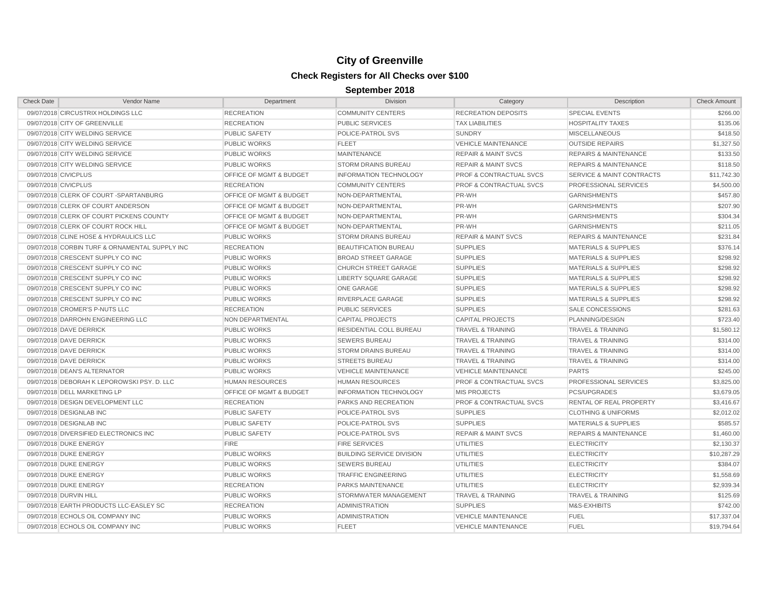| <b>Check Date</b>      | Vendor Name                                    | Department                         | <b>Division</b>                  | Category                           | Description                          | <b>Check Amount</b> |
|------------------------|------------------------------------------------|------------------------------------|----------------------------------|------------------------------------|--------------------------------------|---------------------|
|                        | 09/07/2018 CIRCUSTRIX HOLDINGS LLC             | <b>RECREATION</b>                  | <b>COMMUNITY CENTERS</b>         | <b>RECREATION DEPOSITS</b>         | <b>SPECIAL EVENTS</b>                | \$266.00            |
|                        | 09/07/2018 CITY OF GREENVILLE                  | <b>RECREATION</b>                  | <b>PUBLIC SERVICES</b>           | <b>TAX LIABILITIES</b>             | <b>HOSPITALITY TAXES</b>             | \$135.06            |
|                        | 09/07/2018 CITY WELDING SERVICE                | <b>PUBLIC SAFETY</b>               | POLICE-PATROL SVS                | <b>SUNDRY</b>                      | <b>MISCELLANEOUS</b>                 | \$418.50            |
|                        | 09/07/2018 CITY WELDING SERVICE                | <b>PUBLIC WORKS</b>                | <b>FLEET</b>                     | <b>VEHICLE MAINTENANCE</b>         | <b>OUTSIDE REPAIRS</b>               | \$1,327.50          |
|                        | 09/07/2018 CITY WELDING SERVICE                | <b>PUBLIC WORKS</b>                | <b>MAINTENANCE</b>               | <b>REPAIR &amp; MAINT SVCS</b>     | <b>REPAIRS &amp; MAINTENANCE</b>     | \$133.50            |
|                        | 09/07/2018 CITY WELDING SERVICE                | <b>PUBLIC WORKS</b>                | <b>STORM DRAINS BUREAU</b>       | <b>REPAIR &amp; MAINT SVCS</b>     | <b>REPAIRS &amp; MAINTENANCE</b>     | \$118.50            |
| 09/07/2018 CIVICPLUS   |                                                | OFFICE OF MGMT & BUDGET            | <b>INFORMATION TECHNOLOGY</b>    | <b>PROF &amp; CONTRACTUAL SVCS</b> | <b>SERVICE &amp; MAINT CONTRACTS</b> | \$11,742.30         |
| 09/07/2018 CIVICPLUS   |                                                | <b>RECREATION</b>                  | <b>COMMUNITY CENTERS</b>         | <b>PROF &amp; CONTRACTUAL SVCS</b> | PROFESSIONAL SERVICES                | \$4,500.00          |
|                        | 09/07/2018 CLERK OF COURT -SPARTANBURG         | <b>OFFICE OF MGMT &amp; BUDGET</b> | NON-DEPARTMENTAL                 | PR-WH                              | <b>GARNISHMENTS</b>                  | \$457.80            |
|                        | 09/07/2018 CLERK OF COURT ANDERSON             | OFFICE OF MGMT & BUDGET            | NON-DEPARTMENTAL                 | PR-WH                              | <b>GARNISHMENTS</b>                  | \$207.90            |
|                        | 09/07/2018 CLERK OF COURT PICKENS COUNTY       | OFFICE OF MGMT & BUDGET            | NON-DEPARTMENTAL                 | PR-WH                              | <b>GARNISHMENTS</b>                  | \$304.34            |
|                        | 09/07/2018 CLERK OF COURT ROCK HILL            | OFFICE OF MGMT & BUDGET            | NON-DEPARTMENTAL                 | PR-WH                              | <b>GARNISHMENTS</b>                  | \$211.05            |
|                        | 09/07/2018 CLINE HOSE & HYDRAULICS LLC         | <b>PUBLIC WORKS</b>                | <b>STORM DRAINS BUREAU</b>       | <b>REPAIR &amp; MAINT SVCS</b>     | <b>REPAIRS &amp; MAINTENANCE</b>     | \$231.84            |
|                        | 09/07/2018 CORBIN TURF & ORNAMENTAL SUPPLY INC | <b>RECREATION</b>                  | <b>BEAUTIFICATION BUREAU</b>     | <b>SUPPLIES</b>                    | <b>MATERIALS &amp; SUPPLIES</b>      | \$376.14            |
|                        | 09/07/2018 CRESCENT SUPPLY CO INC              | <b>PUBLIC WORKS</b>                | <b>BROAD STREET GARAGE</b>       | <b>SUPPLIES</b>                    | <b>MATERIALS &amp; SUPPLIES</b>      | \$298.92            |
|                        | 09/07/2018 CRESCENT SUPPLY CO INC              | <b>PUBLIC WORKS</b>                | <b>CHURCH STREET GARAGE</b>      | <b>SUPPLIES</b>                    | <b>MATERIALS &amp; SUPPLIES</b>      | \$298.92            |
|                        | 09/07/2018 CRESCENT SUPPLY CO INC              | <b>PUBLIC WORKS</b>                | <b>LIBERTY SQUARE GARAGE</b>     | <b>SUPPLIES</b>                    | <b>MATERIALS &amp; SUPPLIES</b>      | \$298.92            |
|                        | 09/07/2018 CRESCENT SUPPLY CO INC              | <b>PUBLIC WORKS</b>                | <b>ONE GARAGE</b>                | <b>SUPPLIES</b>                    | <b>MATERIALS &amp; SUPPLIES</b>      | \$298.92            |
|                        | 09/07/2018 CRESCENT SUPPLY CO INC              | <b>PUBLIC WORKS</b>                | RIVERPLACE GARAGE                | <b>SUPPLIES</b>                    | <b>MATERIALS &amp; SUPPLIES</b>      | \$298.92            |
|                        | 09/07/2018 CROMER'S P-NUTS LLC                 | <b>RECREATION</b>                  | <b>PUBLIC SERVICES</b>           | <b>SUPPLIES</b>                    | <b>SALE CONCESSIONS</b>              | \$281.63            |
|                        | 09/07/2018 DARROHN ENGINEERING LLC             | NON DEPARTMENTAL                   | <b>CAPITAL PROJECTS</b>          | <b>CAPITAL PROJECTS</b>            | PLANNING/DESIGN                      | \$723.40            |
|                        | 09/07/2018 DAVE DERRICK                        | <b>PUBLIC WORKS</b>                | RESIDENTIAL COLL BUREAU          | <b>TRAVEL &amp; TRAINING</b>       | <b>TRAVEL &amp; TRAINING</b>         | \$1,580.12          |
|                        | 09/07/2018 DAVE DERRICK                        | <b>PUBLIC WORKS</b>                | <b>SEWERS BUREAU</b>             | <b>TRAVEL &amp; TRAINING</b>       | <b>TRAVEL &amp; TRAINING</b>         | \$314.00            |
|                        | 09/07/2018 DAVE DERRICK                        | <b>PUBLIC WORKS</b>                | <b>STORM DRAINS BUREAU</b>       | <b>TRAVEL &amp; TRAINING</b>       | <b>TRAVEL &amp; TRAINING</b>         | \$314.00            |
|                        | 09/07/2018 DAVE DERRICK                        | <b>PUBLIC WORKS</b>                | <b>STREETS BUREAU</b>            | <b>TRAVEL &amp; TRAINING</b>       | <b>TRAVEL &amp; TRAINING</b>         | \$314.00            |
|                        | 09/07/2018 DEAN'S ALTERNATOR                   | <b>PUBLIC WORKS</b>                | <b>VEHICLE MAINTENANCE</b>       | <b>VEHICLE MAINTENANCE</b>         | <b>PARTS</b>                         | \$245.00            |
|                        | 09/07/2018 DEBORAH K LEPOROWSKI PSY. D. LLC    | <b>HUMAN RESOURCES</b>             | <b>HUMAN RESOURCES</b>           | PROF & CONTRACTUAL SVCS            | PROFESSIONAL SERVICES                | \$3,825.00          |
|                        | 09/07/2018 DELL MARKETING LP                   | OFFICE OF MGMT & BUDGET            | <b>INFORMATION TECHNOLOGY</b>    | <b>MIS PROJECTS</b>                | <b>PCS/UPGRADES</b>                  | \$3,679.05          |
|                        | 09/07/2018 DESIGN DEVELOPMENT LLC              | <b>RECREATION</b>                  | PARKS AND RECREATION             | <b>PROF &amp; CONTRACTUAL SVCS</b> | RENTAL OF REAL PROPERTY              | \$3,416.67          |
|                        | 09/07/2018 DESIGNLAB INC                       | <b>PUBLIC SAFETY</b>               | POLICE-PATROL SVS                | <b>SUPPLIES</b>                    | <b>CLOTHING &amp; UNIFORMS</b>       | \$2,012.02          |
|                        | 09/07/2018 DESIGNLAB INC                       | <b>PUBLIC SAFETY</b>               | POLICE-PATROL SVS                | <b>SUPPLIES</b>                    | <b>MATERIALS &amp; SUPPLIES</b>      | \$585.57            |
|                        | 09/07/2018 DIVERSIFIED ELECTRONICS INC         | <b>PUBLIC SAFETY</b>               | POLICE-PATROL SVS                | <b>REPAIR &amp; MAINT SVCS</b>     | <b>REPAIRS &amp; MAINTENANCE</b>     | \$1,460.00          |
|                        | 09/07/2018 DUKE ENERGY                         | <b>FIRE</b>                        | <b>FIRE SERVICES</b>             | <b>UTILITIES</b>                   | <b>ELECTRICITY</b>                   | \$2,130.37          |
|                        | 09/07/2018 DUKE ENERGY                         | <b>PUBLIC WORKS</b>                | <b>BUILDING SERVICE DIVISION</b> | <b>UTILITIES</b>                   | <b>ELECTRICITY</b>                   | \$10,287.29         |
|                        | 09/07/2018 DUKE ENERGY                         | <b>PUBLIC WORKS</b>                | <b>SEWERS BUREAU</b>             | UTILITIES                          | <b>ELECTRICITY</b>                   | \$384.07            |
|                        | 09/07/2018 DUKE ENERGY                         | <b>PUBLIC WORKS</b>                | <b>TRAFFIC ENGINEERING</b>       | UTILITIES                          | <b>ELECTRICITY</b>                   | \$1,558.69          |
|                        | 09/07/2018 DUKE ENERGY                         | <b>RECREATION</b>                  | PARKS MAINTENANCE                | <b>UTILITIES</b>                   | <b>ELECTRICITY</b>                   | \$2,939.34          |
| 09/07/2018 DURVIN HILL |                                                | <b>PUBLIC WORKS</b>                | STORMWATER MANAGEMENT            | <b>TRAVEL &amp; TRAINING</b>       | <b>TRAVEL &amp; TRAINING</b>         | \$125.69            |
|                        | 09/07/2018 EARTH PRODUCTS LLC-EASLEY SC        | <b>RECREATION</b>                  | <b>ADMINISTRATION</b>            | <b>SUPPLIES</b>                    | M&S-EXHIBITS                         | \$742.00            |
|                        | 09/07/2018 ECHOLS OIL COMPANY INC              | <b>PUBLIC WORKS</b>                | <b>ADMINISTRATION</b>            | <b>VEHICLE MAINTENANCE</b>         | <b>FUEL</b>                          | \$17,337.04         |
|                        | 09/07/2018 ECHOLS OIL COMPANY INC              | <b>PUBLIC WORKS</b>                | <b>FLEET</b>                     | <b>VEHICLE MAINTENANCE</b>         | <b>FUEL</b>                          | \$19,794.64         |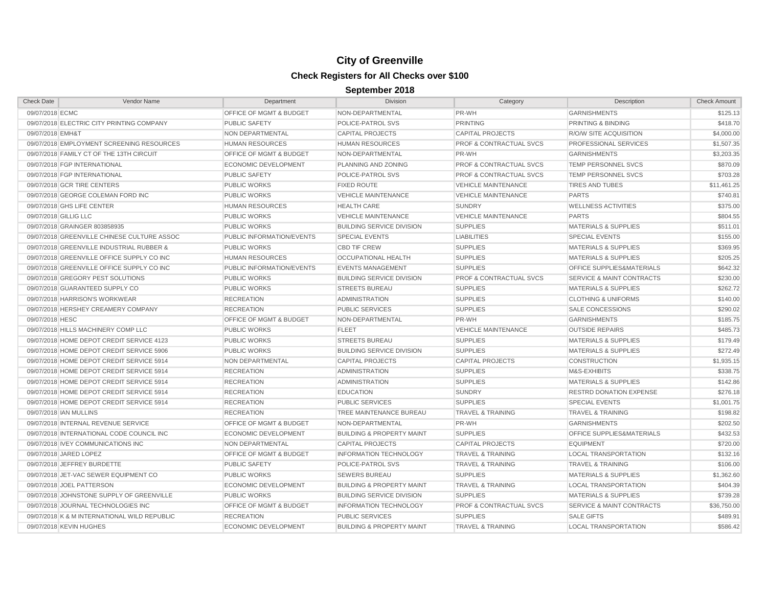| Check Date             | Vendor Name                                  | Department                         | Division                             | Category                           | Description                          | <b>Check Amount</b> |
|------------------------|----------------------------------------------|------------------------------------|--------------------------------------|------------------------------------|--------------------------------------|---------------------|
| 09/07/2018 ECMC        |                                              | <b>OFFICE OF MGMT &amp; BUDGET</b> | NON-DEPARTMENTAL                     | PR-WH                              | <b>GARNISHMENTS</b>                  | \$125.13            |
|                        | 09/07/2018 ELECTRIC CITY PRINTING COMPANY    | <b>PUBLIC SAFETY</b>               | POLICE-PATROL SVS                    | <b>PRINTING</b>                    | PRINTING & BINDING                   | \$418.70            |
| 09/07/2018 EMH&T       |                                              | NON DEPARTMENTAL                   | <b>CAPITAL PROJECTS</b>              | <b>CAPITAL PROJECTS</b>            | R/O/W SITE ACQUISITION               | \$4,000.00          |
|                        | 09/07/2018 EMPLOYMENT SCREENING RESOURCES    | <b>HUMAN RESOURCES</b>             | <b>HUMAN RESOURCES</b>               | <b>PROF &amp; CONTRACTUAL SVCS</b> | PROFESSIONAL SERVICES                | \$1,507.35          |
|                        | 09/07/2018 FAMILY CT OF THE 13TH CIRCUIT     | OFFICE OF MGMT & BUDGET            | NON-DEPARTMENTAL                     | PR-WH                              | <b>GARNISHMENTS</b>                  | \$3,203.35          |
|                        | 09/07/2018 FGP INTERNATIONAL                 | <b>ECONOMIC DEVELOPMENT</b>        | PLANNING AND ZONING                  | <b>PROF &amp; CONTRACTUAL SVCS</b> | <b>TEMP PERSONNEL SVCS</b>           | \$870.09            |
|                        | 09/07/2018 FGP INTERNATIONAL                 | <b>PUBLIC SAFETY</b>               | POLICE-PATROL SVS                    | <b>PROF &amp; CONTRACTUAL SVCS</b> | <b>TEMP PERSONNEL SVCS</b>           | \$703.28            |
|                        | 09/07/2018 GCR TIRE CENTERS                  | <b>PUBLIC WORKS</b>                | <b>FIXED ROUTE</b>                   | <b>VEHICLE MAINTENANCE</b>         | <b>TIRES AND TUBES</b>               | \$11,461.25         |
|                        | 09/07/2018 GEORGE COLEMAN FORD INC           | <b>PUBLIC WORKS</b>                | VEHICLE MAINTENANCE                  | <b>VEHICLE MAINTENANCE</b>         | <b>PARTS</b>                         | \$740.81            |
|                        | 09/07/2018 GHS LIFE CENTER                   | <b>HUMAN RESOURCES</b>             | <b>HEALTH CARE</b>                   | <b>SUNDRY</b>                      | <b>WELLNESS ACTIVITIES</b>           | \$375.00            |
| 09/07/2018 GILLIG LLC  |                                              | <b>PUBLIC WORKS</b>                | <b>VEHICLE MAINTENANCE</b>           | <b>VEHICLE MAINTENANCE</b>         | <b>PARTS</b>                         | \$804.55            |
|                        | 09/07/2018 GRAINGER 803858935                | <b>PUBLIC WORKS</b>                | <b>BUILDING SERVICE DIVISION</b>     | <b>SUPPLIES</b>                    | <b>MATERIALS &amp; SUPPLIES</b>      | \$511.01            |
|                        | 09/07/2018 GREENVILLE CHINESE CULTURE ASSOC  | PUBLIC INFORMATION/EVENTS          | <b>SPECIAL EVENTS</b>                | <b>LIABILITIES</b>                 | <b>SPECIAL EVENTS</b>                | \$155.00            |
|                        | 09/07/2018 GREENVILLE INDUSTRIAL RUBBER &    | <b>PUBLIC WORKS</b>                | <b>CBD TIF CREW</b>                  | <b>SUPPLIES</b>                    | <b>MATERIALS &amp; SUPPLIES</b>      | \$369.95            |
|                        | 09/07/2018 GREENVILLE OFFICE SUPPLY CO INC   | <b>HUMAN RESOURCES</b>             | OCCUPATIONAL HEALTH                  | <b>SUPPLIES</b>                    | <b>MATERIALS &amp; SUPPLIES</b>      | \$205.25            |
|                        | 09/07/2018 GREENVILLE OFFICE SUPPLY CO INC   | PUBLIC INFORMATION/EVENTS          | <b>EVENTS MANAGEMENT</b>             | <b>SUPPLIES</b>                    | OFFICE SUPPLIES&MATERIALS            | \$642.32            |
|                        | 09/07/2018 GREGORY PEST SOLUTIONS            | <b>PUBLIC WORKS</b>                | <b>BUILDING SERVICE DIVISION</b>     | <b>PROF &amp; CONTRACTUAL SVCS</b> | <b>SERVICE &amp; MAINT CONTRACTS</b> | \$230.00            |
|                        | 09/07/2018 GUARANTEED SUPPLY CO              | <b>PUBLIC WORKS</b>                | <b>STREETS BUREAU</b>                | <b>SUPPLIES</b>                    | <b>MATERIALS &amp; SUPPLIES</b>      | \$262.72            |
|                        | 09/07/2018 HARRISON'S WORKWEAR               | <b>RECREATION</b>                  | <b>ADMINISTRATION</b>                | <b>SUPPLIES</b>                    | <b>CLOTHING &amp; UNIFORMS</b>       | \$140.00            |
|                        | 09/07/2018 HERSHEY CREAMERY COMPANY          | <b>RECREATION</b>                  | <b>PUBLIC SERVICES</b>               | <b>SUPPLIES</b>                    | <b>SALE CONCESSIONS</b>              | \$290.02            |
| 09/07/2018 HESC        |                                              | <b>OFFICE OF MGMT &amp; BUDGET</b> | NON-DEPARTMENTAL                     | PR-WH                              | <b>GARNISHMENTS</b>                  | \$185.75            |
|                        | 09/07/2018 HILLS MACHINERY COMP LLC          | <b>PUBLIC WORKS</b>                | <b>FLEET</b>                         | <b>VEHICLE MAINTENANCE</b>         | <b>OUTSIDE REPAIRS</b>               | \$485.73            |
|                        | 09/07/2018 HOME DEPOT CREDIT SERVICE 4123    | <b>PUBLIC WORKS</b>                | <b>STREETS BUREAU</b>                | <b>SUPPLIES</b>                    | <b>MATERIALS &amp; SUPPLIES</b>      | \$179.49            |
|                        | 09/07/2018 HOME DEPOT CREDIT SERVICE 5906    | <b>PUBLIC WORKS</b>                | <b>BUILDING SERVICE DIVISION</b>     | <b>SUPPLIES</b>                    | <b>MATERIALS &amp; SUPPLIES</b>      | \$272.49            |
|                        | 09/07/2018 HOME DEPOT CREDIT SERVICE 5914    | NON DEPARTMENTAL                   | <b>CAPITAL PROJECTS</b>              | <b>CAPITAL PROJECTS</b>            | <b>CONSTRUCTION</b>                  | \$1,935.15          |
|                        | 09/07/2018 HOME DEPOT CREDIT SERVICE 5914    | <b>RECREATION</b>                  | <b>ADMINISTRATION</b>                | <b>SUPPLIES</b>                    | M&S-EXHIBITS                         | \$338.75            |
|                        | 09/07/2018 HOME DEPOT CREDIT SERVICE 5914    | <b>RECREATION</b>                  | <b>ADMINISTRATION</b>                | <b>SUPPLIES</b>                    | <b>MATERIALS &amp; SUPPLIES</b>      | \$142.86            |
|                        | 09/07/2018 HOME DEPOT CREDIT SERVICE 5914    | <b>RECREATION</b>                  | <b>EDUCATION</b>                     | <b>SUNDRY</b>                      | <b>RESTRD DONATION EXPENSE</b>       | \$276.18            |
|                        | 09/07/2018 HOME DEPOT CREDIT SERVICE 5914    | <b>RECREATION</b>                  | <b>PUBLIC SERVICES</b>               | <b>SUPPLIES</b>                    | <b>SPECIAL EVENTS</b>                | \$1,001.75          |
| 09/07/2018 IAN MULLINS |                                              | <b>RECREATION</b>                  | TREE MAINTENANCE BUREAU              | <b>TRAVEL &amp; TRAINING</b>       | <b>TRAVEL &amp; TRAINING</b>         | \$198.82            |
|                        | 09/07/2018 INTERNAL REVENUE SERVICE          | <b>OFFICE OF MGMT &amp; BUDGET</b> | NON-DEPARTMENTAL                     | PR-WH                              | <b>GARNISHMENTS</b>                  | \$202.50            |
|                        | 09/07/2018 INTERNATIONAL CODE COUNCIL INC    | <b>ECONOMIC DEVELOPMENT</b>        | <b>BUILDING &amp; PROPERTY MAINT</b> | <b>SUPPLIES</b>                    | OFFICE SUPPLIES&MATERIALS            | \$432.53            |
|                        | 09/07/2018 IVEY COMMUNICATIONS INC           | NON DEPARTMENTAL                   | <b>CAPITAL PROJECTS</b>              | <b>CAPITAL PROJECTS</b>            | <b>EQUIPMENT</b>                     | \$720.00            |
|                        | 09/07/2018 JARED LOPEZ                       | <b>OFFICE OF MGMT &amp; BUDGET</b> | <b>INFORMATION TECHNOLOGY</b>        | <b>TRAVEL &amp; TRAINING</b>       | <b>LOCAL TRANSPORTATION</b>          | \$132.16            |
|                        | 09/07/2018 JEFFREY BURDETTE                  | <b>PUBLIC SAFETY</b>               | POLICE-PATROL SVS                    | <b>TRAVEL &amp; TRAINING</b>       | <b>TRAVEL &amp; TRAINING</b>         | \$106.00            |
|                        | 09/07/2018 JET-VAC SEWER EQUIPMENT CO        | <b>PUBLIC WORKS</b>                | <b>SEWERS BUREAU</b>                 | <b>SUPPLIES</b>                    | <b>MATERIALS &amp; SUPPLIES</b>      | \$1,362.60          |
|                        | 09/07/2018 JOEL PATTERSON                    | <b>ECONOMIC DEVELOPMENT</b>        | <b>BUILDING &amp; PROPERTY MAINT</b> | <b>TRAVEL &amp; TRAINING</b>       | <b>LOCAL TRANSPORTATION</b>          | \$404.39            |
|                        | 09/07/2018 JOHNSTONE SUPPLY OF GREENVILLE    | <b>PUBLIC WORKS</b>                | <b>BUILDING SERVICE DIVISION</b>     | <b>SUPPLIES</b>                    | <b>MATERIALS &amp; SUPPLIES</b>      | \$739.28            |
|                        | 09/07/2018 JOURNAL TECHNOLOGIES INC          | OFFICE OF MGMT & BUDGET            | <b>INFORMATION TECHNOLOGY</b>        | <b>PROF &amp; CONTRACTUAL SVCS</b> | SERVICE & MAINT CONTRACTS            | \$36,750.00         |
|                        | 09/07/2018 K & M INTERNATIONAL WILD REPUBLIC | <b>RECREATION</b>                  | <b>PUBLIC SERVICES</b>               | <b>SUPPLIES</b>                    | <b>SALE GIFTS</b>                    | \$489.91            |
|                        | 09/07/2018 KEVIN HUGHES                      | ECONOMIC DEVELOPMENT               | <b>BUILDING &amp; PROPERTY MAINT</b> | <b>TRAVEL &amp; TRAINING</b>       | <b>LOCAL TRANSPORTATION</b>          | \$586.42            |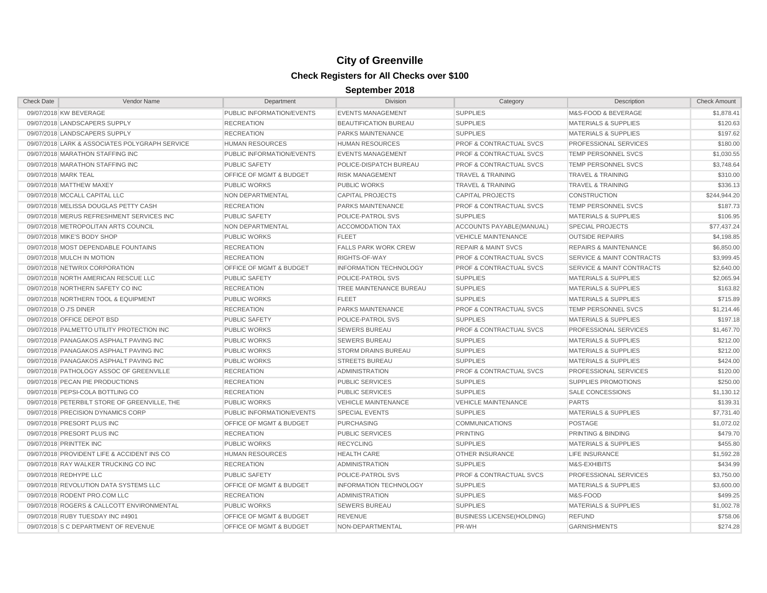| <b>Check Date</b>                             | Vendor Name                                    | Department                         | <b>Division</b>               | Category                           | Description                          | <b>Check Amount</b> |
|-----------------------------------------------|------------------------------------------------|------------------------------------|-------------------------------|------------------------------------|--------------------------------------|---------------------|
| 09/07/2018 KW BEVERAGE                        |                                                | PUBLIC INFORMATION/EVENTS          | <b>EVENTS MANAGEMENT</b>      | <b>SUPPLIES</b>                    | M&S-FOOD & BEVERAGE                  | \$1,878.41          |
| 09/07/2018 LANDSCAPERS SUPPLY                 |                                                | <b>RECREATION</b>                  | <b>BEAUTIFICATION BUREAU</b>  | <b>SUPPLIES</b>                    | <b>MATERIALS &amp; SUPPLIES</b>      | \$120.63            |
| 09/07/2018 LANDSCAPERS SUPPLY                 |                                                | <b>RECREATION</b>                  | <b>PARKS MAINTENANCE</b>      | <b>SUPPLIES</b>                    | <b>MATERIALS &amp; SUPPLIES</b>      | \$197.62            |
|                                               | 09/07/2018 LARK & ASSOCIATES POLYGRAPH SERVICE | <b>HUMAN RESOURCES</b>             | <b>HUMAN RESOURCES</b>        | <b>PROF &amp; CONTRACTUAL SVCS</b> | PROFESSIONAL SERVICES                | \$180.00            |
| 09/07/2018 MARATHON STAFFING INC              |                                                | PUBLIC INFORMATION/EVENTS          | <b>EVENTS MANAGEMENT</b>      | <b>PROF &amp; CONTRACTUAL SVCS</b> | <b>TEMP PERSONNEL SVCS</b>           | \$1,030.55          |
| 09/07/2018 MARATHON STAFFING INC              |                                                | <b>PUBLIC SAFETY</b>               | POLICE-DISPATCH BUREAU        | <b>PROF &amp; CONTRACTUAL SVCS</b> | <b>TEMP PERSONNEL SVCS</b>           | \$3,748.64          |
| 09/07/2018 MARK TEAL                          |                                                | <b>OFFICE OF MGMT &amp; BUDGET</b> | <b>RISK MANAGEMENT</b>        | <b>TRAVEL &amp; TRAINING</b>       | <b>TRAVEL &amp; TRAINING</b>         | \$310.00            |
| 09/07/2018 MATTHEW MAXEY                      |                                                | <b>PUBLIC WORKS</b>                | <b>PUBLIC WORKS</b>           | <b>TRAVEL &amp; TRAINING</b>       | <b>TRAVEL &amp; TRAINING</b>         | \$336.13            |
| 09/07/2018 MCCALL CAPITAL LLC                 |                                                | <b>NON DEPARTMENTAL</b>            | <b>CAPITAL PROJECTS</b>       | <b>CAPITAL PROJECTS</b>            | <b>CONSTRUCTION</b>                  | \$244,944.20        |
| 09/07/2018 MELISSA DOUGLAS PETTY CASH         |                                                | <b>RECREATION</b>                  | PARKS MAINTENANCE             | <b>PROF &amp; CONTRACTUAL SVCS</b> | TEMP PERSONNEL SVCS                  | \$187.73            |
| 09/07/2018 MERUS REFRESHMENT SERVICES INC     |                                                | <b>PUBLIC SAFETY</b>               | POLICE-PATROL SVS             | <b>SUPPLIES</b>                    | <b>MATERIALS &amp; SUPPLIES</b>      | \$106.95            |
| 09/07/2018 METROPOLITAN ARTS COUNCIL          |                                                | NON DEPARTMENTAL                   | <b>ACCOMODATION TAX</b>       | ACCOUNTS PAYABLE(MANUAL)           | <b>SPECIAL PROJECTS</b>              | \$77,437.24         |
| 09/07/2018 MIKE'S BODY SHOP                   |                                                | <b>PUBLIC WORKS</b>                | <b>FLEET</b>                  | <b>VEHICLE MAINTENANCE</b>         | <b>OUTSIDE REPAIRS</b>               | \$4,198.85          |
| 09/07/2018 MOST DEPENDABLE FOUNTAINS          |                                                | <b>RECREATION</b>                  | <b>FALLS PARK WORK CREW</b>   | <b>REPAIR &amp; MAINT SVCS</b>     | <b>REPAIRS &amp; MAINTENANCE</b>     | \$6,850.00          |
| 09/07/2018 MULCH IN MOTION                    |                                                | <b>RECREATION</b>                  | RIGHTS-OF-WAY                 | <b>PROF &amp; CONTRACTUAL SVCS</b> | <b>SERVICE &amp; MAINT CONTRACTS</b> | \$3,999.45          |
| 09/07/2018 NETWRIX CORPORATION                |                                                | <b>OFFICE OF MGMT &amp; BUDGET</b> | <b>INFORMATION TECHNOLOGY</b> | <b>PROF &amp; CONTRACTUAL SVCS</b> | <b>SERVICE &amp; MAINT CONTRACTS</b> | \$2,640.00          |
| 09/07/2018 NORTH AMERICAN RESCUE LLC          |                                                | <b>PUBLIC SAFETY</b>               | POLICE-PATROL SVS             | <b>SUPPLIES</b>                    | <b>MATERIALS &amp; SUPPLIES</b>      | \$2,065.94          |
| 09/07/2018 NORTHERN SAFETY CO INC             |                                                | <b>RECREATION</b>                  | TREE MAINTENANCE BUREAU       | <b>SUPPLIES</b>                    | <b>MATERIALS &amp; SUPPLIES</b>      | \$163.82            |
| 09/07/2018 NORTHERN TOOL & EQUIPMENT          |                                                | <b>PUBLIC WORKS</b>                | <b>FLEET</b>                  | <b>SUPPLIES</b>                    | <b>MATERIALS &amp; SUPPLIES</b>      | \$715.89            |
| 09/07/2018 O J'S DINER                        |                                                | <b>RECREATION</b>                  | PARKS MAINTENANCE             | <b>PROF &amp; CONTRACTUAL SVCS</b> | <b>TEMP PERSONNEL SVCS</b>           | \$1,214.46          |
| 09/07/2018 OFFICE DEPOT BSD                   |                                                | <b>PUBLIC SAFETY</b>               | POLICE-PATROL SVS             | <b>SUPPLIES</b>                    | <b>MATERIALS &amp; SUPPLIES</b>      | \$197.18            |
| 09/07/2018 PALMETTO UTILITY PROTECTION INC    |                                                | <b>PUBLIC WORKS</b>                | <b>SEWERS BUREAU</b>          | <b>PROF &amp; CONTRACTUAL SVCS</b> | PROFESSIONAL SERVICES                | \$1,467.70          |
| 09/07/2018 PANAGAKOS ASPHALT PAVING INC       |                                                | <b>PUBLIC WORKS</b>                | <b>SEWERS BUREAU</b>          | <b>SUPPLIES</b>                    | <b>MATERIALS &amp; SUPPLIES</b>      | \$212.00            |
| 09/07/2018 PANAGAKOS ASPHALT PAVING INC       |                                                | <b>PUBLIC WORKS</b>                | <b>STORM DRAINS BUREAU</b>    | <b>SUPPLIES</b>                    | <b>MATERIALS &amp; SUPPLIES</b>      | \$212.00            |
| 09/07/2018 PANAGAKOS ASPHALT PAVING INC       |                                                | <b>PUBLIC WORKS</b>                | <b>STREETS BUREAU</b>         | <b>SUPPLIES</b>                    | <b>MATERIALS &amp; SUPPLIES</b>      | \$424.00            |
| 09/07/2018 PATHOLOGY ASSOC OF GREENVILLE      |                                                | <b>RECREATION</b>                  | <b>ADMINISTRATION</b>         | <b>PROF &amp; CONTRACTUAL SVCS</b> | PROFESSIONAL SERVICES                | \$120.00            |
| 09/07/2018 PECAN PIE PRODUCTIONS              |                                                | <b>RECREATION</b>                  | PUBLIC SERVICES               | <b>SUPPLIES</b>                    | <b>SUPPLIES PROMOTIONS</b>           | \$250.00            |
| 09/07/2018 PEPSI-COLA BOTTLING CO             |                                                | <b>RECREATION</b>                  | <b>PUBLIC SERVICES</b>        | <b>SUPPLIES</b>                    | SALE CONCESSIONS                     | \$1,130.12          |
| 09/07/2018 PETERBILT STORE OF GREENVILLE, THE |                                                | <b>PUBLIC WORKS</b>                | <b>VEHICLE MAINTENANCE</b>    | <b>VEHICLE MAINTENANCE</b>         | <b>PARTS</b>                         | \$139.31            |
| 09/07/2018 PRECISION DYNAMICS CORP            |                                                | PUBLIC INFORMATION/EVENTS          | <b>SPECIAL EVENTS</b>         | <b>SUPPLIES</b>                    | <b>MATERIALS &amp; SUPPLIES</b>      | \$7,731.40          |
| 09/07/2018 PRESORT PLUS INC                   |                                                | OFFICE OF MGMT & BUDGET            | <b>PURCHASING</b>             | <b>COMMUNICATIONS</b>              | <b>POSTAGE</b>                       | \$1,072.02          |
| 09/07/2018 PRESORT PLUS INC                   |                                                | <b>RECREATION</b>                  | <b>PUBLIC SERVICES</b>        | <b>PRINTING</b>                    | PRINTING & BINDING                   | \$479.70            |
| 09/07/2018 PRINTTEK INC                       |                                                | <b>PUBLIC WORKS</b>                | <b>RECYCLING</b>              | <b>SUPPLIES</b>                    | <b>MATERIALS &amp; SUPPLIES</b>      | \$455.80            |
| 09/07/2018 PROVIDENT LIFE & ACCIDENT INS CO   |                                                | <b>HUMAN RESOURCES</b>             | <b>HEALTH CARE</b>            | OTHER INSURANCE                    | <b>LIFE INSURANCE</b>                | \$1,592.28          |
| 09/07/2018 RAY WALKER TRUCKING CO INC         |                                                | <b>RECREATION</b>                  | <b>ADMINISTRATION</b>         | <b>SUPPLIES</b>                    | M&S-EXHIBITS                         | \$434.99            |
| 09/07/2018 REDHYPE LLC                        |                                                | <b>PUBLIC SAFETY</b>               | POLICE-PATROL SVS             | PROF & CONTRACTUAL SVCS            | PROFESSIONAL SERVICES                | \$3,750.00          |
| 09/07/2018 REVOLUTION DATA SYSTEMS LLC        |                                                | OFFICE OF MGMT & BUDGET            | <b>INFORMATION TECHNOLOGY</b> | <b>SUPPLIES</b>                    | <b>MATERIALS &amp; SUPPLIES</b>      | \$3,600.00          |
| 09/07/2018 RODENT PRO.COM LLC                 |                                                | <b>RECREATION</b>                  | <b>ADMINISTRATION</b>         | <b>SUPPLIES</b>                    | M&S-FOOD                             | \$499.25            |
| 09/07/2018 ROGERS & CALLCOTT ENVIRONMENTAL    |                                                | <b>PUBLIC WORKS</b>                | <b>SEWERS BUREAU</b>          | <b>SUPPLIES</b>                    | <b>MATERIALS &amp; SUPPLIES</b>      | \$1,002.78          |
| 09/07/2018 RUBY TUESDAY INC #4901             |                                                | OFFICE OF MGMT & BUDGET            | <b>REVENUE</b>                | <b>BUSINESS LICENSE(HOLDING)</b>   | <b>REFUND</b>                        | \$758.06            |
| 09/07/2018 S C DEPARTMENT OF REVENUE          |                                                | OFFICE OF MGMT & BUDGET            | NON-DEPARTMENTAL              | PR-WH                              | <b>GARNISHMENTS</b>                  | \$274.28            |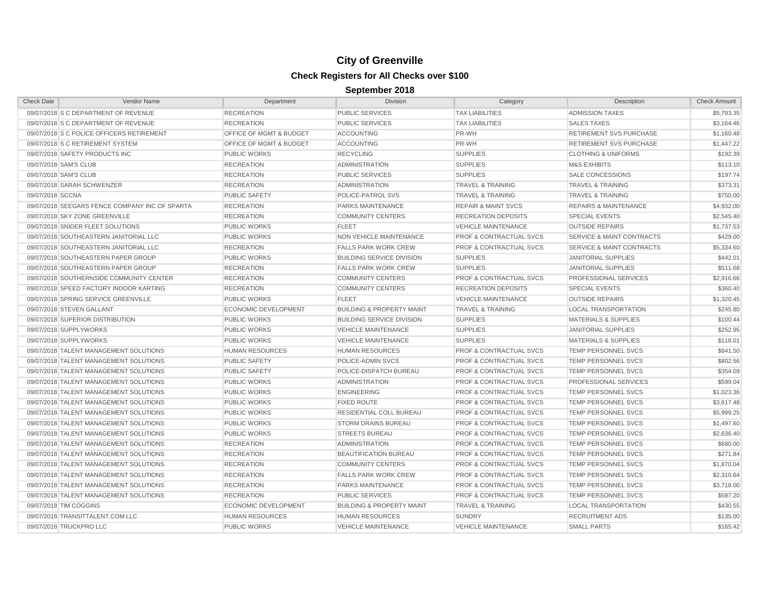| <b>Check Date</b>     | <b>Vendor Name</b>                             | Department                         | <b>Division</b>                      | Category                           | Description                          | <b>Check Amount</b> |
|-----------------------|------------------------------------------------|------------------------------------|--------------------------------------|------------------------------------|--------------------------------------|---------------------|
|                       | 09/07/2018 S C DEPARTMENT OF REVENUE           | <b>RECREATION</b>                  | <b>PUBLIC SERVICES</b>               | <b>TAX LIABILITIES</b>             | <b>ADMISSION TAXES</b>               | \$5,793.35          |
|                       | 09/07/2018 S C DEPARTMENT OF REVENUE           | <b>RECREATION</b>                  | <b>PUBLIC SERVICES</b>               | <b>TAX LIABILITIES</b>             | <b>SALES TAXES</b>                   | \$3,164.46          |
|                       | 09/07/2018 S C POLICE OFFICERS RETIREMENT      | <b>OFFICE OF MGMT &amp; BUDGET</b> | <b>ACCOUNTING</b>                    | PR-WH                              | <b>RETIREMENT SVS PURCHASE</b>       | \$1,160.48          |
|                       | 09/07/2018 S C RETIREMENT SYSTEM               | <b>OFFICE OF MGMT &amp; BUDGET</b> | <b>ACCOUNTING</b>                    | PR-WH                              | <b>RETIREMENT SVS PURCHASE</b>       | \$1,447.22          |
|                       | 09/07/2018 SAFETY PRODUCTS INC                 | <b>PUBLIC WORKS</b>                | <b>RECYCLING</b>                     | <b>SUPPLIES</b>                    | <b>CLOTHING &amp; UNIFORMS</b>       | \$192.39            |
| 09/07/2018 SAM'S CLUB |                                                | <b>RECREATION</b>                  | <b>ADMINISTRATION</b>                | <b>SUPPLIES</b>                    | M&S-EXHIBITS                         | \$113.10            |
| 09/07/2018 SAM'S CLUB |                                                | <b>RECREATION</b>                  | <b>PUBLIC SERVICES</b>               | <b>SUPPLIES</b>                    | <b>SALE CONCESSIONS</b>              | \$197.74            |
|                       | 09/07/2018 SARAH SCHWENZER                     | <b>RECREATION</b>                  | <b>ADMINISTRATION</b>                | <b>TRAVEL &amp; TRAINING</b>       | <b>TRAVEL &amp; TRAINING</b>         | \$373.31            |
| 09/07/2018 SCCNA      |                                                | <b>PUBLIC SAFETY</b>               | POLICE-PATROL SVS                    | <b>TRAVEL &amp; TRAINING</b>       | <b>TRAVEL &amp; TRAINING</b>         | \$750.00            |
|                       | 09/07/2018 SEEGARS FENCE COMPANY INC OF SPARTA | <b>RECREATION</b>                  | PARKS MAINTENANCE                    | <b>REPAIR &amp; MAINT SVCS</b>     | <b>REPAIRS &amp; MAINTENANCE</b>     | \$4,932.00          |
|                       | 09/07/2018 SKY ZONE GREENVILLE                 | <b>RECREATION</b>                  | <b>COMMUNITY CENTERS</b>             | <b>RECREATION DEPOSITS</b>         | <b>SPECIAL EVENTS</b>                | \$2,545.40          |
|                       | 09/07/2018 SNIDER FLEET SOLUTIONS              | <b>PUBLIC WORKS</b>                | <b>FLEET</b>                         | <b>VEHICLE MAINTENANCE</b>         | <b>OUTSIDE REPAIRS</b>               | \$1,737.53          |
|                       | 09/07/2018 SOUTHEASTERN JANITORIAL LLC         | <b>PUBLIC WORKS</b>                | <b>NON VEHICLE MAINTENANCE</b>       | <b>PROF &amp; CONTRACTUAL SVCS</b> | <b>SERVICE &amp; MAINT CONTRACTS</b> | \$429.00            |
|                       | 09/07/2018 SOUTHEASTERN JANITORIAL LLC         | <b>RECREATION</b>                  | <b>FALLS PARK WORK CREW</b>          | <b>PROF &amp; CONTRACTUAL SVCS</b> | <b>SERVICE &amp; MAINT CONTRACTS</b> | \$5,334.60          |
|                       | 09/07/2018 SOUTHEASTERN PAPER GROUP            | <b>PUBLIC WORKS</b>                | <b>BUILDING SERVICE DIVISION</b>     | <b>SUPPLIES</b>                    | <b>JANITORIAL SUPPLIES</b>           | \$442.01            |
|                       | 09/07/2018 SOUTHEASTERN PAPER GROUP            | <b>RECREATION</b>                  | <b>FALLS PARK WORK CREW</b>          | <b>SUPPLIES</b>                    | <b>JANITORIAL SUPPLIES</b>           | \$511.68            |
|                       | 09/07/2018 SOUTHERNSIDE COMMUNITY CENTER       | <b>RECREATION</b>                  | <b>COMMUNITY CENTERS</b>             | <b>PROF &amp; CONTRACTUAL SVCS</b> | PROFESSIONAL SERVICES                | \$2,916.66          |
|                       | 09/07/2018 SPEED FACTORY INDOOR KARTING        | <b>RECREATION</b>                  | <b>COMMUNITY CENTERS</b>             | <b>RECREATION DEPOSITS</b>         | <b>SPECIAL EVENTS</b>                | \$360.40            |
|                       | 09/07/2018 SPRING SERVICE GREENVILLE           | <b>PUBLIC WORKS</b>                | <b>FLEET</b>                         | <b>VEHICLE MAINTENANCE</b>         | <b>OUTSIDE REPAIRS</b>               | \$1,320.45          |
|                       | 09/07/2018 STEVEN GALLANT                      | <b>ECONOMIC DEVELOPMENT</b>        | <b>BUILDING &amp; PROPERTY MAINT</b> | <b>TRAVEL &amp; TRAINING</b>       | <b>LOCAL TRANSPORTATION</b>          | \$245.80            |
|                       | 09/07/2018 SUPERIOR DISTRIBUTION               | <b>PUBLIC WORKS</b>                | <b>BUILDING SERVICE DIVISION</b>     | <b>SUPPLIES</b>                    | <b>MATERIALS &amp; SUPPLIES</b>      | \$100.44            |
|                       | 09/07/2018 SUPPLYWORKS                         | <b>PUBLIC WORKS</b>                | <b>VEHICLE MAINTENANCE</b>           | <b>SUPPLIES</b>                    | JANITORIAL SUPPLIES                  | \$252.95            |
|                       | 09/07/2018 SUPPLYWORKS                         | <b>PUBLIC WORKS</b>                | <b>VEHICLE MAINTENANCE</b>           | <b>SUPPLIES</b>                    | <b>MATERIALS &amp; SUPPLIES</b>      | \$118.01            |
|                       | 09/07/2018 TALENT MANAGEMENT SOLUTIONS         | <b>HUMAN RESOURCES</b>             | <b>HUMAN RESOURCES</b>               | <b>PROF &amp; CONTRACTUAL SVCS</b> | <b>TEMP PERSONNEL SVCS</b>           | \$841.50            |
|                       | 09/07/2018 TALENT MANAGEMENT SOLUTIONS         | <b>PUBLIC SAFETY</b>               | POLICE-ADMIN SVCS                    | <b>PROF &amp; CONTRACTUAL SVCS</b> | TEMP PERSONNEL SVCS                  | \$802.56            |
|                       | 09/07/2018 TALENT MANAGEMENT SOLUTIONS         | <b>PUBLIC SAFETY</b>               | POLICE-DISPATCH BUREAU               | <b>PROF &amp; CONTRACTUAL SVCS</b> | <b>TEMP PERSONNEL SVCS</b>           | \$354.09            |
|                       | 09/07/2018 TALENT MANAGEMENT SOLUTIONS         | <b>PUBLIC WORKS</b>                | <b>ADMINISTRATION</b>                | <b>PROF &amp; CONTRACTUAL SVCS</b> | PROFESSIONAL SERVICES                | \$599.04            |
|                       | 09/07/2018 TALENT MANAGEMENT SOLUTIONS         | <b>PUBLIC WORKS</b>                | <b>ENGINEERING</b>                   | <b>PROF &amp; CONTRACTUAL SVCS</b> | TEMP PERSONNEL SVCS                  | \$1,023.36          |
|                       | 09/07/2018 TALENT MANAGEMENT SOLUTIONS         | <b>PUBLIC WORKS</b>                | <b>FIXED ROUTE</b>                   | <b>PROF &amp; CONTRACTUAL SVCS</b> | <b>TEMP PERSONNEL SVCS</b>           | \$3,617.48          |
|                       | 09/07/2018 TALENT MANAGEMENT SOLUTIONS         | <b>PUBLIC WORKS</b>                | RESIDENTIAL COLL BUREAU              | <b>PROF &amp; CONTRACTUAL SVCS</b> | TEMP PERSONNEL SVCS                  | \$5,999.25          |
|                       | 09/07/2018 TALENT MANAGEMENT SOLUTIONS         | <b>PUBLIC WORKS</b>                | <b>STORM DRAINS BUREAU</b>           | <b>PROF &amp; CONTRACTUAL SVCS</b> | <b>TEMP PERSONNEL SVCS</b>           | \$1,497.60          |
|                       | 09/07/2018 TALENT MANAGEMENT SOLUTIONS         | <b>PUBLIC WORKS</b>                | <b>STREETS BUREAU</b>                | <b>PROF &amp; CONTRACTUAL SVCS</b> | TEMP PERSONNEL SVCS                  | \$2,636.40          |
|                       | 09/07/2018 TALENT MANAGEMENT SOLUTIONS         | <b>RECREATION</b>                  | <b>ADMINISTRATION</b>                | <b>PROF &amp; CONTRACTUAL SVCS</b> | TEMP PERSONNEL SVCS                  | \$680.00            |
|                       | 09/07/2018 TALENT MANAGEMENT SOLUTIONS         | <b>RECREATION</b>                  | <b>BEAUTIFICATION BUREAU</b>         | <b>PROF &amp; CONTRACTUAL SVCS</b> | TEMP PERSONNEL SVCS                  | \$271.84            |
|                       | 09/07/2018 TALENT MANAGEMENT SOLUTIONS         | <b>RECREATION</b>                  | <b>COMMUNITY CENTERS</b>             | <b>PROF &amp; CONTRACTUAL SVCS</b> | TEMP PERSONNEL SVCS                  | \$1,870.04          |
|                       | 09/07/2018 TALENT MANAGEMENT SOLUTIONS         | <b>RECREATION</b>                  | <b>FALLS PARK WORK CREW</b>          | <b>PROF &amp; CONTRACTUAL SVCS</b> | TEMP PERSONNEL SVCS                  | \$2,310.64          |
|                       | 09/07/2018 TALENT MANAGEMENT SOLUTIONS         | <b>RECREATION</b>                  | PARKS MAINTENANCE                    | <b>PROF &amp; CONTRACTUAL SVCS</b> | TEMP PERSONNEL SVCS                  | \$3,718.00          |
|                       | 09/07/2018 TALENT MANAGEMENT SOLUTIONS         | <b>RECREATION</b>                  | <b>PUBLIC SERVICES</b>               | <b>PROF &amp; CONTRACTUAL SVCS</b> | TEMP PERSONNEL SVCS                  | \$587.20            |
|                       | 09/07/2018 TIM COGGINS                         | <b>ECONOMIC DEVELOPMENT</b>        | <b>BUILDING &amp; PROPERTY MAINT</b> | <b>TRAVEL &amp; TRAINING</b>       | <b>LOCAL TRANSPORTATION</b>          | \$430.55            |
|                       | 09/07/2018 TRANSITTALENT.COM LLC               | <b>HUMAN RESOURCES</b>             | <b>HUMAN RESOURCES</b>               | <b>SUNDRY</b>                      | <b>RECRUITMENT ADS</b>               | \$135.00            |
|                       | 09/07/2018 TRUCKPRO LLC                        | <b>PUBLIC WORKS</b>                | <b>VEHICLE MAINTENANCE</b>           | <b>VEHICLE MAINTENANCE</b>         | <b>SMALL PARTS</b>                   | \$165.42            |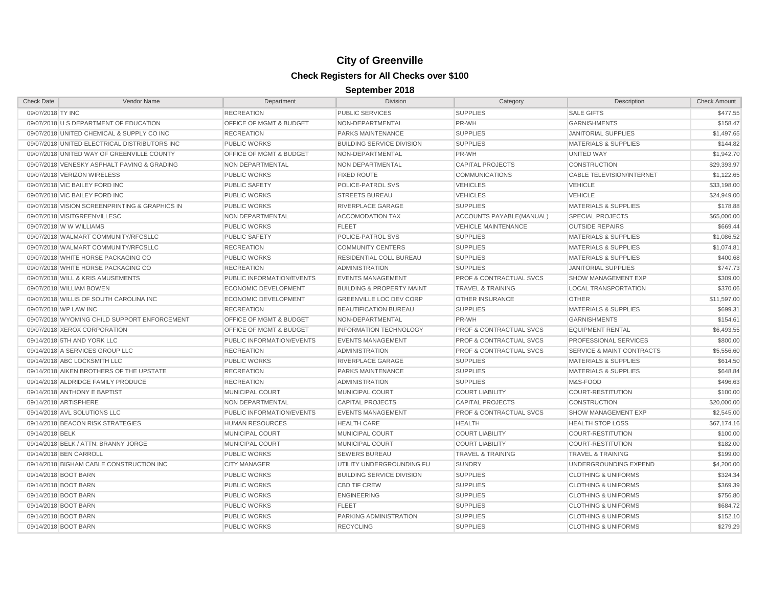| <b>Check Date</b>                              | Vendor Name | Department                  | <b>Division</b>                      | Category                           | Description                          | <b>Check Amount</b> |
|------------------------------------------------|-------------|-----------------------------|--------------------------------------|------------------------------------|--------------------------------------|---------------------|
| 09/07/2018 TY INC                              |             | <b>RECREATION</b>           | <b>PUBLIC SERVICES</b>               | <b>SUPPLIES</b>                    | <b>SALE GIFTS</b>                    | \$477.55            |
| 09/07/2018 U S DEPARTMENT OF EDUCATION         |             | OFFICE OF MGMT & BUDGET     | NON-DEPARTMENTAL                     | PR-WH                              | <b>GARNISHMENTS</b>                  | \$158.47            |
| 09/07/2018 UNITED CHEMICAL & SUPPLY CO INC     |             | <b>RECREATION</b>           | PARKS MAINTENANCE                    | <b>SUPPLIES</b>                    | <b>JANITORIAL SUPPLIES</b>           | \$1,497.65          |
| 09/07/2018 UNITED ELECTRICAL DISTRIBUTORS INC  |             | <b>PUBLIC WORKS</b>         | <b>BUILDING SERVICE DIVISION</b>     | <b>SUPPLIES</b>                    | <b>MATERIALS &amp; SUPPLIES</b>      | \$144.82            |
| 09/07/2018 UNITED WAY OF GREENVILLE COUNTY     |             | OFFICE OF MGMT & BUDGET     | NON-DEPARTMENTAL                     | PR-WH                              | <b>UNITED WAY</b>                    | \$1,942.70          |
| 09/07/2018 VENESKY ASPHALT PAVING & GRADING    |             | NON DEPARTMENTAL            | NON DEPARTMENTAL                     | <b>CAPITAL PROJECTS</b>            | <b>CONSTRUCTION</b>                  | \$29,393.97         |
| 09/07/2018 VERIZON WIRELESS                    |             | <b>PUBLIC WORKS</b>         | <b>FIXED ROUTE</b>                   | <b>COMMUNICATIONS</b>              | <b>CABLE TELEVISION/INTERNET</b>     | \$1,122.65          |
| 09/07/2018 VIC BAILEY FORD INC                 |             | <b>PUBLIC SAFETY</b>        | POLICE-PATROL SVS                    | <b>VEHICLES</b>                    | <b>VEHICLE</b>                       | \$33,198.00         |
| 09/07/2018 VIC BAILEY FORD INC                 |             | <b>PUBLIC WORKS</b>         | <b>STREETS BUREAU</b>                | <b>VEHICLES</b>                    | <b>VEHICLE</b>                       | \$24,949.00         |
| 09/07/2018 VISION SCREENPRINTING & GRAPHICS IN |             | <b>PUBLIC WORKS</b>         | RIVERPLACE GARAGE                    | <b>SUPPLIES</b>                    | <b>MATERIALS &amp; SUPPLIES</b>      | \$178.88            |
| 09/07/2018 VISITGREENVILLESC                   |             | <b>NON DEPARTMENTAL</b>     | <b>ACCOMODATION TAX</b>              | ACCOUNTS PAYABLE(MANUAL)           | <b>SPECIAL PROJECTS</b>              | \$65,000.00         |
| 09/07/2018 W W WILLIAMS                        |             | <b>PUBLIC WORKS</b>         | <b>FLEET</b>                         | <b>VEHICLE MAINTENANCE</b>         | <b>OUTSIDE REPAIRS</b>               | \$669.44            |
| 09/07/2018 WALMART COMMUNITY/RFCSLLC           |             | <b>PUBLIC SAFETY</b>        | POLICE-PATROL SVS                    | <b>SUPPLIES</b>                    | MATERIALS & SUPPLIES                 | \$1,086.52          |
| 09/07/2018 WALMART COMMUNITY/RFCSLLC           |             | <b>RECREATION</b>           | <b>COMMUNITY CENTERS</b>             | <b>SUPPLIES</b>                    | <b>MATERIALS &amp; SUPPLIES</b>      | \$1,074.81          |
| 09/07/2018 WHITE HORSE PACKAGING CO            |             | <b>PUBLIC WORKS</b>         | <b>RESIDENTIAL COLL BUREAU</b>       | <b>SUPPLIES</b>                    | <b>MATERIALS &amp; SUPPLIES</b>      | \$400.68            |
| 09/07/2018 WHITE HORSE PACKAGING CO            |             | <b>RECREATION</b>           | <b>ADMINISTRATION</b>                | <b>SUPPLIES</b>                    | <b>JANITORIAL SUPPLIES</b>           | \$747.73            |
| 09/07/2018 WILL & KRIS AMUSEMENTS              |             | PUBLIC INFORMATION/EVENTS   | <b>EVENTS MANAGEMENT</b>             | <b>PROF &amp; CONTRACTUAL SVCS</b> | <b>SHOW MANAGEMENT EXP</b>           | \$309.00            |
| 09/07/2018 WILLIAM BOWEN                       |             | <b>ECONOMIC DEVELOPMENT</b> | <b>BUILDING &amp; PROPERTY MAINT</b> | <b>TRAVEL &amp; TRAINING</b>       | <b>LOCAL TRANSPORTATION</b>          | \$370.06            |
| 09/07/2018 WILLIS OF SOUTH CAROLINA INC        |             | <b>ECONOMIC DEVELOPMENT</b> | <b>GREENVILLE LOC DEV CORP</b>       | <b>OTHER INSURANCE</b>             | <b>OTHER</b>                         | \$11,597.00         |
| 09/07/2018 WP LAW INC                          |             | <b>RECREATION</b>           | <b>BEAUTIFICATION BUREAU</b>         | <b>SUPPLIES</b>                    | <b>MATERIALS &amp; SUPPLIES</b>      | \$699.31            |
| 09/07/2018 WYOMING CHILD SUPPORT ENFORCEMENT   |             | OFFICE OF MGMT & BUDGET     | NON-DEPARTMENTAL                     | PR-WH                              | <b>GARNISHMENTS</b>                  | \$154.61            |
| 09/07/2018 XEROX CORPORATION                   |             | OFFICE OF MGMT & BUDGET     | <b>INFORMATION TECHNOLOGY</b>        | <b>PROF &amp; CONTRACTUAL SVCS</b> | <b>EQUIPMENT RENTAL</b>              | \$6,493.55          |
| 09/14/2018 5TH AND YORK LLC                    |             | PUBLIC INFORMATION/EVENTS   | <b>EVENTS MANAGEMENT</b>             | <b>PROF &amp; CONTRACTUAL SVCS</b> | PROFESSIONAL SERVICES                | \$800.00            |
| 09/14/2018 A SERVICES GROUP LLC                |             | <b>RECREATION</b>           | <b>ADMINISTRATION</b>                | <b>PROF &amp; CONTRACTUAL SVCS</b> | <b>SERVICE &amp; MAINT CONTRACTS</b> | \$5,556.60          |
| 09/14/2018 ABC LOCKSMITH LLC                   |             | <b>PUBLIC WORKS</b>         | RIVERPLACE GARAGE                    | <b>SUPPLIES</b>                    | <b>MATERIALS &amp; SUPPLIES</b>      | \$614.50            |
| 09/14/2018 AIKEN BROTHERS OF THE UPSTATE       |             | <b>RECREATION</b>           | PARKS MAINTENANCE                    | <b>SUPPLIES</b>                    | <b>MATERIALS &amp; SUPPLIES</b>      | \$648.84            |
| 09/14/2018 ALDRIDGE FAMILY PRODUCE             |             | <b>RECREATION</b>           | <b>ADMINISTRATION</b>                | <b>SUPPLIES</b>                    | M&S-FOOD                             | \$496.63            |
| 09/14/2018 ANTHONY E BAPTIST                   |             | MUNICIPAL COURT             | <b>MUNICIPAL COURT</b>               | <b>COURT LIABILITY</b>             | <b>COURT-RESTITUTION</b>             | \$100.00            |
| 09/14/2018 ARTISPHERE                          |             | NON DEPARTMENTAL            | <b>CAPITAL PROJECTS</b>              | <b>CAPITAL PROJECTS</b>            | <b>CONSTRUCTION</b>                  | \$20,000.00         |
| 09/14/2018 AVL SOLUTIONS LLC                   |             | PUBLIC INFORMATION/EVENTS   | <b>EVENTS MANAGEMENT</b>             | <b>PROF &amp; CONTRACTUAL SVCS</b> | <b>SHOW MANAGEMENT EXP</b>           | \$2,545.00          |
| 09/14/2018 BEACON RISK STRATEGIES              |             | <b>HUMAN RESOURCES</b>      | <b>HEALTH CARE</b>                   | <b>HEALTH</b>                      | <b>HEALTH STOP LOSS</b>              | \$67,174.16         |
| 09/14/2018 BELK                                |             | <b>MUNICIPAL COURT</b>      | MUNICIPAL COURT                      | <b>COURT LIABILITY</b>             | COURT-RESTITUTION                    | \$100.00            |
| 09/14/2018 BELK / ATTN: BRANNY JORGE           |             | <b>MUNICIPAL COURT</b>      | MUNICIPAL COURT                      | <b>COURT LIABILITY</b>             | <b>COURT-RESTITUTION</b>             | \$182.00            |
| 09/14/2018 BEN CARROLL                         |             | <b>PUBLIC WORKS</b>         | <b>SEWERS BUREAU</b>                 | <b>TRAVEL &amp; TRAINING</b>       | <b>TRAVEL &amp; TRAINING</b>         | \$199.00            |
| 09/14/2018 BIGHAM CABLE CONSTRUCTION INC       |             | <b>CITY MANAGER</b>         | UTILITY UNDERGROUNDING FU            | <b>SUNDRY</b>                      | UNDERGROUNDING EXPEND                | \$4,200.00          |
| 09/14/2018 BOOT BARN                           |             | <b>PUBLIC WORKS</b>         | <b>BUILDING SERVICE DIVISION</b>     | <b>SUPPLIES</b>                    | <b>CLOTHING &amp; UNIFORMS</b>       | \$324.34            |
| 09/14/2018 BOOT BARN                           |             | <b>PUBLIC WORKS</b>         | <b>CBD TIF CREW</b>                  | <b>SUPPLIES</b>                    | <b>CLOTHING &amp; UNIFORMS</b>       | \$369.39            |
| 09/14/2018 BOOT BARN                           |             | <b>PUBLIC WORKS</b>         | <b>ENGINEERING</b>                   | <b>SUPPLIES</b>                    | <b>CLOTHING &amp; UNIFORMS</b>       | \$756.80            |
| 09/14/2018 BOOT BARN                           |             | <b>PUBLIC WORKS</b>         | <b>FLEET</b>                         | <b>SUPPLIES</b>                    | <b>CLOTHING &amp; UNIFORMS</b>       | \$684.72            |
| 09/14/2018 BOOT BARN                           |             | <b>PUBLIC WORKS</b>         | PARKING ADMINISTRATION               | <b>SUPPLIES</b>                    | <b>CLOTHING &amp; UNIFORMS</b>       | \$152.10            |
| 09/14/2018 BOOT BARN                           |             | <b>PUBLIC WORKS</b>         | <b>RECYCLING</b>                     | <b>SUPPLIES</b>                    | <b>CLOTHING &amp; UNIFORMS</b>       | \$279.29            |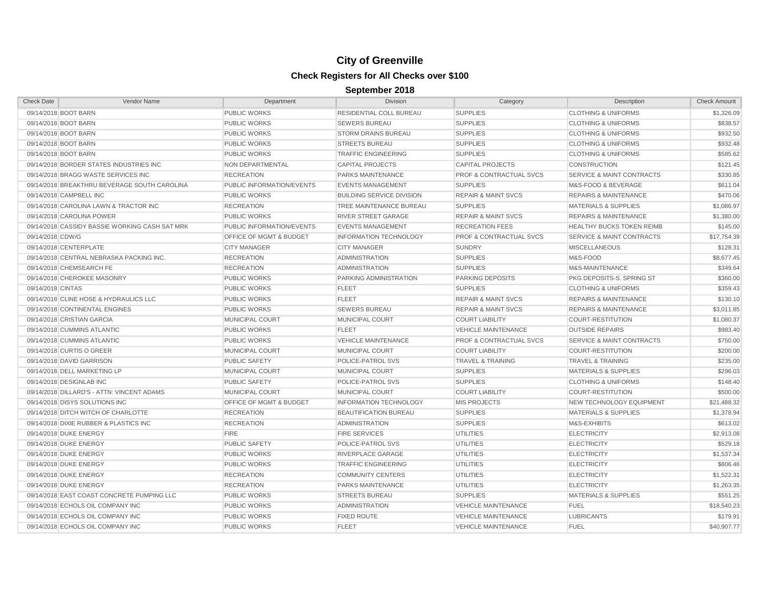| <b>Check Date</b>                          | Vendor Name                                    | Department                         | <b>Division</b>                  | Category                           | Description                          | <b>Check Amount</b> |
|--------------------------------------------|------------------------------------------------|------------------------------------|----------------------------------|------------------------------------|--------------------------------------|---------------------|
| 09/14/2018 BOOT BARN                       |                                                | <b>PUBLIC WORKS</b>                | RESIDENTIAL COLL BUREAU          | <b>SUPPLIES</b>                    | <b>CLOTHING &amp; UNIFORMS</b>       | \$1,326.09          |
| 09/14/2018 BOOT BARN                       |                                                | <b>PUBLIC WORKS</b>                | <b>SEWERS BUREAU</b>             | <b>SUPPLIES</b>                    | <b>CLOTHING &amp; UNIFORMS</b>       | \$838.57            |
| 09/14/2018 BOOT BARN                       |                                                | <b>PUBLIC WORKS</b>                | <b>STORM DRAINS BUREAU</b>       | <b>SUPPLIES</b>                    | <b>CLOTHING &amp; UNIFORMS</b>       | \$932.50            |
| 09/14/2018 BOOT BARN                       |                                                | <b>PUBLIC WORKS</b>                | <b>STREETS BUREAU</b>            | <b>SUPPLIES</b>                    | <b>CLOTHING &amp; UNIFORMS</b>       | \$932.48            |
| 09/14/2018 BOOT BARN                       |                                                | <b>PUBLIC WORKS</b>                | <b>TRAFFIC ENGINEERING</b>       | <b>SUPPLIES</b>                    | <b>CLOTHING &amp; UNIFORMS</b>       | \$585.62            |
| 09/14/2018 BORDER STATES INDUSTRIES INC    |                                                | NON DEPARTMENTAL                   | <b>CAPITAL PROJECTS</b>          | <b>CAPITAL PROJECTS</b>            | <b>CONSTRUCTION</b>                  | \$121.45            |
| 09/14/2018 BRAGG WASTE SERVICES INC        |                                                | <b>RECREATION</b>                  | PARKS MAINTENANCE                | <b>PROF &amp; CONTRACTUAL SVCS</b> | <b>SERVICE &amp; MAINT CONTRACTS</b> | \$330.85            |
|                                            | 09/14/2018 BREAKTHRU BEVERAGE SOUTH CAROLINA   | PUBLIC INFORMATION/EVENTS          | <b>EVENTS MANAGEMENT</b>         | <b>SUPPLIES</b>                    | M&S-FOOD & BEVERAGE                  | \$611.04            |
| 09/14/2018 CAMPBELL INC                    |                                                | <b>PUBLIC WORKS</b>                | <b>BUILDING SERVICE DIVISION</b> | <b>REPAIR &amp; MAINT SVCS</b>     | <b>REPAIRS &amp; MAINTENANCE</b>     | \$470.06            |
| 09/14/2018 CAROLINA LAWN & TRACTOR INC     |                                                | <b>RECREATION</b>                  | TREE MAINTENANCE BUREAU          | <b>SUPPLIES</b>                    | <b>MATERIALS &amp; SUPPLIES</b>      | \$1,086.97          |
| 09/14/2018 CAROLINA POWER                  |                                                | <b>PUBLIC WORKS</b>                | <b>RIVER STREET GARAGE</b>       | <b>REPAIR &amp; MAINT SVCS</b>     | <b>REPAIRS &amp; MAINTENANCE</b>     | \$1,380.00          |
|                                            | 09/14/2018 CASSIDY BASSIE WORKING CASH SAT MRK | PUBLIC INFORMATION/EVENTS          | <b>EVENTS MANAGEMENT</b>         | <b>RECREATION FEES</b>             | HEALTHY BUCKS TOKEN REIMB            | \$145.00            |
| 09/14/2018 CDW/G                           |                                                | <b>OFFICE OF MGMT &amp; BUDGET</b> | <b>INFORMATION TECHNOLOGY</b>    | <b>PROF &amp; CONTRACTUAL SVCS</b> | <b>SERVICE &amp; MAINT CONTRACTS</b> | \$17,754.39         |
| 09/14/2018 CENTERPLATE                     |                                                | <b>CITY MANAGER</b>                | <b>CITY MANAGER</b>              | <b>SUNDRY</b>                      | <b>MISCELLANEOUS</b>                 | \$128.31            |
| 09/14/2018 CENTRAL NEBRASKA PACKING INC.   |                                                | <b>RECREATION</b>                  | <b>ADMINISTRATION</b>            | <b>SUPPLIES</b>                    | M&S-FOOD                             | \$8,677.45          |
| 09/14/2018 CHEMSEARCH FE                   |                                                | <b>RECREATION</b>                  | <b>ADMINISTRATION</b>            | <b>SUPPLIES</b>                    | M&S-MAINTENANCE                      | \$349.64            |
| 09/14/2018 CHEROKEE MASONRY                |                                                | <b>PUBLIC WORKS</b>                | PARKING ADMINISTRATION           | <b>PARKING DEPOSITS</b>            | PKG DEPOSITS-S. SPRING ST            | \$360.00            |
| 09/14/2018 CINTAS                          |                                                | <b>PUBLIC WORKS</b>                | <b>FLEET</b>                     | <b>SUPPLIES</b>                    | <b>CLOTHING &amp; UNIFORMS</b>       | \$359.43            |
| 09/14/2018 CLINE HOSE & HYDRAULICS LLC     |                                                | <b>PUBLIC WORKS</b>                | <b>FLEET</b>                     | <b>REPAIR &amp; MAINT SVCS</b>     | <b>REPAIRS &amp; MAINTENANCE</b>     | \$130.10            |
| 09/14/2018 CONTINENTAL ENGINES             |                                                | <b>PUBLIC WORKS</b>                | <b>SEWERS BUREAU</b>             | <b>REPAIR &amp; MAINT SVCS</b>     | <b>REPAIRS &amp; MAINTENANCE</b>     | \$3,011.85          |
| 09/14/2018 CRISTIAN GARCIA                 |                                                | MUNICIPAL COURT                    | MUNICIPAL COURT                  | <b>COURT LIABILITY</b>             | <b>COURT-RESTITUTION</b>             | \$1,080.37          |
| 09/14/2018 CUMMINS ATLANTIC                |                                                | <b>PUBLIC WORKS</b>                | <b>FLEET</b>                     | <b>VEHICLE MAINTENANCE</b>         | <b>OUTSIDE REPAIRS</b>               | \$983.40            |
| 09/14/2018 CUMMINS ATLANTIC                |                                                | <b>PUBLIC WORKS</b>                | <b>VEHICLE MAINTENANCE</b>       | <b>PROF &amp; CONTRACTUAL SVCS</b> | <b>SERVICE &amp; MAINT CONTRACTS</b> | \$750.00            |
| 09/14/2018 CURTIS O GREER                  |                                                | MUNICIPAL COURT                    | MUNICIPAL COURT                  | <b>COURT LIABILITY</b>             | <b>COURT-RESTITUTION</b>             | \$200.00            |
| 09/14/2018 DAVID GARRISON                  |                                                | <b>PUBLIC SAFETY</b>               | POLICE-PATROL SVS                | <b>TRAVEL &amp; TRAINING</b>       | <b>TRAVEL &amp; TRAINING</b>         | \$235.00            |
| 09/14/2018 DELL MARKETING LP               |                                                | MUNICIPAL COURT                    | MUNICIPAL COURT                  | <b>SUPPLIES</b>                    | <b>MATERIALS &amp; SUPPLIES</b>      | \$296.03            |
| 09/14/2018 DESIGNLAB INC                   |                                                | <b>PUBLIC SAFETY</b>               | POLICE-PATROL SVS                | <b>SUPPLIES</b>                    | <b>CLOTHING &amp; UNIFORMS</b>       | \$148.40            |
| 09/14/2018 DILLARD'S - ATTN: VINCENT ADAMS |                                                | MUNICIPAL COURT                    | <b>MUNICIPAL COURT</b>           | <b>COURT LIABILITY</b>             | <b>COURT-RESTITUTION</b>             | \$500.00            |
| 09/14/2018 DISYS SOLUTIONS INC             |                                                | OFFICE OF MGMT & BUDGET            | <b>INFORMATION TECHNOLOGY</b>    | <b>MIS PROJECTS</b>                | <b>NEW TECHNOLOGY EQUIPMENT</b>      | \$21,488.32         |
| 09/14/2018 DITCH WITCH OF CHARLOTTE        |                                                | <b>RECREATION</b>                  | <b>BEAUTIFICATION BUREAU</b>     | <b>SUPPLIES</b>                    | <b>MATERIALS &amp; SUPPLIES</b>      | \$1,378.94          |
| 09/14/2018 DIXIE RUBBER & PLASTICS INC     |                                                | <b>RECREATION</b>                  | <b>ADMINISTRATION</b>            | <b>SUPPLIES</b>                    | M&S-EXHIBITS                         | \$613.02            |
| 09/14/2018 DUKE ENERGY                     |                                                | <b>FIRE</b>                        | <b>FIRE SERVICES</b>             | <b>UTILITIES</b>                   | <b>ELECTRICITY</b>                   | \$2,913.08          |
| 09/14/2018 DUKE ENERGY                     |                                                | <b>PUBLIC SAFETY</b>               | POLICE-PATROL SVS                | <b>UTILITIES</b>                   | <b>ELECTRICITY</b>                   | \$529.18            |
| 09/14/2018 DUKE ENERGY                     |                                                | <b>PUBLIC WORKS</b>                | RIVERPLACE GARAGE                | UTILITIES                          | <b>ELECTRICITY</b>                   | \$1,537.34          |
| 09/14/2018 DUKE ENERGY                     |                                                | <b>PUBLIC WORKS</b>                | <b>TRAFFIC ENGINEERING</b>       | <b>UTILITIES</b>                   | <b>ELECTRICITY</b>                   | \$806.46            |
| 09/14/2018 DUKE ENERGY                     |                                                | <b>RECREATION</b>                  | <b>COMMUNITY CENTERS</b>         | <b>UTILITIES</b>                   | <b>ELECTRICITY</b>                   | \$1,522.31          |
| 09/14/2018 DUKE ENERGY                     |                                                | <b>RECREATION</b>                  | <b>PARKS MAINTENANCE</b>         | <b>UTILITIES</b>                   | <b>ELECTRICITY</b>                   | \$1,263.35          |
| 09/14/2018 EAST COAST CONCRETE PUMPING LLC |                                                | <b>PUBLIC WORKS</b>                | <b>STREETS BUREAU</b>            | <b>SUPPLIES</b>                    | <b>MATERIALS &amp; SUPPLIES</b>      | \$551.25            |
| 09/14/2018 ECHOLS OIL COMPANY INC          |                                                | <b>PUBLIC WORKS</b>                | <b>ADMINISTRATION</b>            | <b>VEHICLE MAINTENANCE</b>         | <b>FUEL</b>                          | \$18,540.23         |
| 09/14/2018 ECHOLS OIL COMPANY INC          |                                                | <b>PUBLIC WORKS</b>                | <b>FIXED ROUTE</b>               | <b>VEHICLE MAINTENANCE</b>         | <b>LUBRICANTS</b>                    | \$179.91            |
| 09/14/2018 ECHOLS OIL COMPANY INC          |                                                | <b>PUBLIC WORKS</b>                | <b>FLEET</b>                     | <b>VEHICLE MAINTENANCE</b>         | <b>FUEL</b>                          | \$40,907.77         |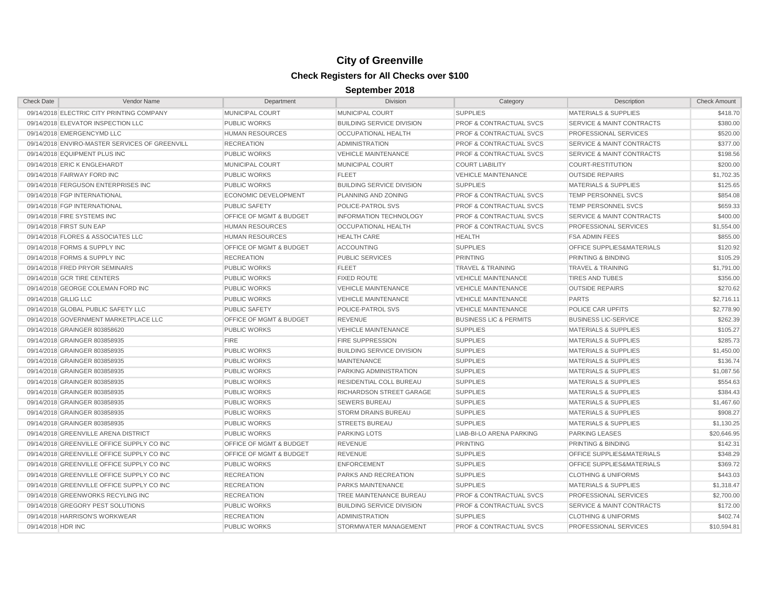| <b>Check Date</b>     | Vendor Name                                    | Department                         | Division                         | Category                           | Description                          | <b>Check Amount</b> |
|-----------------------|------------------------------------------------|------------------------------------|----------------------------------|------------------------------------|--------------------------------------|---------------------|
|                       | 09/14/2018 ELECTRIC CITY PRINTING COMPANY      | MUNICIPAL COURT                    | MUNICIPAL COURT                  | <b>SUPPLIES</b>                    | <b>MATERIALS &amp; SUPPLIES</b>      | \$418.70            |
|                       | 09/14/2018 ELEVATOR INSPECTION LLC             | <b>PUBLIC WORKS</b>                | <b>BUILDING SERVICE DIVISION</b> | <b>PROF &amp; CONTRACTUAL SVCS</b> | <b>SERVICE &amp; MAINT CONTRACTS</b> | \$380.00            |
|                       | 09/14/2018 EMERGENCYMD LLC                     | <b>HUMAN RESOURCES</b>             | <b>OCCUPATIONAL HEALTH</b>       | <b>PROF &amp; CONTRACTUAL SVCS</b> | PROFESSIONAL SERVICES                | \$520.00            |
|                       | 09/14/2018 ENVIRO-MASTER SERVICES OF GREENVILL | <b>RECREATION</b>                  | <b>ADMINISTRATION</b>            | <b>PROF &amp; CONTRACTUAL SVCS</b> | SERVICE & MAINT CONTRACTS            | \$377.00            |
|                       | 09/14/2018 EQUIPMENT PLUS INC                  | <b>PUBLIC WORKS</b>                | <b>VEHICLE MAINTENANCE</b>       | <b>PROF &amp; CONTRACTUAL SVCS</b> | <b>SERVICE &amp; MAINT CONTRACTS</b> | \$198.56            |
|                       | 09/14/2018 ERIC K ENGLEHARDT                   | MUNICIPAL COURT                    | MUNICIPAL COURT                  | <b>COURT LIABILITY</b>             | <b>COURT-RESTITUTION</b>             | \$200.00            |
|                       | 09/14/2018 FAIRWAY FORD INC                    | <b>PUBLIC WORKS</b>                | <b>FLEET</b>                     | <b>VEHICLE MAINTENANCE</b>         | <b>OUTSIDE REPAIRS</b>               | \$1,702.35          |
|                       | 09/14/2018 FERGUSON ENTERPRISES INC            | <b>PUBLIC WORKS</b>                | <b>BUILDING SERVICE DIVISION</b> | <b>SUPPLIES</b>                    | <b>MATERIALS &amp; SUPPLIES</b>      | \$125.65            |
|                       | 09/14/2018 FGP INTERNATIONAL                   | <b>ECONOMIC DEVELOPMENT</b>        | PLANNING AND ZONING              | PROF & CONTRACTUAL SVCS            | <b>TEMP PERSONNEL SVCS</b>           | \$854.08            |
|                       | 09/14/2018 FGP INTERNATIONAL                   | <b>PUBLIC SAFETY</b>               | POLICE-PATROL SVS                | PROF & CONTRACTUAL SVCS            | TEMP PERSONNEL SVCS                  | \$659.33            |
|                       | 09/14/2018 FIRE SYSTEMS INC                    | <b>OFFICE OF MGMT &amp; BUDGET</b> | <b>INFORMATION TECHNOLOGY</b>    | <b>PROF &amp; CONTRACTUAL SVCS</b> | <b>SERVICE &amp; MAINT CONTRACTS</b> | \$400.00            |
|                       | 09/14/2018 FIRST SUN EAP                       | <b>HUMAN RESOURCES</b>             | OCCUPATIONAL HEALTH              | <b>PROF &amp; CONTRACTUAL SVCS</b> | PROFESSIONAL SERVICES                | \$1,554.00          |
|                       | 09/14/2018 FLORES & ASSOCIATES LLC             | <b>HUMAN RESOURCES</b>             | <b>HEALTH CARE</b>               | <b>HEALTH</b>                      | <b>FSA ADMIN FEES</b>                | \$855.00            |
|                       | 09/14/2018 FORMS & SUPPLY INC                  | OFFICE OF MGMT & BUDGET            | <b>ACCOUNTING</b>                | <b>SUPPLIES</b>                    | OFFICE SUPPLIES&MATERIALS            | \$120.92            |
|                       | 09/14/2018 FORMS & SUPPLY INC                  | <b>RECREATION</b>                  | <b>PUBLIC SERVICES</b>           | <b>PRINTING</b>                    | PRINTING & BINDING                   | \$105.29            |
|                       | 09/14/2018 FRED PRYOR SEMINARS                 | <b>PUBLIC WORKS</b>                | <b>FLEET</b>                     | <b>TRAVEL &amp; TRAINING</b>       | <b>TRAVEL &amp; TRAINING</b>         | \$1,791.00          |
|                       | 09/14/2018 GCR TIRE CENTERS                    | <b>PUBLIC WORKS</b>                | <b>FIXED ROUTE</b>               | <b>VEHICLE MAINTENANCE</b>         | <b>TIRES AND TUBES</b>               | \$356.00            |
|                       | 09/14/2018 GEORGE COLEMAN FORD INC             | <b>PUBLIC WORKS</b>                | <b>VEHICLE MAINTENANCE</b>       | <b>VEHICLE MAINTENANCE</b>         | <b>OUTSIDE REPAIRS</b>               | \$270.62            |
| 09/14/2018 GILLIG LLC |                                                | <b>PUBLIC WORKS</b>                | <b>VEHICLE MAINTENANCE</b>       | <b>VEHICLE MAINTENANCE</b>         | <b>PARTS</b>                         | \$2,716.11          |
|                       | 09/14/2018 GLOBAL PUBLIC SAFETY LLC            | <b>PUBLIC SAFETY</b>               | POLICE-PATROL SVS                | <b>VEHICLE MAINTENANCE</b>         | POLICE CAR UPFITS                    | \$2,778.90          |
|                       | 09/14/2018 GOVERNMENT MARKETPLACE LLC          | OFFICE OF MGMT & BUDGET            | <b>REVENUE</b>                   | <b>BUSINESS LIC &amp; PERMITS</b>  | <b>BUSINESS LIC-SERVICE</b>          | \$262.39            |
|                       | 09/14/2018 GRAINGER 803858620                  | <b>PUBLIC WORKS</b>                | <b>VEHICLE MAINTENANCE</b>       | <b>SUPPLIES</b>                    | <b>MATERIALS &amp; SUPPLIES</b>      | \$105.27            |
|                       | 09/14/2018 GRAINGER 803858935                  | <b>FIRE</b>                        | <b>FIRE SUPPRESSION</b>          | <b>SUPPLIES</b>                    | <b>MATERIALS &amp; SUPPLIES</b>      | \$285.73            |
|                       | 09/14/2018 GRAINGER 803858935                  | <b>PUBLIC WORKS</b>                | <b>BUILDING SERVICE DIVISION</b> | <b>SUPPLIES</b>                    | <b>MATERIALS &amp; SUPPLIES</b>      | \$1,450.00          |
|                       | 09/14/2018 GRAINGER 803858935                  | <b>PUBLIC WORKS</b>                | <b>MAINTENANCE</b>               | <b>SUPPLIES</b>                    | <b>MATERIALS &amp; SUPPLIES</b>      | \$136.74            |
|                       | 09/14/2018 GRAINGER 803858935                  | <b>PUBLIC WORKS</b>                | PARKING ADMINISTRATION           | <b>SUPPLIES</b>                    | <b>MATERIALS &amp; SUPPLIES</b>      | \$1,087.56          |
|                       | 09/14/2018 GRAINGER 803858935                  | <b>PUBLIC WORKS</b>                | RESIDENTIAL COLL BUREAU          | <b>SUPPLIES</b>                    | <b>MATERIALS &amp; SUPPLIES</b>      | \$554.63            |
|                       | 09/14/2018 GRAINGER 803858935                  | <b>PUBLIC WORKS</b>                | RICHARDSON STREET GARAGE         | <b>SUPPLIES</b>                    | <b>MATERIALS &amp; SUPPLIES</b>      | \$384.43            |
|                       | 09/14/2018 GRAINGER 803858935                  | <b>PUBLIC WORKS</b>                | <b>SEWERS BUREAU</b>             | <b>SUPPLIES</b>                    | <b>MATERIALS &amp; SUPPLIES</b>      | \$1,467.60          |
|                       | 09/14/2018 GRAINGER 803858935                  | <b>PUBLIC WORKS</b>                | <b>STORM DRAINS BUREAU</b>       | <b>SUPPLIES</b>                    | <b>MATERIALS &amp; SUPPLIES</b>      | \$908.27            |
|                       | 09/14/2018 GRAINGER 803858935                  | <b>PUBLIC WORKS</b>                | <b>STREETS BUREAU</b>            | <b>SUPPLIES</b>                    | <b>MATERIALS &amp; SUPPLIES</b>      | \$1,130.25          |
|                       | 09/14/2018 GREENVILLE ARENA DISTRICT           | <b>PUBLIC WORKS</b>                | <b>PARKING LOTS</b>              | LIAB-BI-LO ARENA PARKING           | <b>PARKING LEASES</b>                | \$20,646.95         |
|                       | 09/14/2018 GREENVILLE OFFICE SUPPLY CO INC     | OFFICE OF MGMT & BUDGET            | <b>REVENUE</b>                   | <b>PRINTING</b>                    | PRINTING & BINDING                   | \$142.31            |
|                       | 09/14/2018 GREENVILLE OFFICE SUPPLY CO INC     | OFFICE OF MGMT & BUDGET            | <b>REVENUE</b>                   | <b>SUPPLIES</b>                    | OFFICE SUPPLIES&MATERIALS            | \$348.29            |
|                       | 09/14/2018 GREENVILLE OFFICE SUPPLY CO INC     | <b>PUBLIC WORKS</b>                | <b>ENFORCEMENT</b>               | <b>SUPPLIES</b>                    | OFFICE SUPPLIES&MATERIALS            | \$369.72            |
|                       | 09/14/2018 GREENVILLE OFFICE SUPPLY CO INC     | <b>RECREATION</b>                  | PARKS AND RECREATION             | <b>SUPPLIES</b>                    | <b>CLOTHING &amp; UNIFORMS</b>       | \$443.03            |
|                       | 09/14/2018 GREENVILLE OFFICE SUPPLY CO INC     | <b>RECREATION</b>                  | <b>PARKS MAINTENANCE</b>         | <b>SUPPLIES</b>                    | <b>MATERIALS &amp; SUPPLIES</b>      | \$1,318.47          |
|                       | 09/14/2018 GREENWORKS RECYLING INC             | <b>RECREATION</b>                  | TREE MAINTENANCE BUREAU          | <b>PROF &amp; CONTRACTUAL SVCS</b> | PROFESSIONAL SERVICES                | \$2,700.00          |
|                       | 09/14/2018 GREGORY PEST SOLUTIONS              | <b>PUBLIC WORKS</b>                | <b>BUILDING SERVICE DIVISION</b> | <b>PROF &amp; CONTRACTUAL SVCS</b> | <b>SERVICE &amp; MAINT CONTRACTS</b> | \$172.00            |
|                       | 09/14/2018 HARRISON'S WORKWEAR                 | <b>RECREATION</b>                  | <b>ADMINISTRATION</b>            | <b>SUPPLIES</b>                    | <b>CLOTHING &amp; UNIFORMS</b>       | \$402.74            |
| 09/14/2018 HDR INC    |                                                | <b>PUBLIC WORKS</b>                | STORMWATER MANAGEMENT            | <b>PROF &amp; CONTRACTUAL SVCS</b> | PROFESSIONAL SERVICES                | \$10,594.81         |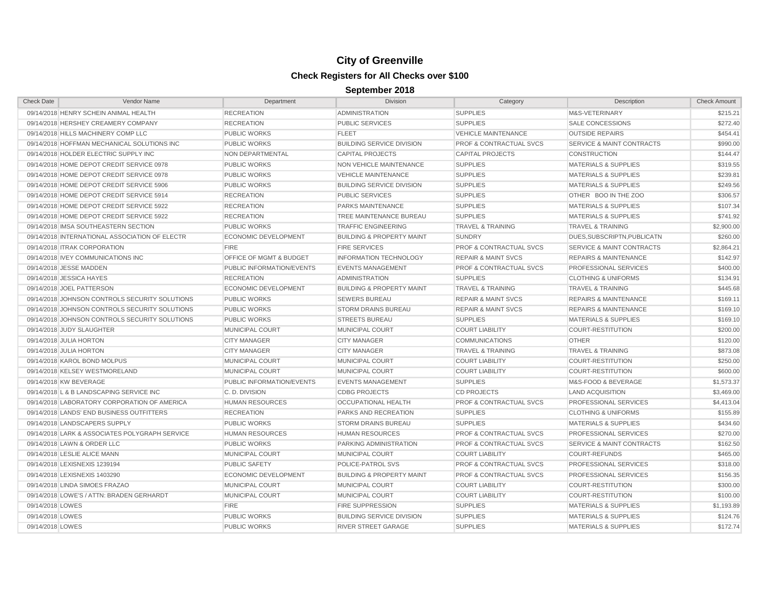| <b>Check Date</b> | Vendor Name                                    | Department                         | <b>Division</b>                      | Category                           | Description                          | <b>Check Amount</b> |
|-------------------|------------------------------------------------|------------------------------------|--------------------------------------|------------------------------------|--------------------------------------|---------------------|
|                   | 09/14/2018 HENRY SCHEIN ANIMAL HEALTH          | <b>RECREATION</b>                  | <b>ADMINISTRATION</b>                | <b>SUPPLIES</b>                    | M&S-VETERINARY                       | \$215.21            |
|                   | 09/14/2018 HERSHEY CREAMERY COMPANY            | <b>RECREATION</b>                  | <b>PUBLIC SERVICES</b>               | <b>SUPPLIES</b>                    | <b>SALE CONCESSIONS</b>              | \$272.40            |
|                   | 09/14/2018 HILLS MACHINERY COMP LLC            | <b>PUBLIC WORKS</b>                | <b>FLEET</b>                         | <b>VEHICLE MAINTENANCE</b>         | <b>OUTSIDE REPAIRS</b>               | \$454.41            |
|                   | 09/14/2018 HOFFMAN MECHANICAL SOLUTIONS INC    | <b>PUBLIC WORKS</b>                | <b>BUILDING SERVICE DIVISION</b>     | <b>PROF &amp; CONTRACTUAL SVCS</b> | <b>SERVICE &amp; MAINT CONTRACTS</b> | \$990.00            |
|                   | 09/14/2018 HOLDER ELECTRIC SUPPLY INC          | NON DEPARTMENTAL                   | <b>CAPITAL PROJECTS</b>              | <b>CAPITAL PROJECTS</b>            | <b>CONSTRUCTION</b>                  | \$144.47            |
|                   | 09/14/2018 HOME DEPOT CREDIT SERVICE 0978      | <b>PUBLIC WORKS</b>                | <b>NON VEHICLE MAINTENANCE</b>       | <b>SUPPLIES</b>                    | <b>MATERIALS &amp; SUPPLIES</b>      | \$319.55            |
|                   | 09/14/2018 HOME DEPOT CREDIT SERVICE 0978      | <b>PUBLIC WORKS</b>                | <b>VEHICLE MAINTENANCE</b>           | <b>SUPPLIES</b>                    | <b>MATERIALS &amp; SUPPLIES</b>      | \$239.81            |
|                   | 09/14/2018 HOME DEPOT CREDIT SERVICE 5906      | <b>PUBLIC WORKS</b>                | <b>BUILDING SERVICE DIVISION</b>     | <b>SUPPLIES</b>                    | <b>MATERIALS &amp; SUPPLIES</b>      | \$249.56            |
|                   | 09/14/2018 HOME DEPOT CREDIT SERVICE 5914      | <b>RECREATION</b>                  | <b>PUBLIC SERVICES</b>               | <b>SUPPLIES</b>                    | OTHER BOO IN THE ZOO                 | \$306.57            |
|                   | 09/14/2018 HOME DEPOT CREDIT SERVICE 5922      | <b>RECREATION</b>                  | <b>PARKS MAINTENANCE</b>             | <b>SUPPLIES</b>                    | <b>MATERIALS &amp; SUPPLIES</b>      | \$107.34            |
|                   | 09/14/2018 HOME DEPOT CREDIT SERVICE 5922      | <b>RECREATION</b>                  | TREE MAINTENANCE BUREAU              | <b>SUPPLIES</b>                    | <b>MATERIALS &amp; SUPPLIES</b>      | \$741.92            |
|                   | 09/14/2018 IMSA SOUTHEASTERN SECTION           | <b>PUBLIC WORKS</b>                | <b>TRAFFIC ENGINEERING</b>           | <b>TRAVEL &amp; TRAINING</b>       | <b>TRAVEL &amp; TRAINING</b>         | \$2,900.00          |
|                   | 09/14/2018 INTERNATIONAL ASSOCIATION OF ELECTR | <b>ECONOMIC DEVELOPMENT</b>        | <b>BUILDING &amp; PROPERTY MAINT</b> | <b>SUNDRY</b>                      | DUES.SUBSCRIPTN.PUBLICATN            | \$260.00            |
|                   | 09/14/2018 ITRAK CORPORATION                   | <b>FIRE</b>                        | <b>FIRE SERVICES</b>                 | <b>PROF &amp; CONTRACTUAL SVCS</b> | <b>SERVICE &amp; MAINT CONTRACTS</b> | \$2.864.21          |
|                   | 09/14/2018 IVEY COMMUNICATIONS INC             | <b>OFFICE OF MGMT &amp; BUDGET</b> | <b>INFORMATION TECHNOLOGY</b>        | <b>REPAIR &amp; MAINT SVCS</b>     | <b>REPAIRS &amp; MAINTENANCE</b>     | \$142.97            |
|                   | 09/14/2018 JESSE MADDEN                        | PUBLIC INFORMATION/EVENTS          | <b>EVENTS MANAGEMENT</b>             | <b>PROF &amp; CONTRACTUAL SVCS</b> | PROFESSIONAL SERVICES                | \$400.00            |
|                   | 09/14/2018 JESSICA HAYES                       | <b>RECREATION</b>                  | <b>ADMINISTRATION</b>                | <b>SUPPLIES</b>                    | <b>CLOTHING &amp; UNIFORMS</b>       | \$134.91            |
|                   | 09/14/2018 JOEL PATTERSON                      | <b>ECONOMIC DEVELOPMENT</b>        | <b>BUILDING &amp; PROPERTY MAINT</b> | <b>TRAVEL &amp; TRAINING</b>       | <b>TRAVEL &amp; TRAINING</b>         | \$445.68            |
|                   | 09/14/2018 JOHNSON CONTROLS SECURITY SOLUTIONS | <b>PUBLIC WORKS</b>                | <b>SEWERS BUREAU</b>                 | <b>REPAIR &amp; MAINT SVCS</b>     | <b>REPAIRS &amp; MAINTENANCE</b>     | \$169.11            |
|                   | 09/14/2018 JOHNSON CONTROLS SECURITY SOLUTIONS | <b>PUBLIC WORKS</b>                | <b>STORM DRAINS BUREAU</b>           | <b>REPAIR &amp; MAINT SVCS</b>     | <b>REPAIRS &amp; MAINTENANCE</b>     | \$169.10            |
|                   | 09/14/2018 JOHNSON CONTROLS SECURITY SOLUTIONS | <b>PUBLIC WORKS</b>                | <b>STREETS BUREAU</b>                | <b>SUPPLIES</b>                    | <b>MATERIALS &amp; SUPPLIES</b>      | \$169.10            |
|                   | 09/14/2018 JUDY SLAUGHTER                      | MUNICIPAL COURT                    | MUNICIPAL COURT                      | <b>COURT LIABILITY</b>             | <b>COURT-RESTITUTION</b>             | \$200.00            |
|                   | 09/14/2018 JULIA HORTON                        | <b>CITY MANAGER</b>                | <b>CITY MANAGER</b>                  | <b>COMMUNICATIONS</b>              | <b>OTHER</b>                         | \$120.00            |
|                   | 09/14/2018 JULIA HORTON                        | <b>CITY MANAGER</b>                | <b>CITY MANAGER</b>                  | <b>TRAVEL &amp; TRAINING</b>       | <b>TRAVEL &amp; TRAINING</b>         | \$873.08            |
|                   | 09/14/2018 KAROL BOND MOLPUS                   | MUNICIPAL COURT                    | <b>MUNICIPAL COURT</b>               | <b>COURT LIABILITY</b>             | <b>COURT-RESTITUTION</b>             | \$250.00            |
|                   | 09/14/2018 KELSEY WESTMORELAND                 | MUNICIPAL COURT                    | MUNICIPAL COURT                      | <b>COURT LIABILITY</b>             | <b>COURT-RESTITUTION</b>             | \$600.00            |
|                   | 09/14/2018 KW BEVERAGE                         | PUBLIC INFORMATION/EVENTS          | <b>EVENTS MANAGEMENT</b>             | <b>SUPPLIES</b>                    | M&S-FOOD & BEVERAGE                  | \$1,573.37          |
|                   | 09/14/2018 L & B LANDSCAPING SERVICE INC       | C.D. DIVISION                      | <b>CDBG PROJECTS</b>                 | <b>CD PROJECTS</b>                 | <b>LAND ACQUISITION</b>              | \$3,469.00          |
|                   | 09/14/2018 LABORATORY CORPORATION OF AMERICA   | <b>HUMAN RESOURCES</b>             | <b>OCCUPATIONAL HEALTH</b>           | <b>PROF &amp; CONTRACTUAL SVCS</b> | PROFESSIONAL SERVICES                | \$4,413.04          |
|                   | 09/14/2018 LANDS' END BUSINESS OUTFITTERS      | <b>RECREATION</b>                  | PARKS AND RECREATION                 | <b>SUPPLIES</b>                    | <b>CLOTHING &amp; UNIFORMS</b>       | \$155.89            |
|                   | 09/14/2018 LANDSCAPERS SUPPLY                  | <b>PUBLIC WORKS</b>                | <b>STORM DRAINS BUREAU</b>           | <b>SUPPLIES</b>                    | <b>MATERIALS &amp; SUPPLIES</b>      | \$434.60            |
|                   | 09/14/2018 LARK & ASSOCIATES POLYGRAPH SERVICE | <b>HUMAN RESOURCES</b>             | <b>HUMAN RESOURCES</b>               | <b>PROF &amp; CONTRACTUAL SVCS</b> | <b>PROFESSIONAL SERVICES</b>         | \$270.00            |
|                   | 09/14/2018 LAWN & ORDER LLC                    | <b>PUBLIC WORKS</b>                | PARKING ADMINISTRATION               | <b>PROF &amp; CONTRACTUAL SVCS</b> | <b>SERVICE &amp; MAINT CONTRACTS</b> | \$162.50            |
|                   | 09/14/2018 LESLIE ALICE MANN                   | MUNICIPAL COURT                    | MUNICIPAL COURT                      | <b>COURT LIABILITY</b>             | <b>COURT-REFUNDS</b>                 | \$465.00            |
|                   | 09/14/2018 LEXISNEXIS 1239194                  | <b>PUBLIC SAFETY</b>               | POLICE-PATROL SVS                    | <b>PROF &amp; CONTRACTUAL SVCS</b> | PROFESSIONAL SERVICES                | \$318.00            |
|                   | 09/14/2018 LEXISNEXIS 1403290                  | <b>ECONOMIC DEVELOPMENT</b>        | <b>BUILDING &amp; PROPERTY MAINT</b> | <b>PROF &amp; CONTRACTUAL SVCS</b> | PROFESSIONAL SERVICES                | \$156.35            |
|                   | 09/14/2018 LINDA SIMOES FRAZAO                 | MUNICIPAL COURT                    | <b>MUNICIPAL COURT</b>               | <b>COURT LIABILITY</b>             | <b>COURT-RESTITUTION</b>             | \$300.00            |
|                   | 09/14/2018 LOWE'S / ATTN: BRADEN GERHARDT      | MUNICIPAL COURT                    | MUNICIPAL COURT                      | <b>COURT LIABILITY</b>             | <b>COURT-RESTITUTION</b>             | \$100.00            |
| 09/14/2018 LOWES  |                                                | <b>FIRE</b>                        | <b>FIRE SUPPRESSION</b>              | <b>SUPPLIES</b>                    | <b>MATERIALS &amp; SUPPLIES</b>      | \$1,193.89          |
| 09/14/2018 LOWES  |                                                | <b>PUBLIC WORKS</b>                | <b>BUILDING SERVICE DIVISION</b>     | <b>SUPPLIES</b>                    | <b>MATERIALS &amp; SUPPLIES</b>      | \$124.76            |
| 09/14/2018 LOWES  |                                                | <b>PUBLIC WORKS</b>                | <b>RIVER STREET GARAGE</b>           | <b>SUPPLIES</b>                    | <b>MATERIALS &amp; SUPPLIES</b>      | \$172.74            |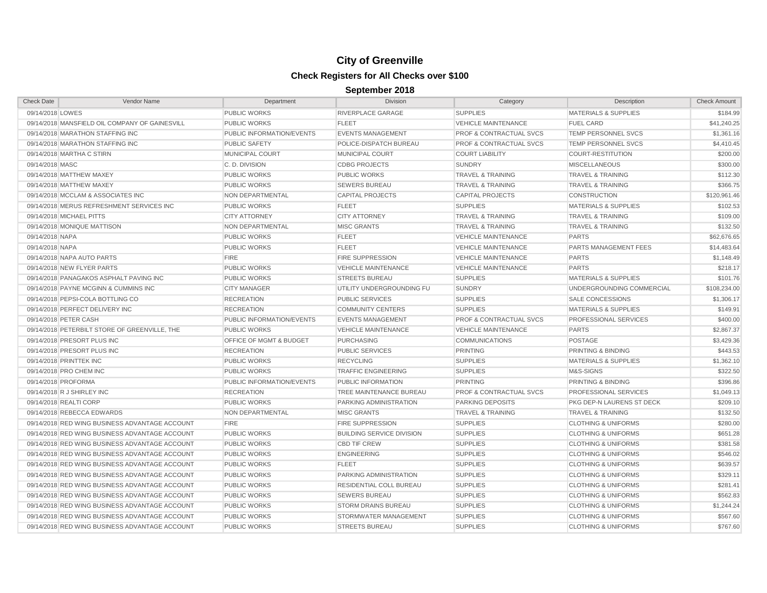| <b>Check Date</b>           | Vendor Name                                    | Department                | <b>Division</b>                  | Category                           | Description                     | <b>Check Amount</b> |
|-----------------------------|------------------------------------------------|---------------------------|----------------------------------|------------------------------------|---------------------------------|---------------------|
| 09/14/2018 LOWES            |                                                | <b>PUBLIC WORKS</b>       | RIVERPLACE GARAGE                | <b>SUPPLIES</b>                    | <b>MATERIALS &amp; SUPPLIES</b> | \$184.99            |
|                             | 09/14/2018 MANSFIELD OIL COMPANY OF GAINESVILL | <b>PUBLIC WORKS</b>       | <b>FLEET</b>                     | <b>VEHICLE MAINTENANCE</b>         | <b>FUEL CARD</b>                | \$41,240.25         |
|                             | 09/14/2018 MARATHON STAFFING INC               | PUBLIC INFORMATION/EVENTS | <b>EVENTS MANAGEMENT</b>         | <b>PROF &amp; CONTRACTUAL SVCS</b> | <b>TEMP PERSONNEL SVCS</b>      | \$1,361.16          |
|                             | 09/14/2018 MARATHON STAFFING INC               | <b>PUBLIC SAFETY</b>      | POLICE-DISPATCH BUREAU           | <b>PROF &amp; CONTRACTUAL SVCS</b> | TEMP PERSONNEL SVCS             | \$4,410.45          |
| 09/14/2018 MARTHA C STIRN   |                                                | MUNICIPAL COURT           | <b>MUNICIPAL COURT</b>           | <b>COURT LIABILITY</b>             | <b>COURT-RESTITUTION</b>        | \$200.00            |
| 09/14/2018 MASC             |                                                | C.D. DIVISION             | <b>CDBG PROJECTS</b>             | <b>SUNDRY</b>                      | <b>MISCELLANEOUS</b>            | \$300.00            |
| 09/14/2018 MATTHEW MAXEY    |                                                | <b>PUBLIC WORKS</b>       | <b>PUBLIC WORKS</b>              | <b>TRAVEL &amp; TRAINING</b>       | <b>TRAVEL &amp; TRAINING</b>    | \$112.30            |
| 09/14/2018 MATTHEW MAXEY    |                                                | <b>PUBLIC WORKS</b>       | <b>SEWERS BUREAU</b>             | <b>TRAVEL &amp; TRAINING</b>       | <b>TRAVEL &amp; TRAINING</b>    | \$366.75            |
|                             | 09/14/2018 MCCLAM & ASSOCIATES INC             | NON DEPARTMENTAL          | <b>CAPITAL PROJECTS</b>          | <b>CAPITAL PROJECTS</b>            | <b>CONSTRUCTION</b>             | \$120,961.46        |
|                             | 09/14/2018 MERUS REFRESHMENT SERVICES INC      | <b>PUBLIC WORKS</b>       | <b>FLEET</b>                     | <b>SUPPLIES</b>                    | <b>MATERIALS &amp; SUPPLIES</b> | \$102.53            |
| 09/14/2018 MICHAEL PITTS    |                                                | <b>CITY ATTORNEY</b>      | <b>CITY ATTORNEY</b>             | <b>TRAVEL &amp; TRAINING</b>       | <b>TRAVEL &amp; TRAINING</b>    | \$109.00            |
| 09/14/2018 MONIQUE MATTISON |                                                | NON DEPARTMENTAL          | <b>MISC GRANTS</b>               | <b>TRAVEL &amp; TRAINING</b>       | <b>TRAVEL &amp; TRAINING</b>    | \$132.50            |
| 09/14/2018 NAPA             |                                                | <b>PUBLIC WORKS</b>       | <b>FLEET</b>                     | <b>VEHICLE MAINTENANCE</b>         | <b>PARTS</b>                    | \$62,676.65         |
| 09/14/2018 NAPA             |                                                | <b>PUBLIC WORKS</b>       | <b>FLEET</b>                     | <b>VEHICLE MAINTENANCE</b>         | PARTS MANAGEMENT FEES           | \$14,483.64         |
| 09/14/2018 NAPA AUTO PARTS  |                                                | <b>FIRE</b>               | <b>FIRE SUPPRESSION</b>          | <b>VEHICLE MAINTENANCE</b>         | <b>PARTS</b>                    | \$1,148.49          |
| 09/14/2018 NEW FLYER PARTS  |                                                | <b>PUBLIC WORKS</b>       | <b>VEHICLE MAINTENANCE</b>       | VEHICLE MAINTENANCE                | <b>PARTS</b>                    | \$218.17            |
|                             | 09/14/2018 PANAGAKOS ASPHALT PAVING INC        | <b>PUBLIC WORKS</b>       | <b>STREETS BUREAU</b>            | <b>SUPPLIES</b>                    | MATERIALS & SUPPLIES            | \$101.76            |
|                             | 09/14/2018 PAYNE MCGINN & CUMMINS INC          | <b>CITY MANAGER</b>       | UTILITY UNDERGROUNDING FU        | SUNDRY                             | UNDERGROUNDING COMMERCIAL       | \$108,234.00        |
|                             | 09/14/2018 PEPSI-COLA BOTTLING CO              | <b>RECREATION</b>         | <b>PUBLIC SERVICES</b>           | <b>SUPPLIES</b>                    | <b>SALE CONCESSIONS</b>         | \$1,306.17          |
|                             | 09/14/2018 PERFECT DELIVERY INC                | <b>RECREATION</b>         | <b>COMMUNITY CENTERS</b>         | <b>SUPPLIES</b>                    | <b>MATERIALS &amp; SUPPLIES</b> | \$149.91            |
| 09/14/2018 PETER CASH       |                                                | PUBLIC INFORMATION/EVENTS | <b>EVENTS MANAGEMENT</b>         | <b>PROF &amp; CONTRACTUAL SVCS</b> | PROFESSIONAL SERVICES           | \$400.00            |
|                             | 09/14/2018 PETERBILT STORE OF GREENVILLE, THE  | <b>PUBLIC WORKS</b>       | <b>VEHICLE MAINTENANCE</b>       | <b>VEHICLE MAINTENANCE</b>         | <b>PARTS</b>                    | \$2,867.37          |
| 09/14/2018 PRESORT PLUS INC |                                                | OFFICE OF MGMT & BUDGET   | <b>PURCHASING</b>                | <b>COMMUNICATIONS</b>              | POSTAGE                         | \$3,429.36          |
| 09/14/2018 PRESORT PLUS INC |                                                | <b>RECREATION</b>         | <b>PUBLIC SERVICES</b>           | PRINTING                           | PRINTING & BINDING              | \$443.53            |
| 09/14/2018 PRINTTEK INC     |                                                | <b>PUBLIC WORKS</b>       | <b>RECYCLING</b>                 | <b>SUPPLIES</b>                    | <b>MATERIALS &amp; SUPPLIES</b> | \$1,362.10          |
| 09/14/2018 PRO CHEM INC     |                                                | <b>PUBLIC WORKS</b>       | <b>TRAFFIC ENGINEERING</b>       | <b>SUPPLIES</b>                    | M&S-SIGNS                       | \$322.50            |
| 09/14/2018 PROFORMA         |                                                | PUBLIC INFORMATION/EVENTS | PUBLIC INFORMATION               | <b>PRINTING</b>                    | PRINTING & BINDING              | \$396.86            |
| 09/14/2018 R J SHIRLEY INC  |                                                | <b>RECREATION</b>         | TREE MAINTENANCE BUREAU          | <b>PROF &amp; CONTRACTUAL SVCS</b> | PROFESSIONAL SERVICES           | \$1,049.13          |
| 09/14/2018 REALTI CORP      |                                                | <b>PUBLIC WORKS</b>       | PARKING ADMINISTRATION           | <b>PARKING DEPOSITS</b>            | PKG DEP-N LAURENS ST DECK       | \$209.10            |
| 09/14/2018 REBECCA EDWARDS  |                                                | NON DEPARTMENTAL          | <b>MISC GRANTS</b>               | <b>TRAVEL &amp; TRAINING</b>       | <b>TRAVEL &amp; TRAINING</b>    | \$132.50            |
|                             | 09/14/2018 RED WING BUSINESS ADVANTAGE ACCOUNT | <b>FIRE</b>               | FIRE SUPPRESSION                 | <b>SUPPLIES</b>                    | <b>CLOTHING &amp; UNIFORMS</b>  | \$280.00            |
|                             | 09/14/2018 RED WING BUSINESS ADVANTAGE ACCOUNT | <b>PUBLIC WORKS</b>       | <b>BUILDING SERVICE DIVISION</b> | <b>SUPPLIES</b>                    | <b>CLOTHING &amp; UNIFORMS</b>  | \$651.28            |
|                             | 09/14/2018 RED WING BUSINESS ADVANTAGE ACCOUNT | <b>PUBLIC WORKS</b>       | <b>CBD TIF CREW</b>              | <b>SUPPLIES</b>                    | <b>CLOTHING &amp; UNIFORMS</b>  | \$381.58            |
|                             | 09/14/2018 RED WING BUSINESS ADVANTAGE ACCOUNT | <b>PUBLIC WORKS</b>       | <b>ENGINEERING</b>               | <b>SUPPLIES</b>                    | <b>CLOTHING &amp; UNIFORMS</b>  | \$546.02            |
|                             | 09/14/2018 RED WING BUSINESS ADVANTAGE ACCOUNT | <b>PUBLIC WORKS</b>       | <b>FLEET</b>                     | <b>SUPPLIES</b>                    | <b>CLOTHING &amp; UNIFORMS</b>  | \$639.57            |
|                             | 09/14/2018 RED WING BUSINESS ADVANTAGE ACCOUNT | <b>PUBLIC WORKS</b>       | PARKING ADMINISTRATION           | <b>SUPPLIES</b>                    | <b>CLOTHING &amp; UNIFORMS</b>  | \$329.11            |
|                             | 09/14/2018 RED WING BUSINESS ADVANTAGE ACCOUNT | <b>PUBLIC WORKS</b>       | RESIDENTIAL COLL BUREAU          | <b>SUPPLIES</b>                    | <b>CLOTHING &amp; UNIFORMS</b>  | \$281.41            |
|                             | 09/14/2018 RED WING BUSINESS ADVANTAGE ACCOUNT | <b>PUBLIC WORKS</b>       | <b>SEWERS BUREAU</b>             | <b>SUPPLIES</b>                    | <b>CLOTHING &amp; UNIFORMS</b>  | \$562.83            |
|                             | 09/14/2018 RED WING BUSINESS ADVANTAGE ACCOUNT | <b>PUBLIC WORKS</b>       | <b>STORM DRAINS BUREAU</b>       | <b>SUPPLIES</b>                    | <b>CLOTHING &amp; UNIFORMS</b>  | \$1,244.24          |
|                             | 09/14/2018 RED WING BUSINESS ADVANTAGE ACCOUNT | <b>PUBLIC WORKS</b>       | STORMWATER MANAGEMENT            | <b>SUPPLIES</b>                    | <b>CLOTHING &amp; UNIFORMS</b>  | \$567.60            |
|                             | 09/14/2018 RED WING BUSINESS ADVANTAGE ACCOUNT | <b>PUBLIC WORKS</b>       | <b>STREETS BUREAU</b>            | <b>SUPPLIES</b>                    | <b>CLOTHING &amp; UNIFORMS</b>  | \$767.60            |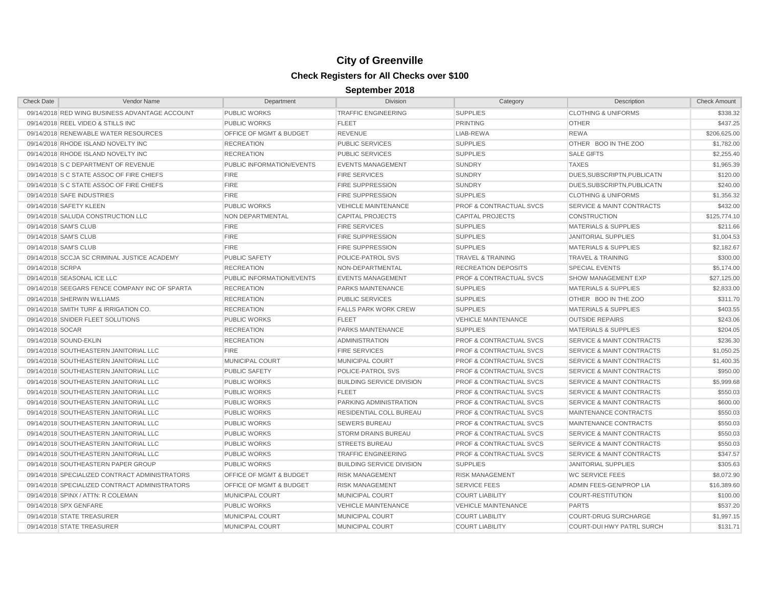| <b>Check Date</b>     | Vendor Name                                    | Department                         | <b>Division</b>                  | Category                           | Description                          | <b>Check Amount</b> |
|-----------------------|------------------------------------------------|------------------------------------|----------------------------------|------------------------------------|--------------------------------------|---------------------|
|                       | 09/14/2018 RED WING BUSINESS ADVANTAGE ACCOUNT | <b>PUBLIC WORKS</b>                | <b>TRAFFIC ENGINEERING</b>       | <b>SUPPLIES</b>                    | <b>CLOTHING &amp; UNIFORMS</b>       | \$338.32            |
|                       | 09/14/2018 REEL VIDEO & STILLS INC             | <b>PUBLIC WORKS</b>                | <b>FLEET</b>                     | <b>PRINTING</b>                    | <b>OTHER</b>                         | \$437.25            |
|                       | 09/14/2018 RENEWABLE WATER RESOURCES           | <b>OFFICE OF MGMT &amp; BUDGET</b> | <b>REVENUE</b>                   | LIAB-REWA                          | <b>REWA</b>                          | \$206,625.00        |
|                       | 09/14/2018 RHODE ISLAND NOVELTY INC            | <b>RECREATION</b>                  | <b>PUBLIC SERVICES</b>           | <b>SUPPLIES</b>                    | OTHER BOO IN THE ZOO                 | \$1,782.00          |
|                       | 09/14/2018 RHODE ISLAND NOVELTY INC            | <b>RECREATION</b>                  | <b>PUBLIC SERVICES</b>           | <b>SUPPLIES</b>                    | <b>SALE GIFTS</b>                    | \$2,255.40          |
|                       | 09/14/2018 S C DEPARTMENT OF REVENUE           | <b>PUBLIC INFORMATION/EVENTS</b>   | <b>EVENTS MANAGEMENT</b>         | <b>SUNDRY</b>                      | <b>TAXES</b>                         | \$1,965.39          |
|                       | 09/14/2018 S C STATE ASSOC OF FIRE CHIEFS      | <b>FIRE</b>                        | <b>FIRE SERVICES</b>             | <b>SUNDRY</b>                      | DUES, SUBSCRIPTN, PUBLICATN          | \$120.00            |
|                       | 09/14/2018 S C STATE ASSOC OF FIRE CHIEFS      | <b>FIRE</b>                        | <b>FIRE SUPPRESSION</b>          | <b>SUNDRY</b>                      | DUES, SUBSCRIPTN, PUBLICATN          | \$240.00            |
|                       | 09/14/2018 SAFE INDUSTRIES                     | <b>FIRE</b>                        | <b>FIRE SUPPRESSION</b>          | <b>SUPPLIES</b>                    | <b>CLOTHING &amp; UNIFORMS</b>       | \$1,356.32          |
|                       | 09/14/2018 SAFETY KLEEN                        | <b>PUBLIC WORKS</b>                | <b>VEHICLE MAINTENANCE</b>       | <b>PROF &amp; CONTRACTUAL SVCS</b> | <b>SERVICE &amp; MAINT CONTRACTS</b> | \$432.00            |
|                       | 09/14/2018 SALUDA CONSTRUCTION LLC             | NON DEPARTMENTAL                   | <b>CAPITAL PROJECTS</b>          | <b>CAPITAL PROJECTS</b>            | <b>CONSTRUCTION</b>                  | \$125,774.10        |
| 09/14/2018 SAM'S CLUB |                                                | <b>FIRE</b>                        | <b>FIRE SERVICES</b>             | <b>SUPPLIES</b>                    | <b>MATERIALS &amp; SUPPLIES</b>      | \$211.66            |
| 09/14/2018 SAM'S CLUB |                                                | <b>FIRE</b>                        | <b>FIRE SUPPRESSION</b>          | <b>SUPPLIES</b>                    | <b>JANITORIAL SUPPLIES</b>           | \$1,004.53          |
| 09/14/2018 SAM'S CLUB |                                                | <b>FIRE</b>                        | <b>FIRE SUPPRESSION</b>          | <b>SUPPLIES</b>                    | <b>MATERIALS &amp; SUPPLIES</b>      | \$2,182.67          |
|                       | 09/14/2018 SCCJA SC CRIMINAL JUSTICE ACADEMY   | <b>PUBLIC SAFETY</b>               | POLICE-PATROL SVS                | <b>TRAVEL &amp; TRAINING</b>       | <b>TRAVEL &amp; TRAINING</b>         | \$300.00            |
| 09/14/2018 SCRPA      |                                                | <b>RECREATION</b>                  | NON-DEPARTMENTAL                 | <b>RECREATION DEPOSITS</b>         | <b>SPECIAL EVENTS</b>                | \$5,174.00          |
|                       | 09/14/2018 SEASONAL ICE LLC                    | PUBLIC INFORMATION/EVENTS          | <b>EVENTS MANAGEMENT</b>         | <b>PROF &amp; CONTRACTUAL SVCS</b> | <b>SHOW MANAGEMENT EXP</b>           | \$27,125.00         |
|                       | 09/14/2018 SEEGARS FENCE COMPANY INC OF SPARTA | <b>RECREATION</b>                  | PARKS MAINTENANCE                | <b>SUPPLIES</b>                    | <b>MATERIALS &amp; SUPPLIES</b>      | \$2,833.00          |
|                       | 09/14/2018 SHERWIN WILLIAMS                    | <b>RECREATION</b>                  | <b>PUBLIC SERVICES</b>           | <b>SUPPLIES</b>                    | OTHER BOO IN THE ZOO                 | \$311.70            |
|                       | 09/14/2018 SMITH TURF & IRRIGATION CO.         | <b>RECREATION</b>                  | <b>FALLS PARK WORK CREW</b>      | <b>SUPPLIES</b>                    | MATERIALS & SUPPLIES                 | \$403.55            |
|                       | 09/14/2018 SNIDER FLEET SOLUTIONS              | <b>PUBLIC WORKS</b>                | <b>FLEET</b>                     | <b>VEHICLE MAINTENANCE</b>         | <b>OUTSIDE REPAIRS</b>               | \$243.06            |
| 09/14/2018 SOCAR      |                                                | <b>RECREATION</b>                  | <b>PARKS MAINTENANCE</b>         | <b>SUPPLIES</b>                    | MATERIALS & SUPPLIES                 | \$204.05            |
|                       | 09/14/2018 SOUND-EKLIN                         | <b>RECREATION</b>                  | <b>ADMINISTRATION</b>            | <b>PROF &amp; CONTRACTUAL SVCS</b> | <b>SERVICE &amp; MAINT CONTRACTS</b> | \$236.30            |
|                       | 09/14/2018 SOUTHEASTERN JANITORIAL LLC         | <b>FIRE</b>                        | <b>FIRE SERVICES</b>             | <b>PROF &amp; CONTRACTUAL SVCS</b> | <b>SERVICE &amp; MAINT CONTRACTS</b> | \$1,050.25          |
|                       | 09/14/2018 SOUTHEASTERN JANITORIAL LLC         | MUNICIPAL COURT                    | MUNICIPAL COURT                  | <b>PROF &amp; CONTRACTUAL SVCS</b> | <b>SERVICE &amp; MAINT CONTRACTS</b> | \$1,400.35          |
|                       | 09/14/2018 SOUTHEASTERN JANITORIAL LLC         | <b>PUBLIC SAFETY</b>               | POLICE-PATROL SVS                | PROF & CONTRACTUAL SVCS            | <b>SERVICE &amp; MAINT CONTRACTS</b> | \$950.00            |
|                       | 09/14/2018 SOUTHEASTERN JANITORIAL LLC         | <b>PUBLIC WORKS</b>                | <b>BUILDING SERVICE DIVISION</b> | <b>PROF &amp; CONTRACTUAL SVCS</b> | <b>SERVICE &amp; MAINT CONTRACTS</b> | \$5,999.68          |
|                       | 09/14/2018 SOUTHEASTERN JANITORIAL LLC         | <b>PUBLIC WORKS</b>                | <b>FLEET</b>                     | <b>PROF &amp; CONTRACTUAL SVCS</b> | <b>SERVICE &amp; MAINT CONTRACTS</b> | \$550.03            |
|                       | 09/14/2018 SOUTHEASTERN JANITORIAL LLC         | <b>PUBLIC WORKS</b>                | PARKING ADMINISTRATION           | <b>PROF &amp; CONTRACTUAL SVCS</b> | <b>SERVICE &amp; MAINT CONTRACTS</b> | \$600.00            |
|                       | 09/14/2018 SOUTHEASTERN JANITORIAL LLC         | <b>PUBLIC WORKS</b>                | RESIDENTIAL COLL BUREAU          | <b>PROF &amp; CONTRACTUAL SVCS</b> | MAINTENANCE CONTRACTS                | \$550.03            |
|                       | 09/14/2018 SOUTHEASTERN JANITORIAL LLC         | <b>PUBLIC WORKS</b>                | <b>SEWERS BUREAU</b>             | <b>PROF &amp; CONTRACTUAL SVCS</b> | MAINTENANCE CONTRACTS                | \$550.03            |
|                       | 09/14/2018 SOUTHEASTERN JANITORIAL LLC         | <b>PUBLIC WORKS</b>                | <b>STORM DRAINS BUREAU</b>       | <b>PROF &amp; CONTRACTUAL SVCS</b> | <b>SERVICE &amp; MAINT CONTRACTS</b> | \$550.03            |
|                       | 09/14/2018 SOUTHEASTERN JANITORIAL LLC         | <b>PUBLIC WORKS</b>                | <b>STREETS BUREAU</b>            | <b>PROF &amp; CONTRACTUAL SVCS</b> | <b>SERVICE &amp; MAINT CONTRACTS</b> | \$550.03            |
|                       | 09/14/2018 SOUTHEASTERN JANITORIAL LLC         | <b>PUBLIC WORKS</b>                | <b>TRAFFIC ENGINEERING</b>       | <b>PROF &amp; CONTRACTUAL SVCS</b> | <b>SERVICE &amp; MAINT CONTRACTS</b> | \$347.57            |
|                       | 09/14/2018 SOUTHEASTERN PAPER GROUP            | <b>PUBLIC WORKS</b>                | <b>BUILDING SERVICE DIVISION</b> | <b>SUPPLIES</b>                    | <b>JANITORIAL SUPPLIES</b>           | \$305.63            |
|                       | 09/14/2018 SPECIALIZED CONTRACT ADMINISTRATORS | OFFICE OF MGMT & BUDGET            | <b>RISK MANAGEMENT</b>           | <b>RISK MANAGEMENT</b>             | <b>WC SERVICE FEES</b>               | \$8,072.90          |
|                       | 09/14/2018 SPECIALIZED CONTRACT ADMINISTRATORS | <b>OFFICE OF MGMT &amp; BUDGET</b> | <b>RISK MANAGEMENT</b>           | <b>SERVICE FEES</b>                | ADMIN FEES-GEN/PROP LIA              | \$16,389.60         |
|                       | 09/14/2018 SPINX / ATTN: R COLEMAN             | <b>MUNICIPAL COURT</b>             | <b>MUNICIPAL COURT</b>           | <b>COURT LIABILITY</b>             | <b>COURT-RESTITUTION</b>             | \$100.00            |
|                       | 09/14/2018 SPX GENFARE                         | <b>PUBLIC WORKS</b>                | <b>VEHICLE MAINTENANCE</b>       | <b>VEHICLE MAINTENANCE</b>         | <b>PARTS</b>                         | \$537.20            |
|                       | 09/14/2018 STATE TREASURER                     | MUNICIPAL COURT                    | <b>MUNICIPAL COURT</b>           | <b>COURT LIABILITY</b>             | <b>COURT-DRUG SURCHARGE</b>          | \$1,997.15          |
|                       | 09/14/2018 STATE TREASURER                     | MUNICIPAL COURT                    | <b>MUNICIPAL COURT</b>           | <b>COURT LIABILITY</b>             | <b>COURT-DUI HWY PATRL SURCH</b>     | \$131.71            |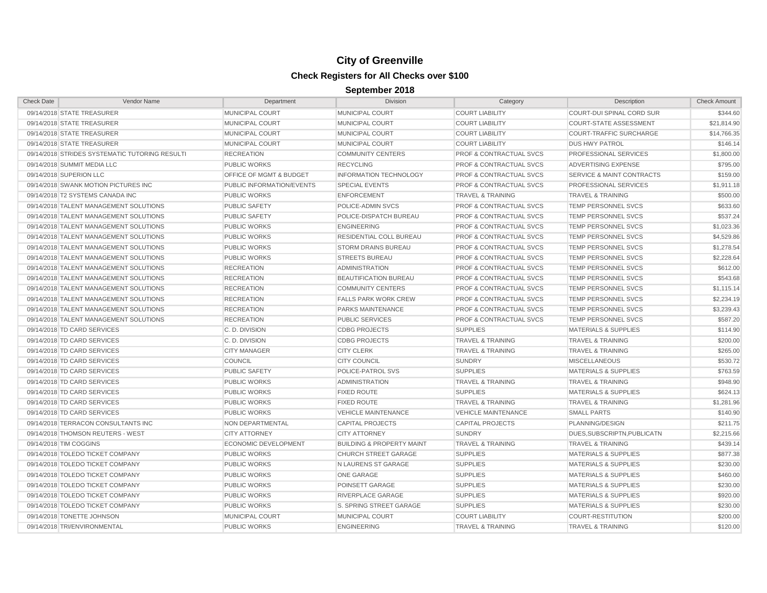| <b>Check Date</b>                      | Vendor Name                                    | Department                         | <b>Division</b>                      | Category                           | Description                          | <b>Check Amount</b> |
|----------------------------------------|------------------------------------------------|------------------------------------|--------------------------------------|------------------------------------|--------------------------------------|---------------------|
| 09/14/2018 STATE TREASURER             |                                                | MUNICIPAL COURT                    | <b>MUNICIPAL COURT</b>               | <b>COURT LIABILITY</b>             | COURT-DUI SPINAL CORD SUR            | \$344.60            |
| 09/14/2018 STATE TREASURER             |                                                | MUNICIPAL COURT                    | <b>MUNICIPAL COURT</b>               | <b>COURT LIABILITY</b>             | <b>COURT-STATE ASSESSMENT</b>        | \$21,814.90         |
| 09/14/2018 STATE TREASURER             |                                                | MUNICIPAL COURT                    | MUNICIPAL COURT                      | <b>COURT LIABILITY</b>             | <b>COURT-TRAFFIC SURCHARGE</b>       | \$14,766.35         |
| 09/14/2018 STATE TREASURER             |                                                | MUNICIPAL COURT                    | MUNICIPAL COURT                      | <b>COURT LIABILITY</b>             | <b>DUS HWY PATROL</b>                | \$146.14            |
|                                        | 09/14/2018 STRIDES SYSTEMATIC TUTORING RESULTI | <b>RECREATION</b>                  | <b>COMMUNITY CENTERS</b>             | <b>PROF &amp; CONTRACTUAL SVCS</b> | PROFESSIONAL SERVICES                | \$1,800.00          |
| 09/14/2018 SUMMIT MEDIA LLC            |                                                | <b>PUBLIC WORKS</b>                | <b>RECYCLING</b>                     | <b>PROF &amp; CONTRACTUAL SVCS</b> | <b>ADVERTISING EXPENSE</b>           | \$795.00            |
| 09/14/2018 SUPERION LLC                |                                                | <b>OFFICE OF MGMT &amp; BUDGET</b> | <b>INFORMATION TECHNOLOGY</b>        | <b>PROF &amp; CONTRACTUAL SVCS</b> | <b>SERVICE &amp; MAINT CONTRACTS</b> | \$159.00            |
| 09/14/2018 SWANK MOTION PICTURES INC   |                                                | PUBLIC INFORMATION/EVENTS          | <b>SPECIAL EVENTS</b>                | <b>PROF &amp; CONTRACTUAL SVCS</b> | <b>PROFESSIONAL SERVICES</b>         | \$1,911.18          |
| 09/14/2018 T2 SYSTEMS CANADA INC       |                                                | <b>PUBLIC WORKS</b>                | <b>ENFORCEMENT</b>                   | <b>TRAVEL &amp; TRAINING</b>       | <b>TRAVEL &amp; TRAINING</b>         | \$500.00            |
| 09/14/2018 TALENT MANAGEMENT SOLUTIONS |                                                | <b>PUBLIC SAFETY</b>               | POLICE-ADMIN SVCS                    | <b>PROF &amp; CONTRACTUAL SVCS</b> | <b>TEMP PERSONNEL SVCS</b>           | \$633.60            |
| 09/14/2018 TALENT MANAGEMENT SOLUTIONS |                                                | <b>PUBLIC SAFETY</b>               | POLICE-DISPATCH BUREAU               | <b>PROF &amp; CONTRACTUAL SVCS</b> | <b>TEMP PERSONNEL SVCS</b>           | \$537.24            |
| 09/14/2018 TALENT MANAGEMENT SOLUTIONS |                                                | <b>PUBLIC WORKS</b>                | <b>ENGINEERING</b>                   | <b>PROF &amp; CONTRACTUAL SVCS</b> | <b>TEMP PERSONNEL SVCS</b>           | \$1,023.36          |
| 09/14/2018 TALENT MANAGEMENT SOLUTIONS |                                                | <b>PUBLIC WORKS</b>                | <b>RESIDENTIAL COLL BUREAU</b>       | <b>PROF &amp; CONTRACTUAL SVCS</b> | <b>TEMP PERSONNEL SVCS</b>           | \$4,529.86          |
| 09/14/2018 TALENT MANAGEMENT SOLUTIONS |                                                | <b>PUBLIC WORKS</b>                | <b>STORM DRAINS BUREAU</b>           | <b>PROF &amp; CONTRACTUAL SVCS</b> | <b>TEMP PERSONNEL SVCS</b>           | \$1,278.54          |
| 09/14/2018 TALENT MANAGEMENT SOLUTIONS |                                                | <b>PUBLIC WORKS</b>                | <b>STREETS BUREAU</b>                | <b>PROF &amp; CONTRACTUAL SVCS</b> | <b>TEMP PERSONNEL SVCS</b>           | \$2,228.64          |
| 09/14/2018 TALENT MANAGEMENT SOLUTIONS |                                                | <b>RECREATION</b>                  | <b>ADMINISTRATION</b>                | <b>PROF &amp; CONTRACTUAL SVCS</b> | <b>TEMP PERSONNEL SVCS</b>           | \$612.00            |
| 09/14/2018 TALENT MANAGEMENT SOLUTIONS |                                                | <b>RECREATION</b>                  | <b>BEAUTIFICATION BUREAU</b>         | <b>PROF &amp; CONTRACTUAL SVCS</b> | <b>TEMP PERSONNEL SVCS</b>           | \$543.68            |
| 09/14/2018 TALENT MANAGEMENT SOLUTIONS |                                                | <b>RECREATION</b>                  | <b>COMMUNITY CENTERS</b>             | <b>PROF &amp; CONTRACTUAL SVCS</b> | <b>TEMP PERSONNEL SVCS</b>           | \$1,115.14          |
| 09/14/2018 TALENT MANAGEMENT SOLUTIONS |                                                | <b>RECREATION</b>                  | <b>FALLS PARK WORK CREW</b>          | <b>PROF &amp; CONTRACTUAL SVCS</b> | <b>TEMP PERSONNEL SVCS</b>           | \$2.234.19          |
| 09/14/2018 TALENT MANAGEMENT SOLUTIONS |                                                | <b>RECREATION</b>                  | <b>PARKS MAINTENANCE</b>             | <b>PROF &amp; CONTRACTUAL SVCS</b> | <b>TEMP PERSONNEL SVCS</b>           | \$3.239.43          |
| 09/14/2018 TALENT MANAGEMENT SOLUTIONS |                                                | <b>RECREATION</b>                  | <b>PUBLIC SERVICES</b>               | <b>PROF &amp; CONTRACTUAL SVCS</b> | TEMP PERSONNEL SVCS                  | \$587.20            |
| 09/14/2018 TD CARD SERVICES            |                                                | C.D. DIVISION                      | <b>CDBG PROJECTS</b>                 | <b>SUPPLIES</b>                    | <b>MATERIALS &amp; SUPPLIES</b>      | \$114.90            |
| 09/14/2018 TD CARD SERVICES            |                                                | C.D. DIVISION                      | <b>CDBG PROJECTS</b>                 | <b>TRAVEL &amp; TRAINING</b>       | <b>TRAVEL &amp; TRAINING</b>         | \$200.00            |
| 09/14/2018 TD CARD SERVICES            |                                                | <b>CITY MANAGER</b>                | <b>CITY CLERK</b>                    | <b>TRAVEL &amp; TRAINING</b>       | <b>TRAVEL &amp; TRAINING</b>         | \$265.00            |
| 09/14/2018 TD CARD SERVICES            |                                                | <b>COUNCIL</b>                     | <b>CITY COUNCIL</b>                  | <b>SUNDRY</b>                      | <b>MISCELLANEOUS</b>                 | \$530.72            |
| 09/14/2018 TD CARD SERVICES            |                                                | <b>PUBLIC SAFETY</b>               | POLICE-PATROL SVS                    | <b>SUPPLIES</b>                    | <b>MATERIALS &amp; SUPPLIES</b>      | \$763.59            |
| 09/14/2018 TD CARD SERVICES            |                                                | <b>PUBLIC WORKS</b>                | <b>ADMINISTRATION</b>                | <b>TRAVEL &amp; TRAINING</b>       | <b>TRAVEL &amp; TRAINING</b>         | \$948.90            |
| 09/14/2018 TD CARD SERVICES            |                                                | <b>PUBLIC WORKS</b>                | <b>FIXED ROUTE</b>                   | <b>SUPPLIES</b>                    | <b>MATERIALS &amp; SUPPLIES</b>      | \$624.13            |
| 09/14/2018 TD CARD SERVICES            |                                                | <b>PUBLIC WORKS</b>                | <b>FIXED ROUTE</b>                   | <b>TRAVEL &amp; TRAINING</b>       | <b>TRAVEL &amp; TRAINING</b>         | \$1,281.96          |
| 09/14/2018 TD CARD SERVICES            |                                                | <b>PUBLIC WORKS</b>                | <b>VEHICLE MAINTENANCE</b>           | <b>VEHICLE MAINTENANCE</b>         | <b>SMALL PARTS</b>                   | \$140.90            |
| 09/14/2018 TERRACON CONSULTANTS INC    |                                                | NON DEPARTMENTAL                   | <b>CAPITAL PROJECTS</b>              | <b>CAPITAL PROJECTS</b>            | PLANNING/DESIGN                      | \$211.75            |
| 09/14/2018 THOMSON REUTERS - WEST      |                                                | <b>CITY ATTORNEY</b>               | <b>CITY ATTORNEY</b>                 | <b>SUNDRY</b>                      | DUES, SUBSCRIPTN, PUBLICATN          | \$2,215.66          |
| 09/14/2018 TIM COGGINS                 |                                                | <b>ECONOMIC DEVELOPMENT</b>        | <b>BUILDING &amp; PROPERTY MAINT</b> | <b>TRAVEL &amp; TRAINING</b>       | <b>TRAVEL &amp; TRAINING</b>         | \$439.14            |
| 09/14/2018 TOLEDO TICKET COMPANY       |                                                | <b>PUBLIC WORKS</b>                | <b>CHURCH STREET GARAGE</b>          | <b>SUPPLIES</b>                    | <b>MATERIALS &amp; SUPPLIES</b>      | \$877.38            |
| 09/14/2018 TOLEDO TICKET COMPANY       |                                                | <b>PUBLIC WORKS</b>                | N LAURENS ST GARAGE                  | <b>SUPPLIES</b>                    | <b>MATERIALS &amp; SUPPLIES</b>      | \$230.00            |
| 09/14/2018 TOLEDO TICKET COMPANY       |                                                | <b>PUBLIC WORKS</b>                | <b>ONE GARAGE</b>                    | <b>SUPPLIES</b>                    | <b>MATERIALS &amp; SUPPLIES</b>      | \$460.00            |
| 09/14/2018 TOLEDO TICKET COMPANY       |                                                | <b>PUBLIC WORKS</b>                | POINSETT GARAGE                      | <b>SUPPLIES</b>                    | <b>MATERIALS &amp; SUPPLIES</b>      | \$230.00            |
| 09/14/2018 TOLEDO TICKET COMPANY       |                                                | <b>PUBLIC WORKS</b>                | <b>RIVERPLACE GARAGE</b>             | <b>SUPPLIES</b>                    | <b>MATERIALS &amp; SUPPLIES</b>      | \$920.00            |
| 09/14/2018 TOLEDO TICKET COMPANY       |                                                | <b>PUBLIC WORKS</b>                | S. SPRING STREET GARAGE              | <b>SUPPLIES</b>                    | <b>MATERIALS &amp; SUPPLIES</b>      | \$230.00            |
| 09/14/2018 TONETTE JOHNSON             |                                                | <b>MUNICIPAL COURT</b>             | <b>MUNICIPAL COURT</b>               | <b>COURT LIABILITY</b>             | <b>COURT-RESTITUTION</b>             | \$200.00            |
| 09/14/2018 TRI/ENVIRONMENTAL           |                                                | <b>PUBLIC WORKS</b>                | <b>ENGINEERING</b>                   | <b>TRAVEL &amp; TRAINING</b>       | <b>TRAVEL &amp; TRAINING</b>         | \$120.00            |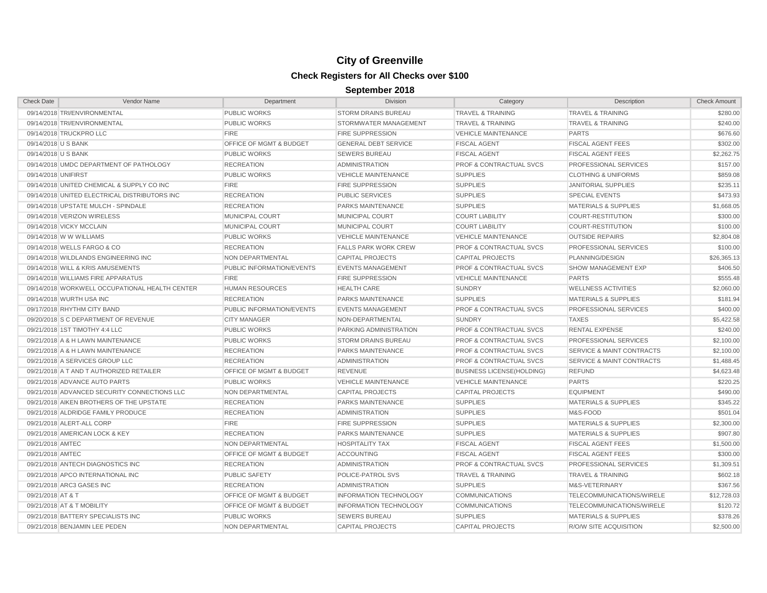| <b>Check Date</b>   | Vendor Name                                    | Department                | Division                      | Category                           | Description                          | <b>Check Amount</b> |
|---------------------|------------------------------------------------|---------------------------|-------------------------------|------------------------------------|--------------------------------------|---------------------|
|                     | 09/14/2018 TRI/ENVIRONMENTAL                   | <b>PUBLIC WORKS</b>       | <b>STORM DRAINS BUREAU</b>    | <b>TRAVEL &amp; TRAINING</b>       | <b>TRAVEL &amp; TRAINING</b>         | \$280.00            |
|                     | 09/14/2018 TRI/ENVIRONMENTAL                   | <b>PUBLIC WORKS</b>       | STORMWATER MANAGEMENT         | <b>TRAVEL &amp; TRAINING</b>       | <b>TRAVEL &amp; TRAINING</b>         | \$240.00            |
|                     | 09/14/2018 TRUCKPRO LLC                        | <b>FIRE</b>               | <b>FIRE SUPPRESSION</b>       | <b>VEHICLE MAINTENANCE</b>         | <b>PARTS</b>                         | \$676.60            |
| 09/14/2018 U S BANK |                                                | OFFICE OF MGMT & BUDGET   | <b>GENERAL DEBT SERVICE</b>   | <b>FISCAL AGENT</b>                | <b>FISCAL AGENT FEES</b>             | \$302.00            |
| 09/14/2018 U S BANK |                                                | <b>PUBLIC WORKS</b>       | <b>SEWERS BUREAU</b>          | <b>FISCAL AGENT</b>                | <b>FISCAL AGENT FEES</b>             | \$2,262.75          |
|                     | 09/14/2018 UMDC DEPARTMENT OF PATHOLOGY        | <b>RECREATION</b>         | <b>ADMINISTRATION</b>         | <b>PROF &amp; CONTRACTUAL SVCS</b> | PROFESSIONAL SERVICES                | \$157.00            |
| 09/14/2018 UNIFIRST |                                                | <b>PUBLIC WORKS</b>       | <b>VEHICLE MAINTENANCE</b>    | <b>SUPPLIES</b>                    | <b>CLOTHING &amp; UNIFORMS</b>       | \$859.08            |
|                     | 09/14/2018 UNITED CHEMICAL & SUPPLY CO INC     | <b>FIRE</b>               | <b>FIRE SUPPRESSION</b>       | <b>SUPPLIES</b>                    | <b>JANITORIAL SUPPLIES</b>           | \$235.11            |
|                     | 09/14/2018 UNITED ELECTRICAL DISTRIBUTORS INC  | <b>RECREATION</b>         | <b>PUBLIC SERVICES</b>        | <b>SUPPLIES</b>                    | <b>SPECIAL EVENTS</b>                | \$473.93            |
|                     | 09/14/2018 UPSTATE MULCH - SPINDALE            | <b>RECREATION</b>         | <b>PARKS MAINTENANCE</b>      | <b>SUPPLIES</b>                    | <b>MATERIALS &amp; SUPPLIES</b>      | \$1,668.05          |
|                     | 09/14/2018 VERIZON WIRELESS                    | MUNICIPAL COURT           | <b>MUNICIPAL COURT</b>        | <b>COURT LIABILITY</b>             | <b>COURT-RESTITUTION</b>             | \$300.00            |
|                     | 09/14/2018 VICKY MCCLAIN                       | <b>MUNICIPAL COURT</b>    | <b>MUNICIPAL COURT</b>        | <b>COURT LIABILITY</b>             | <b>COURT-RESTITUTION</b>             | \$100.00            |
|                     | 09/14/2018 W W WILLIAMS                        | <b>PUBLIC WORKS</b>       | VEHICLE MAINTENANCE           | <b>VEHICLE MAINTENANCE</b>         | <b>OUTSIDE REPAIRS</b>               | \$2,804.08          |
|                     | 09/14/2018 WELLS FARGO & CO                    | <b>RECREATION</b>         | <b>FALLS PARK WORK CREW</b>   | <b>PROF &amp; CONTRACTUAL SVCS</b> | PROFESSIONAL SERVICES                | \$100.00            |
|                     | 09/14/2018 WILDLANDS ENGINEERING INC           | <b>NON DEPARTMENTAL</b>   | <b>CAPITAL PROJECTS</b>       | <b>CAPITAL PROJECTS</b>            | PLANNING/DESIGN                      | \$26,365.13         |
|                     | 09/14/2018 WILL & KRIS AMUSEMENTS              | PUBLIC INFORMATION/EVENTS | <b>EVENTS MANAGEMENT</b>      | <b>PROF &amp; CONTRACTUAL SVCS</b> | <b>SHOW MANAGEMENT EXP</b>           | \$406.50            |
|                     | 09/14/2018 WILLIAMS FIRE APPARATUS             | <b>FIRE</b>               | <b>FIRE SUPPRESSION</b>       | <b>VEHICLE MAINTENANCE</b>         | <b>PARTS</b>                         | \$555.48            |
|                     | 09/14/2018 WORKWELL OCCUPATIONAL HEALTH CENTER | <b>HUMAN RESOURCES</b>    | <b>HEALTH CARE</b>            | <b>SUNDRY</b>                      | <b>WELLNESS ACTIVITIES</b>           | \$2,060.00          |
|                     | 09/14/2018 WURTH USA INC                       | <b>RECREATION</b>         | PARKS MAINTENANCE             | <b>SUPPLIES</b>                    | <b>MATERIALS &amp; SUPPLIES</b>      | \$181.94            |
|                     | 09/17/2018 RHYTHM CITY BAND                    | PUBLIC INFORMATION/EVENTS | <b>EVENTS MANAGEMENT</b>      | <b>PROF &amp; CONTRACTUAL SVCS</b> | <b>PROFESSIONAL SERVICES</b>         | \$400.00            |
|                     | 09/20/2018 S C DEPARTMENT OF REVENUE           | <b>CITY MANAGER</b>       | NON-DEPARTMENTAL              | <b>SUNDRY</b>                      | <b>TAXES</b>                         | \$5,422.58          |
|                     | 09/21/2018 1ST TIMOTHY 4:4 LLC                 | <b>PUBLIC WORKS</b>       | PARKING ADMINISTRATION        | <b>PROF &amp; CONTRACTUAL SVCS</b> | <b>RENTAL EXPENSE</b>                | \$240.00            |
|                     | 09/21/2018 A & H LAWN MAINTENANCE              | <b>PUBLIC WORKS</b>       | <b>STORM DRAINS BUREAU</b>    | <b>PROF &amp; CONTRACTUAL SVCS</b> | <b>PROFESSIONAL SERVICES</b>         | \$2,100.00          |
|                     | 09/21/2018 A & H LAWN MAINTENANCE              | <b>RECREATION</b>         | PARKS MAINTENANCE             | <b>PROF &amp; CONTRACTUAL SVCS</b> | <b>SERVICE &amp; MAINT CONTRACTS</b> | \$2,100.00          |
|                     | 09/21/2018 A SERVICES GROUP LLC                | <b>RECREATION</b>         | <b>ADMINISTRATION</b>         | <b>PROF &amp; CONTRACTUAL SVCS</b> | <b>SERVICE &amp; MAINT CONTRACTS</b> | \$1,488.45          |
|                     | 09/21/2018 A T AND T AUTHORIZED RETAILER       | OFFICE OF MGMT & BUDGET   | <b>REVENUE</b>                | <b>BUSINESS LICENSE(HOLDING)</b>   | <b>REFUND</b>                        | \$4,623.48          |
|                     | 09/21/2018 ADVANCE AUTO PARTS                  | <b>PUBLIC WORKS</b>       | <b>VEHICLE MAINTENANCE</b>    | VEHICLE MAINTENANCE                | <b>PARTS</b>                         | \$220.25            |
|                     | 09/21/2018 ADVANCED SECURITY CONNECTIONS LLC   | NON DEPARTMENTAL          | <b>CAPITAL PROJECTS</b>       | <b>CAPITAL PROJECTS</b>            | <b>EQUIPMENT</b>                     | \$490.00            |
|                     | 09/21/2018 AIKEN BROTHERS OF THE UPSTATE       | <b>RECREATION</b>         | PARKS MAINTENANCE             | <b>SUPPLIES</b>                    | <b>MATERIALS &amp; SUPPLIES</b>      | \$345.22            |
|                     | 09/21/2018 ALDRIDGE FAMILY PRODUCE             | <b>RECREATION</b>         | <b>ADMINISTRATION</b>         | <b>SUPPLIES</b>                    | M&S-FOOD                             | \$501.04            |
|                     | 09/21/2018 ALERT-ALL CORP                      | <b>FIRE</b>               | <b>FIRE SUPPRESSION</b>       | <b>SUPPLIES</b>                    | <b>MATERIALS &amp; SUPPLIES</b>      | \$2,300.00          |
|                     | 09/21/2018 AMERICAN LOCK & KEY                 | <b>RECREATION</b>         | PARKS MAINTENANCE             | <b>SUPPLIES</b>                    | <b>MATERIALS &amp; SUPPLIES</b>      | \$907.80            |
| 09/21/2018 AMTEC    |                                                | NON DEPARTMENTAL          | <b>HOSPITALITY TAX</b>        | <b>FISCAL AGENT</b>                | <b>FISCAL AGENT FEES</b>             | \$1,500.00          |
| 09/21/2018 AMTEC    |                                                | OFFICE OF MGMT & BUDGET   | <b>ACCOUNTING</b>             | <b>FISCAL AGENT</b>                | <b>FISCAL AGENT FEES</b>             | \$300.00            |
|                     | 09/21/2018 ANTECH DIAGNOSTICS INC              | <b>RECREATION</b>         | <b>ADMINISTRATION</b>         | PROF & CONTRACTUAL SVCS            | PROFESSIONAL SERVICES                | \$1,309.51          |
|                     | 09/21/2018 APCO INTERNATIONAL INC              | <b>PUBLIC SAFETY</b>      | POLICE-PATROL SVS             | <b>TRAVEL &amp; TRAINING</b>       | <b>TRAVEL &amp; TRAINING</b>         | \$602.18            |
|                     | 09/21/2018 ARC3 GASES INC                      | <b>RECREATION</b>         | <b>ADMINISTRATION</b>         | <b>SUPPLIES</b>                    | M&S-VETERINARY                       | \$367.56            |
| 09/21/2018 AT & T   |                                                | OFFICE OF MGMT & BUDGET   | <b>INFORMATION TECHNOLOGY</b> | <b>COMMUNICATIONS</b>              | TELECOMMUNICATIONS/WIRELE            | \$12,728.03         |
|                     | 09/21/2018 AT & T MOBILITY                     | OFFICE OF MGMT & BUDGET   | <b>INFORMATION TECHNOLOGY</b> | <b>COMMUNICATIONS</b>              | TELECOMMUNICATIONS/WIRELE            | \$120.72            |
|                     | 09/21/2018 BATTERY SPECIALISTS INC             | <b>PUBLIC WORKS</b>       | <b>SEWERS BUREAU</b>          | <b>SUPPLIES</b>                    | <b>MATERIALS &amp; SUPPLIES</b>      | \$378.26            |
|                     | 09/21/2018 BENJAMIN LEE PEDEN                  | NON DEPARTMENTAL          | <b>CAPITAL PROJECTS</b>       | <b>CAPITAL PROJECTS</b>            | <b>R/O/W SITE ACQUISITION</b>        | \$2,500.00          |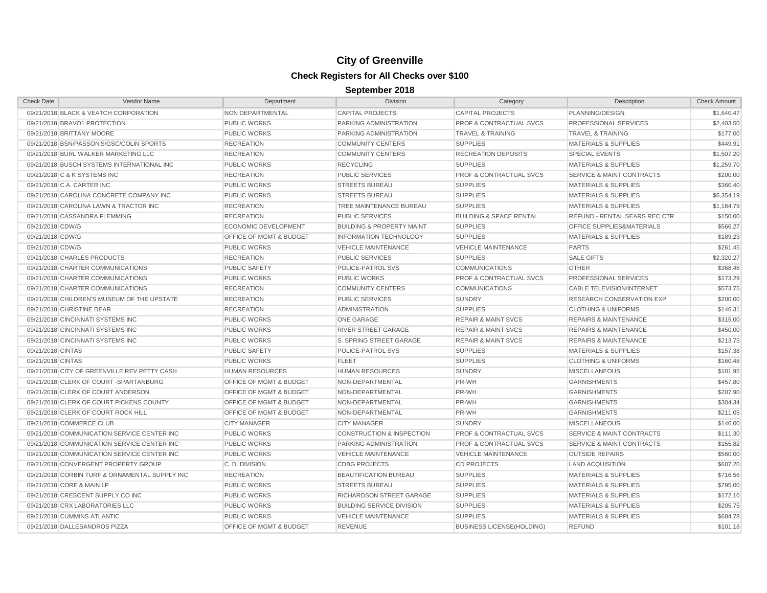| <b>Check Date</b> | Vendor Name                                    | Department                         | <b>Division</b>                      | Category                           | Description                          | <b>Check Amount</b> |
|-------------------|------------------------------------------------|------------------------------------|--------------------------------------|------------------------------------|--------------------------------------|---------------------|
|                   | 09/21/2018 BLACK & VEATCH CORPORATION          | NON DEPARTMENTAL                   | <b>CAPITAL PROJECTS</b>              | CAPITAL PROJECTS                   | PLANNING/DESIGN                      | \$1,640.47          |
|                   | 09/21/2018 BRAVO1 PROTECTION                   | <b>PUBLIC WORKS</b>                | PARKING ADMINISTRATION               | <b>PROF &amp; CONTRACTUAL SVCS</b> | PROFESSIONAL SERVICES                | \$2,403.50          |
|                   | 09/21/2018 BRITTANY MOORE                      | <b>PUBLIC WORKS</b>                | PARKING ADMINISTRATION               | <b>TRAVEL &amp; TRAINING</b>       | <b>TRAVEL &amp; TRAINING</b>         | \$177.00            |
|                   | 09/21/2018 BSN/PASSON'S/GSC/COLIN SPORTS       | <b>RECREATION</b>                  | <b>COMMUNITY CENTERS</b>             | <b>SUPPLIES</b>                    | <b>MATERIALS &amp; SUPPLIES</b>      | \$449.91            |
|                   | 09/21/2018 BURL WALKER MARKETING LLC           | <b>RECREATION</b>                  | <b>COMMUNITY CENTERS</b>             | <b>RECREATION DEPOSITS</b>         | <b>SPECIAL EVENTS</b>                | \$1,507.20          |
|                   | 09/21/2018 BUSCH SYSTEMS INTERNATIONAL INC     | <b>PUBLIC WORKS</b>                | <b>RECYCLING</b>                     | <b>SUPPLIES</b>                    | <b>MATERIALS &amp; SUPPLIES</b>      | \$1,259.70          |
|                   | 09/21/2018 C & K SYSTEMS INC                   | <b>RECREATION</b>                  | <b>PUBLIC SERVICES</b>               | <b>PROF &amp; CONTRACTUAL SVCS</b> | <b>SERVICE &amp; MAINT CONTRACTS</b> | \$200.00            |
|                   | 09/21/2018 C.A. CARTER INC                     | <b>PUBLIC WORKS</b>                | <b>STREETS BUREAU</b>                | <b>SUPPLIES</b>                    | <b>MATERIALS &amp; SUPPLIES</b>      | \$360.40            |
|                   | 09/21/2018 CAROLINA CONCRETE COMPANY INC       | <b>PUBLIC WORKS</b>                | <b>STREETS BUREAU</b>                | <b>SUPPLIES</b>                    | <b>MATERIALS &amp; SUPPLIES</b>      | \$6,354.19          |
|                   | 09/21/2018 CAROLINA LAWN & TRACTOR INC         | <b>RECREATION</b>                  | TREE MAINTENANCE BUREAU              | <b>SUPPLIES</b>                    | <b>MATERIALS &amp; SUPPLIES</b>      | \$1,184.79          |
|                   | 09/21/2018 CASSANDRA FLEMMING                  | <b>RECREATION</b>                  | <b>PUBLIC SERVICES</b>               | <b>BUILDING &amp; SPACE RENTAL</b> | <b>REFUND - RENTAL SEARS REC CTR</b> | \$150.00            |
| 09/21/2018 CDW/G  |                                                | <b>ECONOMIC DEVELOPMENT</b>        | <b>BUILDING &amp; PROPERTY MAINT</b> | <b>SUPPLIES</b>                    | OFFICE SUPPLIES&MATERIALS            | \$566.27            |
| 09/21/2018 CDW/G  |                                                | <b>OFFICE OF MGMT &amp; BUDGET</b> | <b>INFORMATION TECHNOLOGY</b>        | <b>SUPPLIES</b>                    | <b>MATERIALS &amp; SUPPLIES</b>      | \$189.23            |
| 09/21/2018 CDW/G  |                                                | <b>PUBLIC WORKS</b>                | <b>VEHICLE MAINTENANCE</b>           | <b>VEHICLE MAINTENANCE</b>         | <b>PARTS</b>                         | \$261.45            |
|                   | 09/21/2018 CHARLES PRODUCTS                    | <b>RECREATION</b>                  | <b>PUBLIC SERVICES</b>               | <b>SUPPLIES</b>                    | <b>SALE GIFTS</b>                    | \$2,320.27          |
|                   | 09/21/2018 CHARTER COMMUNICATIONS              | <b>PUBLIC SAFETY</b>               | POLICE-PATROL SVS                    | <b>COMMUNICATIONS</b>              | <b>OTHER</b>                         | \$368.46            |
|                   | 09/21/2018 CHARTER COMMUNICATIONS              | <b>PUBLIC WORKS</b>                | <b>PUBLIC WORKS</b>                  | <b>PROF &amp; CONTRACTUAL SVCS</b> | PROFESSIONAL SERVICES                | \$173.29            |
|                   | 09/21/2018 CHARTER COMMUNICATIONS              | <b>RECREATION</b>                  | <b>COMMUNITY CENTERS</b>             | <b>COMMUNICATIONS</b>              | CABLE TELEVISION/INTERNET            | \$573.75            |
|                   | 09/21/2018 CHILDREN'S MUSEUM OF THE UPSTATE    | <b>RECREATION</b>                  | <b>PUBLIC SERVICES</b>               | <b>SUNDRY</b>                      | <b>RESEARCH CONSERVATION EXP</b>     | \$200.00            |
|                   | 09/21/2018 CHRISTINE DEAR                      | <b>RECREATION</b>                  | <b>ADMINISTRATION</b>                | <b>SUPPLIES</b>                    | <b>CLOTHING &amp; UNIFORMS</b>       | \$146.31            |
|                   | 09/21/2018 CINCINNATI SYSTEMS INC              | <b>PUBLIC WORKS</b>                | <b>ONE GARAGE</b>                    | <b>REPAIR &amp; MAINT SVCS</b>     | <b>REPAIRS &amp; MAINTENANCE</b>     | \$315.00            |
|                   | 09/21/2018 CINCINNATI SYSTEMS INC              | <b>PUBLIC WORKS</b>                | RIVER STREET GARAGE                  | <b>REPAIR &amp; MAINT SVCS</b>     | <b>REPAIRS &amp; MAINTENANCE</b>     | \$450.00            |
|                   | 09/21/2018 CINCINNATI SYSTEMS INC              | <b>PUBLIC WORKS</b>                | S. SPRING STREET GARAGE              | <b>REPAIR &amp; MAINT SVCS</b>     | <b>REPAIRS &amp; MAINTENANCE</b>     | \$213.75            |
| 09/21/2018 CINTAS |                                                | <b>PUBLIC SAFETY</b>               | POLICE-PATROL SVS                    | <b>SUPPLIES</b>                    | <b>MATERIALS &amp; SUPPLIES</b>      | \$157.38            |
| 09/21/2018 CINTAS |                                                | <b>PUBLIC WORKS</b>                | <b>FLEET</b>                         | <b>SUPPLIES</b>                    | <b>CLOTHING &amp; UNIFORMS</b>       | \$160.48            |
|                   | 09/21/2018 CITY OF GREENVILLE REV PETTY CASH   | <b>HUMAN RESOURCES</b>             | <b>HUMAN RESOURCES</b>               | <b>SUNDRY</b>                      | <b>MISCELLANEOUS</b>                 | \$101.95            |
|                   | 09/21/2018 CLERK OF COURT -SPARTANBURG         | <b>OFFICE OF MGMT &amp; BUDGET</b> | NON-DEPARTMENTAL                     | PR-WH                              | <b>GARNISHMENTS</b>                  | \$457.80            |
|                   | 09/21/2018 CLERK OF COURT ANDERSON             | <b>OFFICE OF MGMT &amp; BUDGET</b> | NON-DEPARTMENTAL                     | PR-WH                              | <b>GARNISHMENTS</b>                  | \$207.90            |
|                   | 09/21/2018 CLERK OF COURT PICKENS COUNTY       | <b>OFFICE OF MGMT &amp; BUDGET</b> | NON-DEPARTMENTAL                     | PR-WH                              | <b>GARNISHMENTS</b>                  | \$304.34            |
|                   | 09/21/2018 CLERK OF COURT ROCK HILL            | <b>OFFICE OF MGMT &amp; BUDGET</b> | NON-DEPARTMENTAL                     | PR-WH                              | <b>GARNISHMENTS</b>                  | \$211.05            |
|                   | 09/21/2018 COMMERCE CLUB                       | <b>CITY MANAGER</b>                | <b>CITY MANAGER</b>                  | <b>SUNDRY</b>                      | <b>MISCELLANEOUS</b>                 | \$146.00            |
|                   | 09/21/2018 COMMUNICATION SERVICE CENTER INC    | <b>PUBLIC WORKS</b>                | <b>CONSTRUCTION &amp; INSPECTION</b> | <b>PROF &amp; CONTRACTUAL SVCS</b> | <b>SERVICE &amp; MAINT CONTRACTS</b> | \$111.30            |
|                   | 09/21/2018 COMMUNICATION SERVICE CENTER INC    | <b>PUBLIC WORKS</b>                | PARKING ADMINISTRATION               | <b>PROF &amp; CONTRACTUAL SVCS</b> | <b>SERVICE &amp; MAINT CONTRACTS</b> | \$155.82            |
|                   | 09/21/2018 COMMUNICATION SERVICE CENTER INC    | <b>PUBLIC WORKS</b>                | <b>VEHICLE MAINTENANCE</b>           | <b>VEHICLE MAINTENANCE</b>         | <b>OUTSIDE REPAIRS</b>               | \$560.00            |
|                   | 09/21/2018 CONVERGENT PROPERTY GROUP           | C.D. DIVISION                      | <b>CDBG PROJECTS</b>                 | <b>CD PROJECTS</b>                 | <b>LAND ACQUISITION</b>              | \$607.20            |
|                   | 09/21/2018 CORBIN TURF & ORNAMENTAL SUPPLY INC | <b>RECREATION</b>                  | <b>BEAUTIFICATION BUREAU</b>         | <b>SUPPLIES</b>                    | <b>MATERIALS &amp; SUPPLIES</b>      | \$716.56            |
|                   | 09/21/2018 CORE & MAIN LP                      | <b>PUBLIC WORKS</b>                | <b>STREETS BUREAU</b>                | <b>SUPPLIES</b>                    | MATERIALS & SUPPLIES                 | \$795.00            |
|                   | 09/21/2018 CRESCENT SUPPLY CO INC              | <b>PUBLIC WORKS</b>                | RICHARDSON STREET GARAGE             | <b>SUPPLIES</b>                    | <b>MATERIALS &amp; SUPPLIES</b>      | \$172.10            |
|                   | 09/21/2018 CRX LABORATORIES LLC                | <b>PUBLIC WORKS</b>                | <b>BUILDING SERVICE DIVISION</b>     | <b>SUPPLIES</b>                    | <b>MATERIALS &amp; SUPPLIES</b>      | \$205.75            |
|                   | 09/21/2018 CUMMINS ATLANTIC                    | <b>PUBLIC WORKS</b>                | <b>VEHICLE MAINTENANCE</b>           | <b>SUPPLIES</b>                    | <b>MATERIALS &amp; SUPPLIES</b>      | \$684.78            |
|                   | 09/21/2018 DALLESANDROS PIZZA                  | <b>OFFICE OF MGMT &amp; BUDGET</b> | <b>REVENUE</b>                       | <b>BUSINESS LICENSE(HOLDING)</b>   | <b>REFUND</b>                        | \$101.18            |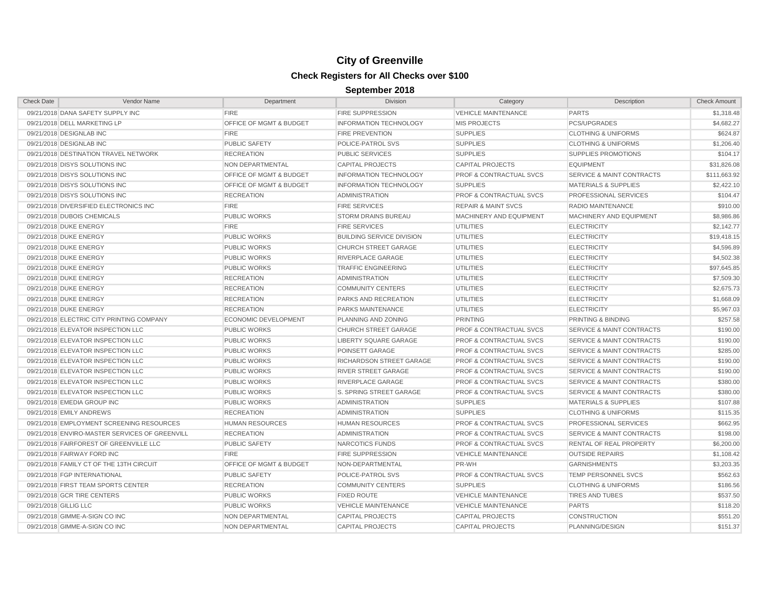| <b>Check Date</b>     | Vendor Name                                    | Department                  | <b>Division</b>                  | Category                           | Description                          | <b>Check Amount</b> |
|-----------------------|------------------------------------------------|-----------------------------|----------------------------------|------------------------------------|--------------------------------------|---------------------|
|                       | 09/21/2018 DANA SAFETY SUPPLY INC              | <b>FIRE</b>                 | <b>FIRE SUPPRESSION</b>          | <b>VEHICLE MAINTENANCE</b>         | <b>PARTS</b>                         | \$1,318.48          |
|                       | 09/21/2018 DELL MARKETING LP                   | OFFICE OF MGMT & BUDGET     | <b>INFORMATION TECHNOLOGY</b>    | <b>MIS PROJECTS</b>                | PCS/UPGRADES                         | \$4,682.27          |
|                       | 09/21/2018 DESIGNLAB INC                       | <b>FIRE</b>                 | <b>FIRE PREVENTION</b>           | <b>SUPPLIES</b>                    | <b>CLOTHING &amp; UNIFORMS</b>       | \$624.87            |
|                       | 09/21/2018 DESIGNLAB INC                       | <b>PUBLIC SAFETY</b>        | POLICE-PATROL SVS                | <b>SUPPLIES</b>                    | <b>CLOTHING &amp; UNIFORMS</b>       | \$1,206.40          |
|                       | 09/21/2018 DESTINATION TRAVEL NETWORK          | <b>RECREATION</b>           | <b>PUBLIC SERVICES</b>           | <b>SUPPLIES</b>                    | <b>SUPPLIES PROMOTIONS</b>           | \$104.17            |
|                       | 09/21/2018 DISYS SOLUTIONS INC                 | NON DEPARTMENTAL            | <b>CAPITAL PROJECTS</b>          | <b>CAPITAL PROJECTS</b>            | <b>EQUIPMENT</b>                     | \$31,826.08         |
|                       | 09/21/2018 DISYS SOLUTIONS INC                 | OFFICE OF MGMT & BUDGET     | <b>INFORMATION TECHNOLOGY</b>    | <b>PROF &amp; CONTRACTUAL SVCS</b> | <b>SERVICE &amp; MAINT CONTRACTS</b> | \$111,663.92        |
|                       | 09/21/2018 DISYS SOLUTIONS INC                 | OFFICE OF MGMT & BUDGET     | <b>INFORMATION TECHNOLOGY</b>    | <b>SUPPLIES</b>                    | <b>MATERIALS &amp; SUPPLIES</b>      | \$2,422.10          |
|                       | 09/21/2018 DISYS SOLUTIONS INC                 | <b>RECREATION</b>           | <b>ADMINISTRATION</b>            | <b>PROF &amp; CONTRACTUAL SVCS</b> | PROFESSIONAL SERVICES                | \$104.47            |
|                       | 09/21/2018 DIVERSIFIED ELECTRONICS INC         | <b>FIRE</b>                 | <b>FIRE SERVICES</b>             | <b>REPAIR &amp; MAINT SVCS</b>     | RADIO MAINTENANCE                    | \$910.00            |
|                       | 09/21/2018 DUBOIS CHEMICALS                    | <b>PUBLIC WORKS</b>         | <b>STORM DRAINS BUREAU</b>       | MACHINERY AND EQUIPMENT            | MACHINERY AND EQUIPMENT              | \$8,986.86          |
|                       | 09/21/2018 DUKE ENERGY                         | <b>FIRE</b>                 | <b>FIRE SERVICES</b>             | <b>UTILITIES</b>                   | <b>ELECTRICITY</b>                   | \$2,142.77          |
|                       | 09/21/2018 DUKE ENERGY                         | <b>PUBLIC WORKS</b>         | <b>BUILDING SERVICE DIVISION</b> | UTILITIES                          | <b>ELECTRICITY</b>                   | \$19,418.15         |
|                       | 09/21/2018 DUKE ENERGY                         | <b>PUBLIC WORKS</b>         | <b>CHURCH STREET GARAGE</b>      | <b>UTILITIES</b>                   | <b>ELECTRICITY</b>                   | \$4,596.89          |
|                       | 09/21/2018 DUKE ENERGY                         | <b>PUBLIC WORKS</b>         | <b>RIVERPLACE GARAGE</b>         | <b>UTILITIES</b>                   | <b>ELECTRICITY</b>                   | \$4,502.38          |
|                       | 09/21/2018 DUKE ENERGY                         | <b>PUBLIC WORKS</b>         | <b>TRAFFIC ENGINEERING</b>       | <b>UTILITIES</b>                   | <b>ELECTRICITY</b>                   | \$97,645.85         |
|                       | 09/21/2018 DUKE ENERGY                         | <b>RECREATION</b>           | <b>ADMINISTRATION</b>            | <b>UTILITIES</b>                   | <b>ELECTRICITY</b>                   | \$7,509.30          |
|                       | 09/21/2018 DUKE ENERGY                         | <b>RECREATION</b>           | <b>COMMUNITY CENTERS</b>         | <b>UTILITIES</b>                   | <b>ELECTRICITY</b>                   | \$2,675.73          |
|                       | 09/21/2018 DUKE ENERGY                         | <b>RECREATION</b>           | PARKS AND RECREATION             | <b>UTILITIES</b>                   | <b>ELECTRICITY</b>                   | \$1,668.09          |
|                       | 09/21/2018 DUKE ENERGY                         | <b>RECREATION</b>           | PARKS MAINTENANCE                | <b>UTILITIES</b>                   | <b>ELECTRICITY</b>                   | \$5,967.03          |
|                       | 09/21/2018 ELECTRIC CITY PRINTING COMPANY      | <b>ECONOMIC DEVELOPMENT</b> | PLANNING AND ZONING              | <b>PRINTING</b>                    | PRINTING & BINDING                   | \$257.58            |
|                       | 09/21/2018 ELEVATOR INSPECTION LLC             | <b>PUBLIC WORKS</b>         | <b>CHURCH STREET GARAGE</b>      | <b>PROF &amp; CONTRACTUAL SVCS</b> | <b>SERVICE &amp; MAINT CONTRACTS</b> | \$190.00            |
|                       | 09/21/2018 ELEVATOR INSPECTION LLC             | <b>PUBLIC WORKS</b>         | LIBERTY SQUARE GARAGE            | <b>PROF &amp; CONTRACTUAL SVCS</b> | <b>SERVICE &amp; MAINT CONTRACTS</b> | \$190.00            |
|                       | 09/21/2018 ELEVATOR INSPECTION LLC             | <b>PUBLIC WORKS</b>         | POINSETT GARAGE                  | <b>PROF &amp; CONTRACTUAL SVCS</b> | <b>SERVICE &amp; MAINT CONTRACTS</b> | \$285.00            |
|                       | 09/21/2018 ELEVATOR INSPECTION LLC             | <b>PUBLIC WORKS</b>         | <b>RICHARDSON STREET GARAGE</b>  | <b>PROF &amp; CONTRACTUAL SVCS</b> | <b>SERVICE &amp; MAINT CONTRACTS</b> | \$190.00            |
|                       | 09/21/2018 ELEVATOR INSPECTION LLC             | <b>PUBLIC WORKS</b>         | RIVER STREET GARAGE              | <b>PROF &amp; CONTRACTUAL SVCS</b> | <b>SERVICE &amp; MAINT CONTRACTS</b> | \$190.00            |
|                       | 09/21/2018 ELEVATOR INSPECTION LLC             | <b>PUBLIC WORKS</b>         | RIVERPLACE GARAGE                | PROF & CONTRACTUAL SVCS            | <b>SERVICE &amp; MAINT CONTRACTS</b> | \$380.00            |
|                       | 09/21/2018 ELEVATOR INSPECTION LLC             | <b>PUBLIC WORKS</b>         | <b>S. SPRING STREET GARAGE</b>   | <b>PROF &amp; CONTRACTUAL SVCS</b> | <b>SERVICE &amp; MAINT CONTRACTS</b> | \$380.00            |
|                       | 09/21/2018 EMEDIA GROUP INC                    | <b>PUBLIC WORKS</b>         | <b>ADMINISTRATION</b>            | <b>SUPPLIES</b>                    | <b>MATERIALS &amp; SUPPLIES</b>      | \$107.88            |
|                       | 09/21/2018 EMILY ANDREWS                       | <b>RECREATION</b>           | <b>ADMINISTRATION</b>            | <b>SUPPLIES</b>                    | <b>CLOTHING &amp; UNIFORMS</b>       | \$115.35            |
|                       | 09/21/2018 EMPLOYMENT SCREENING RESOURCES      | <b>HUMAN RESOURCES</b>      | <b>HUMAN RESOURCES</b>           | <b>PROF &amp; CONTRACTUAL SVCS</b> | PROFESSIONAL SERVICES                | \$662.95            |
|                       | 09/21/2018 ENVIRO-MASTER SERVICES OF GREENVILL | <b>RECREATION</b>           | <b>ADMINISTRATION</b>            | <b>PROF &amp; CONTRACTUAL SVCS</b> | <b>SERVICE &amp; MAINT CONTRACTS</b> | \$198.00            |
|                       | 09/21/2018 FAIRFOREST OF GREENVILLE LLC        | <b>PUBLIC SAFETY</b>        | NARCOTICS FUNDS                  | PROF & CONTRACTUAL SVCS            | <b>RENTAL OF REAL PROPERTY</b>       | \$6,200.00          |
|                       | 09/21/2018 FAIRWAY FORD INC                    | <b>FIRE</b>                 | <b>FIRE SUPPRESSION</b>          | <b>VEHICLE MAINTENANCE</b>         | <b>OUTSIDE REPAIRS</b>               | \$1,108.42          |
|                       | 09/21/2018 FAMILY CT OF THE 13TH CIRCUIT       | OFFICE OF MGMT & BUDGET     | NON-DEPARTMENTAL                 | PR-WH                              | <b>GARNISHMENTS</b>                  | \$3,203.35          |
|                       | 09/21/2018 FGP INTERNATIONAL                   | <b>PUBLIC SAFETY</b>        | POLICE-PATROL SVS                | PROF & CONTRACTUAL SVCS            | TEMP PERSONNEL SVCS                  | \$562.63            |
|                       | 09/21/2018 FIRST TEAM SPORTS CENTER            | <b>RECREATION</b>           | <b>COMMUNITY CENTERS</b>         | <b>SUPPLIES</b>                    | <b>CLOTHING &amp; UNIFORMS</b>       | \$186.56            |
|                       | 09/21/2018 GCR TIRE CENTERS                    | <b>PUBLIC WORKS</b>         | <b>FIXED ROUTE</b>               | <b>VEHICLE MAINTENANCE</b>         | <b>TIRES AND TUBES</b>               | \$537.50            |
| 09/21/2018 GILLIG LLC |                                                | <b>PUBLIC WORKS</b>         | <b>VEHICLE MAINTENANCE</b>       | <b>VEHICLE MAINTENANCE</b>         | <b>PARTS</b>                         | \$118.20            |
|                       | 09/21/2018 GIMME-A-SIGN CO INC                 | <b>NON DEPARTMENTAL</b>     | <b>CAPITAL PROJECTS</b>          | <b>CAPITAL PROJECTS</b>            | <b>CONSTRUCTION</b>                  | \$551.20            |
|                       | 09/21/2018 GIMME-A-SIGN CO INC                 | <b>NON DEPARTMENTAL</b>     | <b>CAPITAL PROJECTS</b>          | <b>CAPITAL PROJECTS</b>            | PLANNING/DESIGN                      | \$151.37            |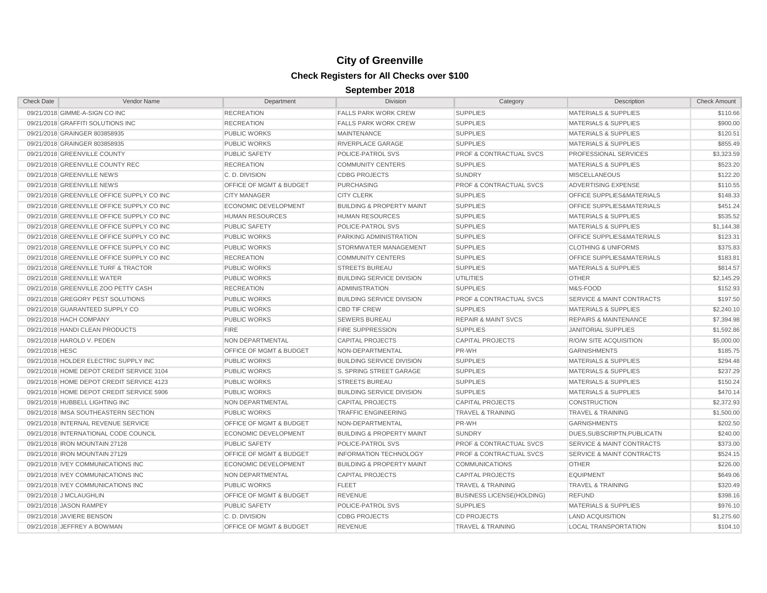| <b>Check Date</b>                          | Vendor Name | Department                         | Division                             | Category                           | Description                          | <b>Check Amount</b> |
|--------------------------------------------|-------------|------------------------------------|--------------------------------------|------------------------------------|--------------------------------------|---------------------|
| 09/21/2018 GIMME-A-SIGN CO INC             |             | <b>RECREATION</b>                  | <b>FALLS PARK WORK CREW</b>          | <b>SUPPLIES</b>                    | <b>MATERIALS &amp; SUPPLIES</b>      | \$110.66            |
| 09/21/2018 GRAFFITI SOLUTIONS INC          |             | <b>RECREATION</b>                  | <b>FALLS PARK WORK CREW</b>          | <b>SUPPLIES</b>                    | <b>MATERIALS &amp; SUPPLIES</b>      | \$900.00            |
| 09/21/2018 GRAINGER 803858935              |             | <b>PUBLIC WORKS</b>                | <b>MAINTENANCE</b>                   | <b>SUPPLIES</b>                    | <b>MATERIALS &amp; SUPPLIES</b>      | \$120.51            |
| 09/21/2018 GRAINGER 803858935              |             | <b>PUBLIC WORKS</b>                | RIVERPLACE GARAGE                    | <b>SUPPLIES</b>                    | <b>MATERIALS &amp; SUPPLIES</b>      | \$855.49            |
| 09/21/2018 GREENVILLE COUNTY               |             | <b>PUBLIC SAFETY</b>               | POLICE-PATROL SVS                    | <b>PROF &amp; CONTRACTUAL SVCS</b> | PROFESSIONAL SERVICES                | \$3,323.59          |
| 09/21/2018 GREENVILLE COUNTY REC           |             | <b>RECREATION</b>                  | <b>COMMUNITY CENTERS</b>             | <b>SUPPLIES</b>                    | <b>MATERIALS &amp; SUPPLIES</b>      | \$523.20            |
| 09/21/2018 GREENVILLE NEWS                 |             | C.D. DIVISION                      | <b>CDBG PROJECTS</b>                 | SUNDRY                             | <b>MISCELLANEOUS</b>                 | \$122.20            |
| 09/21/2018 GREENVILLE NEWS                 |             | <b>OFFICE OF MGMT &amp; BUDGET</b> | <b>PURCHASING</b>                    | <b>PROF &amp; CONTRACTUAL SVCS</b> | ADVERTISING EXPENSE                  | \$110.55            |
| 09/21/2018 GREENVILLE OFFICE SUPPLY CO INC |             | <b>CITY MANAGER</b>                | <b>CITY CLERK</b>                    | <b>SUPPLIES</b>                    | OFFICE SUPPLIES&MATERIALS            | \$148.33            |
| 09/21/2018 GREENVILLE OFFICE SUPPLY CO INC |             | <b>ECONOMIC DEVELOPMENT</b>        | <b>BUILDING &amp; PROPERTY MAINT</b> | <b>SUPPLIES</b>                    | OFFICE SUPPLIES&MATERIALS            | \$451.24            |
| 09/21/2018 GREENVILLE OFFICE SUPPLY CO INC |             | <b>HUMAN RESOURCES</b>             | <b>HUMAN RESOURCES</b>               | <b>SUPPLIES</b>                    | <b>MATERIALS &amp; SUPPLIES</b>      | \$535.52            |
| 09/21/2018 GREENVILLE OFFICE SUPPLY CO INC |             | <b>PUBLIC SAFETY</b>               | POLICE-PATROL SVS                    | <b>SUPPLIES</b>                    | <b>MATERIALS &amp; SUPPLIES</b>      | \$1,144.38          |
| 09/21/2018 GREENVILLE OFFICE SUPPLY CO INC |             | <b>PUBLIC WORKS</b>                | PARKING ADMINISTRATION               | <b>SUPPLIES</b>                    | OFFICE SUPPLIES&MATERIALS            | \$123.31            |
| 09/21/2018 GREENVILLE OFFICE SUPPLY CO INC |             | <b>PUBLIC WORKS</b>                | STORMWATER MANAGEMENT                | <b>SUPPLIES</b>                    | <b>CLOTHING &amp; UNIFORMS</b>       | \$375.83            |
| 09/21/2018 GREENVILLE OFFICE SUPPLY CO INC |             | <b>RECREATION</b>                  | <b>COMMUNITY CENTERS</b>             | <b>SUPPLIES</b>                    | OFFICE SUPPLIES&MATERIALS            | \$183.81            |
| 09/21/2018 GREENVILLE TURF & TRACTOR       |             | <b>PUBLIC WORKS</b>                | <b>STREETS BUREAU</b>                | <b>SUPPLIES</b>                    | <b>MATERIALS &amp; SUPPLIES</b>      | \$814.57            |
| 09/21/2018 GREENVILLE WATER                |             | <b>PUBLIC WORKS</b>                | <b>BUILDING SERVICE DIVISION</b>     | <b>UTILITIES</b>                   | <b>OTHER</b>                         | \$2,145.29          |
| 09/21/2018 GREENVILLE ZOO PETTY CASH       |             | <b>RECREATION</b>                  | <b>ADMINISTRATION</b>                | <b>SUPPLIES</b>                    | M&S-FOOD                             | \$152.93            |
| 09/21/2018 GREGORY PEST SOLUTIONS          |             | <b>PUBLIC WORKS</b>                | <b>BUILDING SERVICE DIVISION</b>     | <b>PROF &amp; CONTRACTUAL SVCS</b> | <b>SERVICE &amp; MAINT CONTRACTS</b> | \$197.50            |
| 09/21/2018 GUARANTEED SUPPLY CO            |             | <b>PUBLIC WORKS</b>                | <b>CBD TIF CREW</b>                  | <b>SUPPLIES</b>                    | <b>MATERIALS &amp; SUPPLIES</b>      | \$2,240.10          |
| 09/21/2018 HACH COMPANY                    |             | <b>PUBLIC WORKS</b>                | <b>SEWERS BUREAU</b>                 | <b>REPAIR &amp; MAINT SVCS</b>     | <b>REPAIRS &amp; MAINTENANCE</b>     | \$7,394.98          |
| 09/21/2018 HANDI CLEAN PRODUCTS            |             | <b>FIRE</b>                        | <b>FIRE SUPPRESSION</b>              | <b>SUPPLIES</b>                    | <b>JANITORIAL SUPPLIES</b>           | \$1,592.86          |
| 09/21/2018 HAROLD V. PEDEN                 |             | NON DEPARTMENTAL                   | <b>CAPITAL PROJECTS</b>              | <b>CAPITAL PROJECTS</b>            | <b>R/O/W SITE ACQUISITION</b>        | \$5,000.00          |
| 09/21/2018 HESC                            |             | <b>OFFICE OF MGMT &amp; BUDGET</b> | NON-DEPARTMENTAL                     | PR-WH                              | <b>GARNISHMENTS</b>                  | \$185.75            |
| 09/21/2018 HOLDER ELECTRIC SUPPLY INC      |             | <b>PUBLIC WORKS</b>                | <b>BUILDING SERVICE DIVISION</b>     | <b>SUPPLIES</b>                    | <b>MATERIALS &amp; SUPPLIES</b>      | \$294.48            |
| 09/21/2018 HOME DEPOT CREDIT SERVICE 3104  |             | <b>PUBLIC WORKS</b>                | S. SPRING STREET GARAGE              | <b>SUPPLIES</b>                    | <b>MATERIALS &amp; SUPPLIES</b>      | \$237.29            |
| 09/21/2018 HOME DEPOT CREDIT SERVICE 4123  |             | <b>PUBLIC WORKS</b>                | <b>STREETS BUREAU</b>                | <b>SUPPLIES</b>                    | <b>MATERIALS &amp; SUPPLIES</b>      | \$150.24            |
| 09/21/2018 HOME DEPOT CREDIT SERVICE 5906  |             | <b>PUBLIC WORKS</b>                | <b>BUILDING SERVICE DIVISION</b>     | <b>SUPPLIES</b>                    | <b>MATERIALS &amp; SUPPLIES</b>      | \$470.14            |
| 09/21/2018 HUBBELL LIGHTING INC            |             | NON DEPARTMENTAL                   | <b>CAPITAL PROJECTS</b>              | <b>CAPITAL PROJECTS</b>            | <b>CONSTRUCTION</b>                  | \$2,372.93          |
| 09/21/2018 IMSA SOUTHEASTERN SECTION       |             | <b>PUBLIC WORKS</b>                | <b>TRAFFIC ENGINEERING</b>           | <b>TRAVEL &amp; TRAINING</b>       | <b>TRAVEL &amp; TRAINING</b>         | \$1,500.00          |
| 09/21/2018 INTERNAL REVENUE SERVICE        |             | OFFICE OF MGMT & BUDGET            | NON-DEPARTMENTAL                     | PR-WH                              | <b>GARNISHMENTS</b>                  | \$202.50            |
| 09/21/2018 INTERNATIONAL CODE COUNCIL      |             | <b>ECONOMIC DEVELOPMENT</b>        | <b>BUILDING &amp; PROPERTY MAINT</b> | <b>SUNDRY</b>                      | DUES, SUBSCRIPTN, PUBLICATN          | \$240.00            |
| 09/21/2018 IRON MOUNTAIN 27128             |             | <b>PUBLIC SAFETY</b>               | POLICE-PATROL SVS                    | <b>PROF &amp; CONTRACTUAL SVCS</b> | <b>SERVICE &amp; MAINT CONTRACTS</b> | \$373.00            |
| 09/21/2018 IRON MOUNTAIN 27129             |             | OFFICE OF MGMT & BUDGET            | <b>INFORMATION TECHNOLOGY</b>        | <b>PROF &amp; CONTRACTUAL SVCS</b> | <b>SERVICE &amp; MAINT CONTRACTS</b> | \$524.15            |
| 09/21/2018 IVEY COMMUNICATIONS INC         |             | <b>ECONOMIC DEVELOPMENT</b>        | <b>BUILDING &amp; PROPERTY MAINT</b> | <b>COMMUNICATIONS</b>              | <b>OTHER</b>                         | \$226.00            |
| 09/21/2018 IVEY COMMUNICATIONS INC         |             | NON DEPARTMENTAL                   | <b>CAPITAL PROJECTS</b>              | <b>CAPITAL PROJECTS</b>            | <b>EQUIPMENT</b>                     | \$649.06            |
| 09/21/2018 IVEY COMMUNICATIONS INC         |             | <b>PUBLIC WORKS</b>                | <b>FLEET</b>                         | <b>TRAVEL &amp; TRAINING</b>       | <b>TRAVEL &amp; TRAINING</b>         | \$320.49            |
| 09/21/2018 J MCLAUGHLIN                    |             | OFFICE OF MGMT & BUDGET            | <b>REVENUE</b>                       | <b>BUSINESS LICENSE(HOLDING)</b>   | <b>REFUND</b>                        | \$398.16            |
| 09/21/2018 JASON RAMPEY                    |             | <b>PUBLIC SAFETY</b>               | POLICE-PATROL SVS                    | <b>SUPPLIES</b>                    | <b>MATERIALS &amp; SUPPLIES</b>      | \$976.10            |
| 09/21/2018 JAVIERE BENSON                  |             | C.D. DIVISION                      | <b>CDBG PROJECTS</b>                 | <b>CD PROJECTS</b>                 | <b>LAND ACQUISITION</b>              | \$1,275.60          |
| 09/21/2018 JEFFREY A BOWMAN                |             | OFFICE OF MGMT & BUDGET            | <b>REVENUE</b>                       | <b>TRAVEL &amp; TRAINING</b>       | <b>LOCAL TRANSPORTATION</b>          | \$104.10            |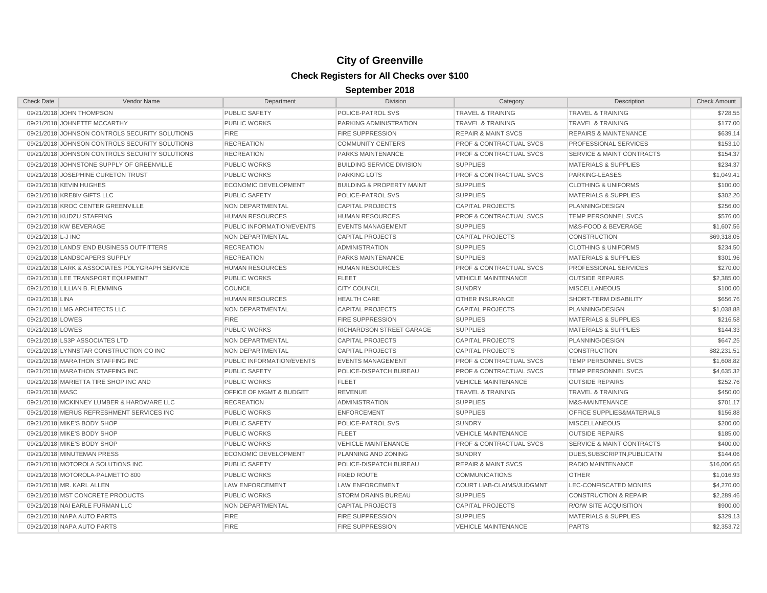| <b>Check Date</b><br><b>Vendor Name</b>        | Department                  | <b>Division</b>                      | Category                           | Description                          | <b>Check Amount</b> |
|------------------------------------------------|-----------------------------|--------------------------------------|------------------------------------|--------------------------------------|---------------------|
| 09/21/2018 JOHN THOMPSON                       | <b>PUBLIC SAFETY</b>        | POLICE-PATROL SVS                    | <b>TRAVEL &amp; TRAINING</b>       | <b>TRAVEL &amp; TRAINING</b>         | \$728.55            |
| 09/21/2018 JOHNETTE MCCARTHY                   | <b>PUBLIC WORKS</b>         | PARKING ADMINISTRATION               | <b>TRAVEL &amp; TRAINING</b>       | <b>TRAVEL &amp; TRAINING</b>         | \$177.00            |
| 09/21/2018 JOHNSON CONTROLS SECURITY SOLUTIONS | <b>FIRE</b>                 | <b>FIRE SUPPRESSION</b>              | <b>REPAIR &amp; MAINT SVCS</b>     | <b>REPAIRS &amp; MAINTENANCE</b>     | \$639.14            |
| 09/21/2018 JOHNSON CONTROLS SECURITY SOLUTIONS | <b>RECREATION</b>           | <b>COMMUNITY CENTERS</b>             | <b>PROF &amp; CONTRACTUAL SVCS</b> | PROFESSIONAL SERVICES                | \$153.10            |
| 09/21/2018 JOHNSON CONTROLS SECURITY SOLUTIONS | <b>RECREATION</b>           | PARKS MAINTENANCE                    | <b>PROF &amp; CONTRACTUAL SVCS</b> | <b>SERVICE &amp; MAINT CONTRACTS</b> | \$154.37            |
| 09/21/2018 JOHNSTONE SUPPLY OF GREENVILLE      | <b>PUBLIC WORKS</b>         | <b>BUILDING SERVICE DIVISION</b>     | <b>SUPPLIES</b>                    | <b>MATERIALS &amp; SUPPLIES</b>      | \$234.37            |
| 09/21/2018 JOSEPHINE CURETON TRUST             | <b>PUBLIC WORKS</b>         | <b>PARKING LOTS</b>                  | <b>PROF &amp; CONTRACTUAL SVCS</b> | PARKING-LEASES                       | \$1,049.41          |
| 09/21/2018 KEVIN HUGHES                        | <b>ECONOMIC DEVELOPMENT</b> | <b>BUILDING &amp; PROPERTY MAINT</b> | <b>SUPPLIES</b>                    | <b>CLOTHING &amp; UNIFORMS</b>       | \$100.00            |
| 09/21/2018 KRE8IV GIFTS LLC                    | <b>PUBLIC SAFETY</b>        | POLICE-PATROL SVS                    | <b>SUPPLIES</b>                    | <b>MATERIALS &amp; SUPPLIES</b>      | \$302.20            |
| 09/21/2018 KROC CENTER GREENVILLE              | NON DEPARTMENTAL            | <b>CAPITAL PROJECTS</b>              | <b>CAPITAL PROJECTS</b>            | PLANNING/DESIGN                      | \$256.00            |
| 09/21/2018 KUDZU STAFFING                      | <b>HUMAN RESOURCES</b>      | <b>HUMAN RESOURCES</b>               | <b>PROF &amp; CONTRACTUAL SVCS</b> | TEMP PERSONNEL SVCS                  | \$576.00            |
| 09/21/2018 KW BEVERAGE                         | PUBLIC INFORMATION/EVENTS   | <b>EVENTS MANAGEMENT</b>             | <b>SUPPLIES</b>                    | M&S-FOOD & BEVERAGE                  | \$1,607.56          |
| 09/21/2018 L-J INC                             | NON DEPARTMENTAL            | <b>CAPITAL PROJECTS</b>              | <b>CAPITAL PROJECTS</b>            | <b>CONSTRUCTION</b>                  | \$69,318.05         |
| 09/21/2018 LANDS' END BUSINESS OUTFITTERS      | <b>RECREATION</b>           | <b>ADMINISTRATION</b>                | <b>SUPPLIES</b>                    | <b>CLOTHING &amp; UNIFORMS</b>       | \$234.50            |
| 09/21/2018 LANDSCAPERS SUPPLY                  | <b>RECREATION</b>           | PARKS MAINTENANCE                    | <b>SUPPLIES</b>                    | <b>MATERIALS &amp; SUPPLIES</b>      | \$301.96            |
| 09/21/2018 LARK & ASSOCIATES POLYGRAPH SERVICE | <b>HUMAN RESOURCES</b>      | <b>HUMAN RESOURCES</b>               | <b>PROF &amp; CONTRACTUAL SVCS</b> | PROFESSIONAL SERVICES                | \$270.00            |
| 09/21/2018 LEE TRANSPORT EQUIPMENT             | <b>PUBLIC WORKS</b>         | <b>FLEET</b>                         | <b>VEHICLE MAINTENANCE</b>         | <b>OUTSIDE REPAIRS</b>               | \$2,385.00          |
| 09/21/2018 LILLIAN B. FLEMMING                 | <b>COUNCIL</b>              | <b>CITY COUNCIL</b>                  | <b>SUNDRY</b>                      | <b>MISCELLANEOUS</b>                 | \$100.00            |
| 09/21/2018 LINA                                | <b>HUMAN RESOURCES</b>      | <b>HEALTH CARE</b>                   | <b>OTHER INSURANCE</b>             | <b>SHORT-TERM DISABILITY</b>         | \$656.76            |
| 09/21/2018 LMG ARCHITECTS LLC                  | <b>NON DEPARTMENTAL</b>     | <b>CAPITAL PROJECTS</b>              | <b>CAPITAL PROJECTS</b>            | PLANNING/DESIGN                      | \$1,038.88          |
| 09/21/2018 LOWES                               | <b>FIRE</b>                 | <b>FIRE SUPPRESSION</b>              | <b>SUPPLIES</b>                    | <b>MATERIALS &amp; SUPPLIES</b>      | \$216.58            |
| 09/21/2018 LOWES                               | <b>PUBLIC WORKS</b>         | RICHARDSON STREET GARAGE             | <b>SUPPLIES</b>                    | <b>MATERIALS &amp; SUPPLIES</b>      | \$144.33            |
| 09/21/2018 LS3P ASSOCIATES LTD                 | NON DEPARTMENTAL            | <b>CAPITAL PROJECTS</b>              | <b>CAPITAL PROJECTS</b>            | PLANNING/DESIGN                      | \$647.25            |
| 09/21/2018 LYNNSTAR CONSTRUCTION CO INC        | NON DEPARTMENTAL            | <b>CAPITAL PROJECTS</b>              | <b>CAPITAL PROJECTS</b>            | <b>CONSTRUCTION</b>                  | \$82,231.51         |
| 09/21/2018 MARATHON STAFFING INC               | PUBLIC INFORMATION/EVENTS   | <b>EVENTS MANAGEMENT</b>             | <b>PROF &amp; CONTRACTUAL SVCS</b> | TEMP PERSONNEL SVCS                  | \$1,608.82          |
| 09/21/2018 MARATHON STAFFING INC               | <b>PUBLIC SAFETY</b>        | POLICE-DISPATCH BUREAU               | <b>PROF &amp; CONTRACTUAL SVCS</b> | <b>TEMP PERSONNEL SVCS</b>           | \$4,635.32          |
| 09/21/2018 MARIETTA TIRE SHOP INC AND          | <b>PUBLIC WORKS</b>         | <b>FLEET</b>                         | <b>VEHICLE MAINTENANCE</b>         | <b>OUTSIDE REPAIRS</b>               | \$252.76            |
| 09/21/2018 MASC                                | OFFICE OF MGMT & BUDGET     | <b>REVENUE</b>                       | <b>TRAVEL &amp; TRAINING</b>       | <b>TRAVEL &amp; TRAINING</b>         | \$450.00            |
| 09/21/2018 MCKINNEY LUMBER & HARDWARE LLC      | <b>RECREATION</b>           | <b>ADMINISTRATION</b>                | <b>SUPPLIES</b>                    | M&S-MAINTENANCE                      | \$701.17            |
| 09/21/2018 MERUS REFRESHMENT SERVICES INC      | <b>PUBLIC WORKS</b>         | <b>ENFORCEMENT</b>                   | <b>SUPPLIES</b>                    | OFFICE SUPPLIES&MATERIALS            | \$156.88            |
| 09/21/2018 MIKE'S BODY SHOP                    | <b>PUBLIC SAFETY</b>        | POLICE-PATROL SVS                    | <b>SUNDRY</b>                      | <b>MISCELLANEOUS</b>                 | \$200.00            |
| 09/21/2018 MIKE'S BODY SHOP                    | <b>PUBLIC WORKS</b>         | <b>FLEET</b>                         | <b>VEHICLE MAINTENANCE</b>         | <b>OUTSIDE REPAIRS</b>               | \$185.00            |
| 09/21/2018 MIKE'S BODY SHOP                    | <b>PUBLIC WORKS</b>         | <b>VEHICLE MAINTENANCE</b>           | <b>PROF &amp; CONTRACTUAL SVCS</b> | <b>SERVICE &amp; MAINT CONTRACTS</b> | \$400.00            |
| 09/21/2018 MINUTEMAN PRESS                     | ECONOMIC DEVELOPMENT        | PLANNING AND ZONING                  | <b>SUNDRY</b>                      | DUES, SUBSCRIPTN, PUBLICATN          | \$144.06            |
| 09/21/2018 MOTOROLA SOLUTIONS INC              | <b>PUBLIC SAFETY</b>        | POLICE-DISPATCH BUREAU               | <b>REPAIR &amp; MAINT SVCS</b>     | RADIO MAINTENANCE                    | \$16,006.65         |
| 09/21/2018 MOTOROLA-PALMETTO 800               | <b>PUBLIC WORKS</b>         | <b>FIXED ROUTE</b>                   | <b>COMMUNICATIONS</b>              | <b>OTHER</b>                         | \$1,016.93          |
| 09/21/2018 MR. KARL ALLEN                      | <b>LAW ENFORCEMENT</b>      | <b>LAW ENFORCEMENT</b>               | COURT LIAB-CLAIMS/JUDGMNT          | LEC-CONFISCATED MONIES               | \$4,270.00          |
| 09/21/2018 MST CONCRETE PRODUCTS               | <b>PUBLIC WORKS</b>         | <b>STORM DRAINS BUREAU</b>           | <b>SUPPLIES</b>                    | <b>CONSTRUCTION &amp; REPAIR</b>     | \$2,289.46          |
| 09/21/2018 NAI EARLE FURMAN LLC                | NON DEPARTMENTAL            | <b>CAPITAL PROJECTS</b>              | <b>CAPITAL PROJECTS</b>            | <b>R/O/W SITE ACQUISITION</b>        | \$900.00            |
| 09/21/2018 NAPA AUTO PARTS                     | <b>FIRE</b>                 | <b>FIRE SUPPRESSION</b>              | <b>SUPPLIES</b>                    | <b>MATERIALS &amp; SUPPLIES</b>      | \$329.13            |
| 09/21/2018 NAPA AUTO PARTS                     | <b>FIRE</b>                 | <b>FIRE SUPPRESSION</b>              | <b>VEHICLE MAINTENANCE</b>         | <b>PARTS</b>                         | \$2,353.72          |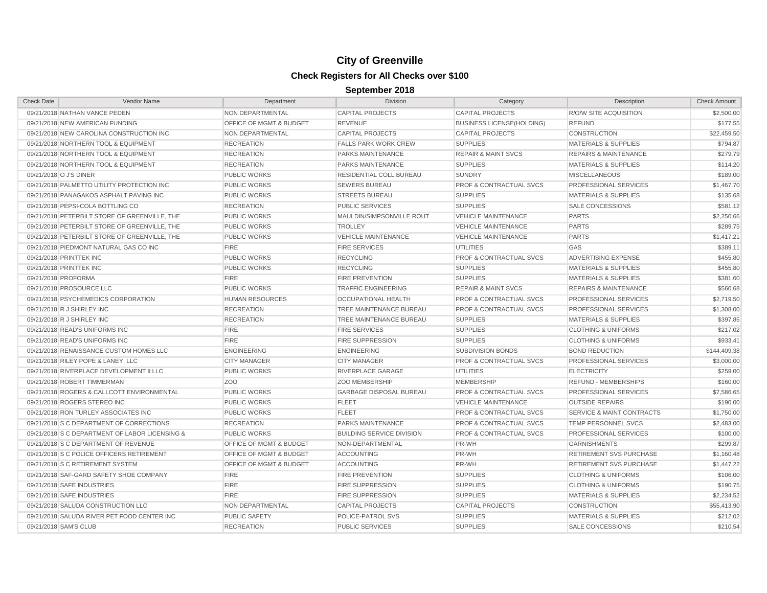| <b>Check Date</b>                  | Vendor Name                                    | Department                         | <b>Division</b>                  | Category                           | Description                          | <b>Check Amount</b> |
|------------------------------------|------------------------------------------------|------------------------------------|----------------------------------|------------------------------------|--------------------------------------|---------------------|
| 09/21/2018 NATHAN VANCE PEDEN      |                                                | NON DEPARTMENTAL                   | <b>CAPITAL PROJECTS</b>          | <b>CAPITAL PROJECTS</b>            | <b>R/O/W SITE ACQUISITION</b>        | \$2,500.00          |
| 09/21/2018 NEW AMERICAN FUNDING    |                                                | OFFICE OF MGMT & BUDGET            | <b>REVENUE</b>                   | <b>BUSINESS LICENSE(HOLDING)</b>   | <b>REFUND</b>                        | \$177.55            |
|                                    | 09/21/2018 NEW CAROLINA CONSTRUCTION INC       | NON DEPARTMENTAL                   | <b>CAPITAL PROJECTS</b>          | <b>CAPITAL PROJECTS</b>            | CONSTRUCTION                         | \$22,459.50         |
|                                    | 09/21/2018 NORTHERN TOOL & EQUIPMENT           | <b>RECREATION</b>                  | <b>FALLS PARK WORK CREW</b>      | <b>SUPPLIES</b>                    | MATERIALS & SUPPLIES                 | \$794.87            |
|                                    | 09/21/2018 NORTHERN TOOL & EQUIPMENT           | <b>RECREATION</b>                  | PARKS MAINTENANCE                | <b>REPAIR &amp; MAINT SVCS</b>     | <b>REPAIRS &amp; MAINTENANCE</b>     | \$279.79            |
|                                    | 09/21/2018 NORTHERN TOOL & EQUIPMENT           | <b>RECREATION</b>                  | <b>PARKS MAINTENANCE</b>         | <b>SUPPLIES</b>                    | <b>MATERIALS &amp; SUPPLIES</b>      | \$114.20            |
| 09/21/2018 O J'S DINER             |                                                | <b>PUBLIC WORKS</b>                | RESIDENTIAL COLL BUREAU          | <b>SUNDRY</b>                      | <b>MISCELLANEOUS</b>                 | \$189.00            |
|                                    | 09/21/2018 PALMETTO UTILITY PROTECTION INC     | <b>PUBLIC WORKS</b>                | <b>SEWERS BUREAU</b>             | <b>PROF &amp; CONTRACTUAL SVCS</b> | PROFESSIONAL SERVICES                | \$1,467.70          |
|                                    | 09/21/2018 PANAGAKOS ASPHALT PAVING INC        | <b>PUBLIC WORKS</b>                | <b>STREETS BUREAU</b>            | <b>SUPPLIES</b>                    | <b>MATERIALS &amp; SUPPLIES</b>      | \$135.68            |
| 09/21/2018 PEPSI-COLA BOTTLING CO  |                                                | <b>RECREATION</b>                  | PUBLIC SERVICES                  | <b>SUPPLIES</b>                    | SALE CONCESSIONS                     | \$581.12            |
|                                    | 09/21/2018 PETERBILT STORE OF GREENVILLE. THE  | <b>PUBLIC WORKS</b>                | MAULDIN/SIMPSONVILLE ROUT        | <b>VEHICLE MAINTENANCE</b>         | <b>PARTS</b>                         | \$2,250.66          |
|                                    | 09/21/2018 PETERBILT STORE OF GREENVILLE, THE  | <b>PUBLIC WORKS</b>                | <b>TROLLEY</b>                   | <b>VEHICLE MAINTENANCE</b>         | <b>PARTS</b>                         | \$289.75            |
|                                    | 09/21/2018 PETERBILT STORE OF GREENVILLE. THE  | <b>PUBLIC WORKS</b>                | <b>VEHICLE MAINTENANCE</b>       | <b>VEHICLE MAINTENANCE</b>         | <b>PARTS</b>                         | \$1,417.21          |
|                                    | 09/21/2018 PIEDMONT NATURAL GAS CO INC         | <b>FIRE</b>                        | <b>FIRE SERVICES</b>             | <b>UTILITIES</b>                   | GAS                                  | \$389.11            |
| 09/21/2018 PRINTTEK INC            |                                                | <b>PUBLIC WORKS</b>                | <b>RECYCLING</b>                 | <b>PROF &amp; CONTRACTUAL SVCS</b> | ADVERTISING EXPENSE                  | \$455.80            |
| 09/21/2018 PRINTTEK INC            |                                                | <b>PUBLIC WORKS</b>                | <b>RECYCLING</b>                 | <b>SUPPLIES</b>                    | <b>MATERIALS &amp; SUPPLIES</b>      | \$455.80            |
| 09/21/2018 PROFORMA                |                                                | <b>FIRE</b>                        | <b>FIRE PREVENTION</b>           | <b>SUPPLIES</b>                    | <b>MATERIALS &amp; SUPPLIES</b>      | \$381.60            |
| 09/21/2018 PROSOURCE LLC           |                                                | <b>PUBLIC WORKS</b>                | <b>TRAFFIC ENGINEERING</b>       | <b>REPAIR &amp; MAINT SVCS</b>     | <b>REPAIRS &amp; MAINTENANCE</b>     | \$560.68            |
|                                    | 09/21/2018 PSYCHEMEDICS CORPORATION            | <b>HUMAN RESOURCES</b>             | <b>OCCUPATIONAL HEALTH</b>       | <b>PROF &amp; CONTRACTUAL SVCS</b> | PROFESSIONAL SERVICES                | \$2,719.50          |
| 09/21/2018 R J SHIRLEY INC         |                                                | <b>RECREATION</b>                  | TREE MAINTENANCE BUREAU          | <b>PROF &amp; CONTRACTUAL SVCS</b> | PROFESSIONAL SERVICES                | \$1,308.00          |
| 09/21/2018 R J SHIRLEY INC         |                                                | <b>RECREATION</b>                  | TREE MAINTENANCE BUREAU          | <b>SUPPLIES</b>                    | <b>MATERIALS &amp; SUPPLIES</b>      | \$397.85            |
| 09/21/2018 READ'S UNIFORMS INC     |                                                | <b>FIRE</b>                        | <b>FIRE SERVICES</b>             | <b>SUPPLIES</b>                    | <b>CLOTHING &amp; UNIFORMS</b>       | \$217.02            |
| 09/21/2018 READ'S UNIFORMS INC     |                                                | <b>FIRE</b>                        | <b>FIRE SUPPRESSION</b>          | <b>SUPPLIES</b>                    | <b>CLOTHING &amp; UNIFORMS</b>       | \$933.41            |
|                                    | 09/21/2018 RENAISSANCE CUSTOM HOMES LLC        | <b>ENGINEERING</b>                 | <b>ENGINEERING</b>               | SUBDIVISION BONDS                  | <b>BOND REDUCTION</b>                | \$144,409.38        |
| 09/21/2018 RILEY POPE & LANEY, LLC |                                                | <b>CITY MANAGER</b>                | <b>CITY MANAGER</b>              | <b>PROF &amp; CONTRACTUAL SVCS</b> | PROFESSIONAL SERVICES                | \$3,000.00          |
|                                    | 09/21/2018 RIVERPLACE DEVELOPMENT II LLC       | <b>PUBLIC WORKS</b>                | RIVERPLACE GARAGE                | <b>UTILITIES</b>                   | <b>ELECTRICITY</b>                   | \$259.00            |
| 09/21/2018 ROBERT TIMMERMAN        |                                                | Z <sub>O</sub> O                   | <b>ZOO MEMBERSHIP</b>            | <b>MEMBERSHIP</b>                  | <b>REFUND - MEMBERSHIPS</b>          | \$160.00            |
|                                    | 09/21/2018 ROGERS & CALLCOTT ENVIRONMENTAL     | <b>PUBLIC WORKS</b>                | <b>GARBAGE DISPOSAL BUREAU</b>   | <b>PROF &amp; CONTRACTUAL SVCS</b> | PROFESSIONAL SERVICES                | \$7,586.65          |
| 09/21/2018 ROGERS STEREO INC       |                                                | <b>PUBLIC WORKS</b>                | <b>FLEET</b>                     | <b>VEHICLE MAINTENANCE</b>         | <b>OUTSIDE REPAIRS</b>               | \$190.00            |
|                                    | 09/21/2018 RON TURLEY ASSOCIATES INC           | <b>PUBLIC WORKS</b>                | <b>FLEET</b>                     | <b>PROF &amp; CONTRACTUAL SVCS</b> | <b>SERVICE &amp; MAINT CONTRACTS</b> | \$1,750.00          |
|                                    | 09/21/2018 S C DEPARTMENT OF CORRECTIONS       | <b>RECREATION</b>                  | PARKS MAINTENANCE                | <b>PROF &amp; CONTRACTUAL SVCS</b> | <b>TEMP PERSONNEL SVCS</b>           | \$2,483.00          |
|                                    | 09/21/2018 S C DEPARTMENT OF LABOR LICENSING & | <b>PUBLIC WORKS</b>                | <b>BUILDING SERVICE DIVISION</b> | <b>PROF &amp; CONTRACTUAL SVCS</b> | PROFESSIONAL SERVICES                | \$100.00            |
|                                    | 09/21/2018 S C DEPARTMENT OF REVENUE           | <b>OFFICE OF MGMT &amp; BUDGET</b> | NON-DEPARTMENTAL                 | PR-WH                              | <b>GARNISHMENTS</b>                  | \$299.87            |
|                                    | 09/21/2018 S C POLICE OFFICERS RETIREMENT      | OFFICE OF MGMT & BUDGET            | <b>ACCOUNTING</b>                | PR-WH                              | RETIREMENT SVS PURCHASE              | \$1,160.48          |
| 09/21/2018 S C RETIREMENT SYSTEM   |                                                | OFFICE OF MGMT & BUDGET            | <b>ACCOUNTING</b>                | PR-WH                              | RETIREMENT SVS PURCHASE              | \$1,447.22          |
|                                    | 09/21/2018 SAF-GARD SAFETY SHOE COMPANY        | <b>FIRE</b>                        | <b>FIRE PREVENTION</b>           | <b>SUPPLIES</b>                    | <b>CLOTHING &amp; UNIFORMS</b>       | \$106.00            |
| 09/21/2018 SAFE INDUSTRIES         |                                                | <b>FIRE</b>                        | <b>FIRE SUPPRESSION</b>          | <b>SUPPLIES</b>                    | <b>CLOTHING &amp; UNIFORMS</b>       | \$190.75            |
| 09/21/2018 SAFE INDUSTRIES         |                                                | <b>FIRE</b>                        | <b>FIRE SUPPRESSION</b>          | <b>SUPPLIES</b>                    | <b>MATERIALS &amp; SUPPLIES</b>      | \$2.234.52          |
|                                    | 09/21/2018 SALUDA CONSTRUCTION LLC             | NON DEPARTMENTAL                   | <b>CAPITAL PROJECTS</b>          | <b>CAPITAL PROJECTS</b>            | <b>CONSTRUCTION</b>                  | \$55,413.90         |
|                                    | 09/21/2018 SALUDA RIVER PET FOOD CENTER INC    | <b>PUBLIC SAFETY</b>               | POLICE-PATROL SVS                | <b>SUPPLIES</b>                    | <b>MATERIALS &amp; SUPPLIES</b>      | \$212.02            |
| 09/21/2018 SAM'S CLUB              |                                                | <b>RECREATION</b>                  | <b>PUBLIC SERVICES</b>           | <b>SUPPLIES</b>                    | <b>SALE CONCESSIONS</b>              | \$210.54            |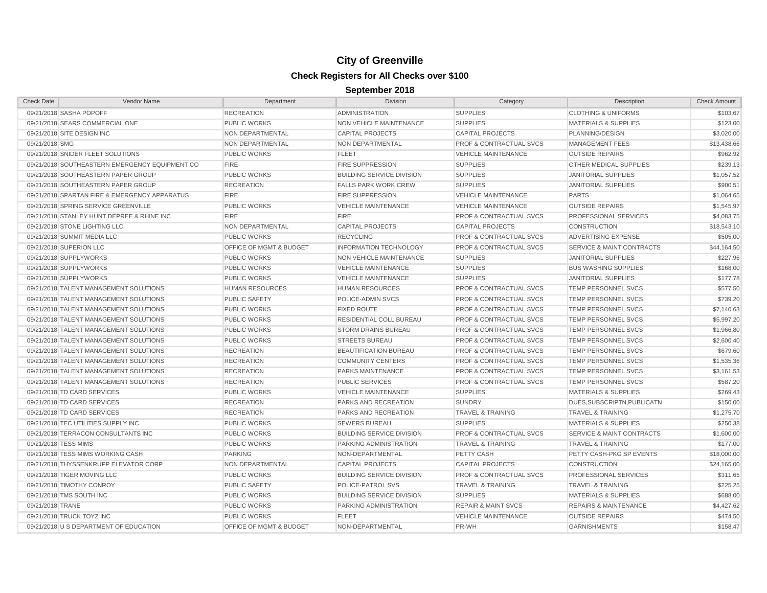| <b>Check Date</b>    | Vendor Name                                    | Department                         | Division                         | Category                           | Description                          | <b>Check Amount</b> |
|----------------------|------------------------------------------------|------------------------------------|----------------------------------|------------------------------------|--------------------------------------|---------------------|
|                      | 09/21/2018 SASHA POPOFF                        | <b>RECREATION</b>                  | <b>ADMINISTRATION</b>            | <b>SUPPLIES</b>                    | <b>CLOTHING &amp; UNIFORMS</b>       | \$103.67            |
|                      | 09/21/2018 SEARS COMMERCIAL ONE                | <b>PUBLIC WORKS</b>                | NON VEHICLE MAINTENANCE          | <b>SUPPLIES</b>                    | <b>MATERIALS &amp; SUPPLIES</b>      | \$123.00            |
|                      | 09/21/2018 SITE DESIGN INC                     | NON DEPARTMENTAL                   | <b>CAPITAL PROJECTS</b>          | <b>CAPITAL PROJECTS</b>            | PLANNING/DESIGN                      | \$3,020.00          |
| 09/21/2018 SMG       |                                                | NON DEPARTMENTAL                   | NON DEPARTMENTAL                 | <b>PROF &amp; CONTRACTUAL SVCS</b> | <b>MANAGEMENT FEES</b>               | \$13,438.66         |
|                      | 09/21/2018 SNIDER FLEET SOLUTIONS              | <b>PUBLIC WORKS</b>                | <b>FLEET</b>                     | <b>VEHICLE MAINTENANCE</b>         | <b>OUTSIDE REPAIRS</b>               | \$962.92            |
|                      | 09/21/2018 SOUTHEASTERN EMERGENCY EQUIPMENT CO | <b>FIRE</b>                        | <b>FIRE SUPPRESSION</b>          | <b>SUPPLIES</b>                    | OTHER MEDICAL SUPPLIES               | \$239.13            |
|                      | 09/21/2018 SOUTHEASTERN PAPER GROUP            | <b>PUBLIC WORKS</b>                | <b>BUILDING SERVICE DIVISION</b> | <b>SUPPLIES</b>                    | <b>JANITORIAL SUPPLIES</b>           | \$1,057.52          |
|                      | 09/21/2018 SOUTHEASTERN PAPER GROUP            | <b>RECREATION</b>                  | <b>FALLS PARK WORK CREW</b>      | <b>SUPPLIES</b>                    | JANITORIAL SUPPLIES                  | \$900.51            |
|                      | 09/21/2018 SPARTAN FIRE & EMERGENCY APPARATUS  | <b>FIRE</b>                        | <b>FIRE SUPPRESSION</b>          | VEHICLE MAINTENANCE                | <b>PARTS</b>                         | \$1,064.65          |
|                      | 09/21/2018 SPRING SERVICE GREENVILLE           | <b>PUBLIC WORKS</b>                | <b>VEHICLE MAINTENANCE</b>       | <b>VEHICLE MAINTENANCE</b>         | <b>OUTSIDE REPAIRS</b>               | \$1,545.97          |
|                      | 09/21/2018 STANLEY HUNT DEPREE & RHINE INC     | <b>FIRE</b>                        | <b>FIRE</b>                      | <b>PROF &amp; CONTRACTUAL SVCS</b> | PROFESSIONAL SERVICES                | \$4,083.75          |
|                      | 09/21/2018 STONE LIGHTING LLC                  | NON DEPARTMENTAL                   | <b>CAPITAL PROJECTS</b>          | <b>CAPITAL PROJECTS</b>            | <b>CONSTRUCTION</b>                  | \$18,543.10         |
|                      | 09/21/2018 SUMMIT MEDIA LLC                    | <b>PUBLIC WORKS</b>                | <b>RECYCLING</b>                 | <b>PROF &amp; CONTRACTUAL SVCS</b> | ADVERTISING EXPENSE                  | \$505.00            |
|                      | 09/21/2018 SUPERION LLC                        | OFFICE OF MGMT & BUDGET            | <b>INFORMATION TECHNOLOGY</b>    | <b>PROF &amp; CONTRACTUAL SVCS</b> | <b>SERVICE &amp; MAINT CONTRACTS</b> | \$44,164.50         |
|                      | 09/21/2018 SUPPLYWORKS                         | <b>PUBLIC WORKS</b>                | <b>NON VEHICLE MAINTENANCE</b>   | <b>SUPPLIES</b>                    | <b>JANITORIAL SUPPLIES</b>           | \$227.96            |
|                      | 09/21/2018 SUPPLYWORKS                         | <b>PUBLIC WORKS</b>                | <b>VEHICLE MAINTENANCE</b>       | <b>SUPPLIES</b>                    | <b>BUS WASHING SUPPLIES</b>          | \$168.00            |
|                      | 09/21/2018 SUPPLYWORKS                         | <b>PUBLIC WORKS</b>                | <b>VEHICLE MAINTENANCE</b>       | <b>SUPPLIES</b>                    | <b>JANITORIAL SUPPLIES</b>           | \$177.78            |
|                      | 09/21/2018 TALENT MANAGEMENT SOLUTIONS         | <b>HUMAN RESOURCES</b>             | <b>HUMAN RESOURCES</b>           | PROF & CONTRACTUAL SVCS            | TEMP PERSONNEL SVCS                  | \$577.50            |
|                      | 09/21/2018 TALENT MANAGEMENT SOLUTIONS         | <b>PUBLIC SAFETY</b>               | POLICE-ADMIN SVCS                | <b>PROF &amp; CONTRACTUAL SVCS</b> | TEMP PERSONNEL SVCS                  | \$739.20            |
|                      | 09/21/2018 TALENT MANAGEMENT SOLUTIONS         | <b>PUBLIC WORKS</b>                | <b>FIXED ROUTE</b>               | <b>PROF &amp; CONTRACTUAL SVCS</b> | TEMP PERSONNEL SVCS                  | \$7,140.63          |
|                      | 09/21/2018 TALENT MANAGEMENT SOLUTIONS         | <b>PUBLIC WORKS</b>                | <b>RESIDENTIAL COLL BUREAU</b>   | <b>PROF &amp; CONTRACTUAL SVCS</b> | <b>TEMP PERSONNEL SVCS</b>           | \$5.997.20          |
|                      | 09/21/2018 TALENT MANAGEMENT SOLUTIONS         | <b>PUBLIC WORKS</b>                | <b>STORM DRAINS BUREAU</b>       | <b>PROF &amp; CONTRACTUAL SVCS</b> | <b>TEMP PERSONNEL SVCS</b>           | \$1,966.80          |
|                      | 09/21/2018 TALENT MANAGEMENT SOLUTIONS         | <b>PUBLIC WORKS</b>                | <b>STREETS BUREAU</b>            | <b>PROF &amp; CONTRACTUAL SVCS</b> | <b>TEMP PERSONNEL SVCS</b>           | \$2,600.40          |
|                      | 09/21/2018 TALENT MANAGEMENT SOLUTIONS         | <b>RECREATION</b>                  | <b>BEAUTIFICATION BUREAU</b>     | <b>PROF &amp; CONTRACTUAL SVCS</b> | <b>TEMP PERSONNEL SVCS</b>           | \$679.60            |
|                      | 09/21/2018 TALENT MANAGEMENT SOLUTIONS         | <b>RECREATION</b>                  | <b>COMMUNITY CENTERS</b>         | <b>PROF &amp; CONTRACTUAL SVCS</b> | <b>TEMP PERSONNEL SVCS</b>           | \$1,535.36          |
|                      | 09/21/2018 TALENT MANAGEMENT SOLUTIONS         | <b>RECREATION</b>                  | PARKS MAINTENANCE                | PROF & CONTRACTUAL SVCS            | <b>TEMP PERSONNEL SVCS</b>           | \$3,161.53          |
|                      | 09/21/2018 TALENT MANAGEMENT SOLUTIONS         | <b>RECREATION</b>                  | <b>PUBLIC SERVICES</b>           | <b>PROF &amp; CONTRACTUAL SVCS</b> | TEMP PERSONNEL SVCS                  | \$587.20            |
|                      | 09/21/2018 TD CARD SERVICES                    | <b>PUBLIC WORKS</b>                | VEHICLE MAINTENANCE              | <b>SUPPLIES</b>                    | <b>MATERIALS &amp; SUPPLIES</b>      | \$269.43            |
|                      | 09/21/2018 TD CARD SERVICES                    | <b>RECREATION</b>                  | PARKS AND RECREATION             | <b>SUNDRY</b>                      | DUES, SUBSCRIPTN, PUBLICATN          | \$150.00            |
|                      | 09/21/2018 TD CARD SERVICES                    | <b>RECREATION</b>                  | PARKS AND RECREATION             | <b>TRAVEL &amp; TRAINING</b>       | <b>TRAVEL &amp; TRAINING</b>         | \$1,275.70          |
|                      | 09/21/2018 TEC UTILITIES SUPPLY INC            | <b>PUBLIC WORKS</b>                | <b>SEWERS BUREAU</b>             | <b>SUPPLIES</b>                    | <b>MATERIALS &amp; SUPPLIES</b>      | \$250.38            |
|                      | 09/21/2018 TERRACON CONSULTANTS INC            | <b>PUBLIC WORKS</b>                | <b>BUILDING SERVICE DIVISION</b> | <b>PROF &amp; CONTRACTUAL SVCS</b> | <b>SERVICE &amp; MAINT CONTRACTS</b> | \$1,600.00          |
| 09/21/2018 TESS MIMS |                                                | <b>PUBLIC WORKS</b>                | PARKING ADMINISTRATION           | <b>TRAVEL &amp; TRAINING</b>       | <b>TRAVEL &amp; TRAINING</b>         | \$177.00            |
|                      | 09/21/2018 TESS MIMS WORKING CASH              | <b>PARKING</b>                     | NON-DEPARTMENTAL                 | PETTY CASH                         | PETTY CASH-PKG SP EVENTS             | \$18,000.00         |
|                      | 09/21/2018 THYSSENKRUPP ELEVATOR CORP          | NON DEPARTMENTAL                   | <b>CAPITAL PROJECTS</b>          | <b>CAPITAL PROJECTS</b>            | <b>CONSTRUCTION</b>                  | \$24,165.00         |
|                      | 09/21/2018 TIGER MOVING LLC                    | <b>PUBLIC WORKS</b>                | <b>BUILDING SERVICE DIVISION</b> | <b>PROF &amp; CONTRACTUAL SVCS</b> | PROFESSIONAL SERVICES                | \$311.65            |
|                      | 09/21/2018 TIMOTHY CONROY                      | <b>PUBLIC SAFETY</b>               | POLICE-PATROL SVS                | <b>TRAVEL &amp; TRAINING</b>       | <b>TRAVEL &amp; TRAINING</b>         | \$225.25            |
|                      | 09/21/2018 TMS SOUTH INC                       | <b>PUBLIC WORKS</b>                | <b>BUILDING SERVICE DIVISION</b> | <b>SUPPLIES</b>                    | <b>MATERIALS &amp; SUPPLIES</b>      | \$688.00            |
| 09/21/2018 TRANE     |                                                | <b>PUBLIC WORKS</b>                | PARKING ADMINISTRATION           | <b>REPAIR &amp; MAINT SVCS</b>     | <b>REPAIRS &amp; MAINTENANCE</b>     | \$4,427.62          |
|                      | 09/21/2018 TRUCK TOYZ INC                      | <b>PUBLIC WORKS</b>                | <b>FLEET</b>                     | <b>VEHICLE MAINTENANCE</b>         | <b>OUTSIDE REPAIRS</b>               | \$474.50            |
|                      | 09/21/2018 U S DEPARTMENT OF EDUCATION         | <b>OFFICE OF MGMT &amp; BUDGET</b> | NON-DEPARTMENTAL                 | PR-WH                              | <b>GARNISHMENTS</b>                  | \$158.47            |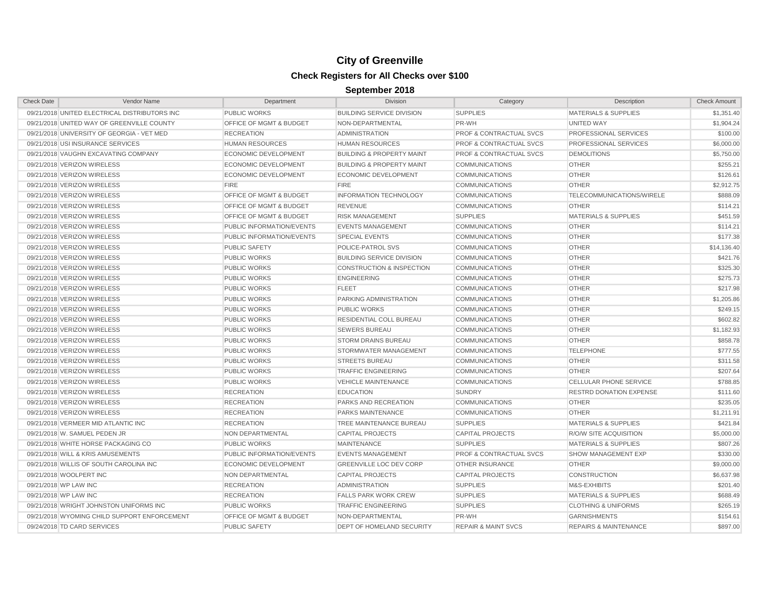| <b>Check Date</b> | Vendor Name                                   | Department                         | Division                             | Category                           | Description                      | <b>Check Amount</b> |
|-------------------|-----------------------------------------------|------------------------------------|--------------------------------------|------------------------------------|----------------------------------|---------------------|
|                   | 09/21/2018 UNITED ELECTRICAL DISTRIBUTORS INC | <b>PUBLIC WORKS</b>                | <b>BUILDING SERVICE DIVISION</b>     | <b>SUPPLIES</b>                    | <b>MATERIALS &amp; SUPPLIES</b>  | \$1,351.40          |
|                   | 09/21/2018 UNITED WAY OF GREENVILLE COUNTY    | <b>OFFICE OF MGMT &amp; BUDGET</b> | NON-DEPARTMENTAL                     | PR-WH                              | UNITED WAY                       | \$1,904.24          |
|                   | 09/21/2018 UNIVERSITY OF GEORGIA - VET MED    | <b>RECREATION</b>                  | <b>ADMINISTRATION</b>                | <b>PROF &amp; CONTRACTUAL SVCS</b> | PROFESSIONAL SERVICES            | \$100.00            |
|                   | 09/21/2018 USI INSURANCE SERVICES             | <b>HUMAN RESOURCES</b>             | HUMAN RESOURCES                      | <b>PROF &amp; CONTRACTUAL SVCS</b> | PROFESSIONAL SERVICES            | \$6,000.00          |
|                   | 09/21/2018 VAUGHN EXCAVATING COMPANY          | <b>ECONOMIC DEVELOPMENT</b>        | <b>BUILDING &amp; PROPERTY MAINT</b> | <b>PROF &amp; CONTRACTUAL SVCS</b> | <b>DEMOLITIONS</b>               | \$5,750.00          |
|                   | 09/21/2018 VERIZON WIRELESS                   | <b>ECONOMIC DEVELOPMENT</b>        | <b>BUILDING &amp; PROPERTY MAINT</b> | <b>COMMUNICATIONS</b>              | <b>OTHER</b>                     | \$255.21            |
|                   | 09/21/2018 VERIZON WIRELESS                   | ECONOMIC DEVELOPMENT               | <b>ECONOMIC DEVELOPMENT</b>          | <b>COMMUNICATIONS</b>              | <b>OTHER</b>                     | \$126.61            |
|                   | 09/21/2018 VERIZON WIRELESS                   | <b>FIRE</b>                        | <b>FIRE</b>                          | <b>COMMUNICATIONS</b>              | <b>OTHER</b>                     | \$2,912.75          |
|                   | 09/21/2018 VERIZON WIRELESS                   | OFFICE OF MGMT & BUDGET            | <b>INFORMATION TECHNOLOGY</b>        | <b>COMMUNICATIONS</b>              | TELECOMMUNICATIONS/WIRELE        | \$888.09            |
|                   | 09/21/2018 VERIZON WIRELESS                   | OFFICE OF MGMT & BUDGET            | <b>REVENUE</b>                       | <b>COMMUNICATIONS</b>              | <b>OTHER</b>                     | \$114.21            |
|                   | 09/21/2018 VERIZON WIRELESS                   | <b>OFFICE OF MGMT &amp; BUDGET</b> | <b>RISK MANAGEMENT</b>               | <b>SUPPLIES</b>                    | <b>MATERIALS &amp; SUPPLIES</b>  | \$451.59            |
|                   | 09/21/2018 VERIZON WIRELESS                   | PUBLIC INFORMATION/EVENTS          | <b>EVENTS MANAGEMENT</b>             | <b>COMMUNICATIONS</b>              | <b>OTHER</b>                     | \$114.21            |
|                   | 09/21/2018 VERIZON WIRELESS                   | PUBLIC INFORMATION/EVENTS          | <b>SPECIAL EVENTS</b>                | <b>COMMUNICATIONS</b>              | <b>OTHER</b>                     | \$177.38            |
|                   | 09/21/2018 VERIZON WIRELESS                   | <b>PUBLIC SAFETY</b>               | POLICE-PATROL SVS                    | <b>COMMUNICATIONS</b>              | <b>OTHER</b>                     | \$14,136.40         |
|                   | 09/21/2018 VERIZON WIRELESS                   | <b>PUBLIC WORKS</b>                | <b>BUILDING SERVICE DIVISION</b>     | <b>COMMUNICATIONS</b>              | <b>OTHER</b>                     | \$421.76            |
|                   | 09/21/2018 VERIZON WIRELESS                   | <b>PUBLIC WORKS</b>                | <b>CONSTRUCTION &amp; INSPECTION</b> | <b>COMMUNICATIONS</b>              | <b>OTHER</b>                     | \$325.30            |
|                   | 09/21/2018 VERIZON WIRELESS                   | <b>PUBLIC WORKS</b>                | <b>ENGINEERING</b>                   | <b>COMMUNICATIONS</b>              | <b>OTHER</b>                     | \$275.73            |
|                   | 09/21/2018 VERIZON WIRELESS                   | <b>PUBLIC WORKS</b>                | <b>FLEET</b>                         | <b>COMMUNICATIONS</b>              | <b>OTHER</b>                     | \$217.98            |
|                   | 09/21/2018 VERIZON WIRELESS                   | <b>PUBLIC WORKS</b>                | PARKING ADMINISTRATION               | <b>COMMUNICATIONS</b>              | <b>OTHER</b>                     | \$1,205.86          |
|                   | 09/21/2018 VERIZON WIRELESS                   | <b>PUBLIC WORKS</b>                | <b>PUBLIC WORKS</b>                  | <b>COMMUNICATIONS</b>              | <b>OTHER</b>                     | \$249.15            |
|                   | 09/21/2018 VERIZON WIRELESS                   | <b>PUBLIC WORKS</b>                | RESIDENTIAL COLL BUREAU              | <b>COMMUNICATIONS</b>              | <b>OTHER</b>                     | \$602.82            |
|                   | 09/21/2018 VERIZON WIRELESS                   | <b>PUBLIC WORKS</b>                | <b>SEWERS BUREAU</b>                 | <b>COMMUNICATIONS</b>              | <b>OTHER</b>                     | \$1,182.93          |
|                   | 09/21/2018 VERIZON WIRELESS                   | <b>PUBLIC WORKS</b>                | <b>STORM DRAINS BUREAU</b>           | <b>COMMUNICATIONS</b>              | <b>OTHER</b>                     | \$858.78            |
|                   | 09/21/2018 VERIZON WIRELESS                   | <b>PUBLIC WORKS</b>                | STORMWATER MANAGEMENT                | <b>COMMUNICATIONS</b>              | <b>TELEPHONE</b>                 | \$777.55            |
|                   | 09/21/2018 VERIZON WIRELESS                   | <b>PUBLIC WORKS</b>                | <b>STREETS BUREAU</b>                | <b>COMMUNICATIONS</b>              | <b>OTHER</b>                     | \$311.58            |
|                   | 09/21/2018 VERIZON WIRELESS                   | <b>PUBLIC WORKS</b>                | <b>TRAFFIC ENGINEERING</b>           | <b>COMMUNICATIONS</b>              | <b>OTHER</b>                     | \$207.64            |
|                   | 09/21/2018 VERIZON WIRELESS                   | <b>PUBLIC WORKS</b>                | <b>VEHICLE MAINTENANCE</b>           | <b>COMMUNICATIONS</b>              | <b>CELLULAR PHONE SERVICE</b>    | \$788.85            |
|                   | 09/21/2018 VERIZON WIRELESS                   | <b>RECREATION</b>                  | <b>EDUCATION</b>                     | <b>SUNDRY</b>                      | <b>RESTRD DONATION EXPENSE</b>   | \$111.60            |
|                   | 09/21/2018 VERIZON WIRELESS                   | <b>RECREATION</b>                  | PARKS AND RECREATION                 | <b>COMMUNICATIONS</b>              | <b>OTHER</b>                     | \$235.05            |
|                   | 09/21/2018 VERIZON WIRELESS                   | <b>RECREATION</b>                  | PARKS MAINTENANCE                    | <b>COMMUNICATIONS</b>              | <b>OTHER</b>                     | \$1,211.91          |
|                   | 09/21/2018 VERMEER MID ATLANTIC INC           | <b>RECREATION</b>                  | TREE MAINTENANCE BUREAU              | <b>SUPPLIES</b>                    | <b>MATERIALS &amp; SUPPLIES</b>  | \$421.84            |
|                   | 09/21/2018 W. SAMUEL PEDEN JR                 | <b>NON DEPARTMENTAL</b>            | <b>CAPITAL PROJECTS</b>              | <b>CAPITAL PROJECTS</b>            | <b>R/O/W SITE ACQUISITION</b>    | \$5,000.00          |
|                   | 09/21/2018 WHITE HORSE PACKAGING CO           | <b>PUBLIC WORKS</b>                | <b>MAINTENANCE</b>                   | <b>SUPPLIES</b>                    | <b>MATERIALS &amp; SUPPLIES</b>  | \$807.26            |
|                   | 09/21/2018 WILL & KRIS AMUSEMENTS             | PUBLIC INFORMATION/EVENTS          | <b>EVENTS MANAGEMENT</b>             | <b>PROF &amp; CONTRACTUAL SVCS</b> | <b>SHOW MANAGEMENT EXP</b>       | \$330.00            |
|                   | 09/21/2018 WILLIS OF SOUTH CAROLINA INC       | <b>ECONOMIC DEVELOPMENT</b>        | <b>GREENVILLE LOC DEV CORP</b>       | <b>OTHER INSURANCE</b>             | <b>OTHER</b>                     | \$9,000.00          |
|                   | 09/21/2018 WOOLPERT INC                       | NON DEPARTMENTAL                   | <b>CAPITAL PROJECTS</b>              | <b>CAPITAL PROJECTS</b>            | <b>CONSTRUCTION</b>              | \$6,637.98          |
|                   | 09/21/2018 WP LAW INC                         | <b>RECREATION</b>                  | <b>ADMINISTRATION</b>                | <b>SUPPLIES</b>                    | M&S-EXHIBITS                     | \$201.40            |
|                   | 09/21/2018 WP LAW INC                         | <b>RECREATION</b>                  | <b>FALLS PARK WORK CREW</b>          | <b>SUPPLIES</b>                    | <b>MATERIALS &amp; SUPPLIES</b>  | \$688.49            |
|                   | 09/21/2018 WRIGHT JOHNSTON UNIFORMS INC       | <b>PUBLIC WORKS</b>                | <b>TRAFFIC ENGINEERING</b>           | <b>SUPPLIES</b>                    | <b>CLOTHING &amp; UNIFORMS</b>   | \$265.19            |
|                   | 09/21/2018 WYOMING CHILD SUPPORT ENFORCEMENT  | <b>OFFICE OF MGMT &amp; BUDGET</b> | NON-DEPARTMENTAL                     | PR-WH                              | <b>GARNISHMENTS</b>              | \$154.61            |
|                   | 09/24/2018 TD CARD SERVICES                   | <b>PUBLIC SAFETY</b>               | DEPT OF HOMELAND SECURITY            | <b>REPAIR &amp; MAINT SVCS</b>     | <b>REPAIRS &amp; MAINTENANCE</b> | \$897.00            |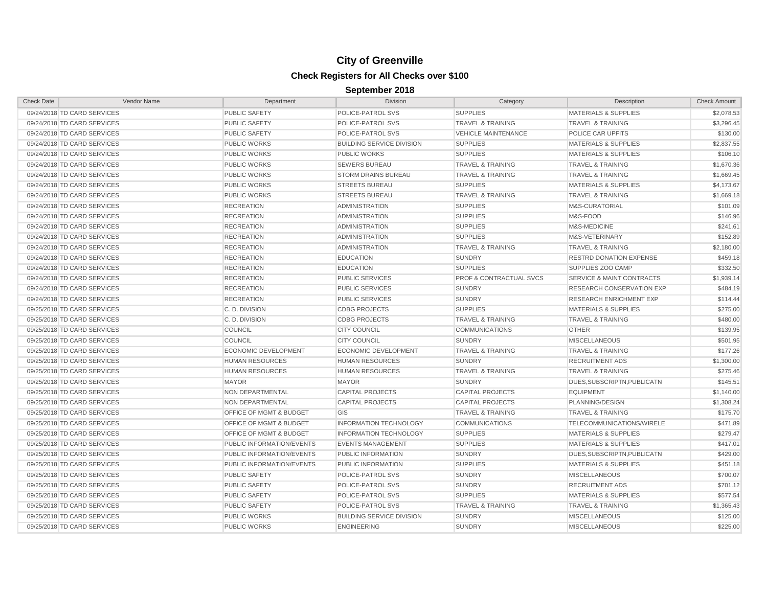| <b>Check Date</b>           | <b>Vendor Name</b> | Department                         | <b>Division</b>                  | Category                     | Description                     | <b>Check Amount</b> |
|-----------------------------|--------------------|------------------------------------|----------------------------------|------------------------------|---------------------------------|---------------------|
| 09/24/2018 TD CARD SERVICES |                    | PUBLIC SAFETY                      | POLICE-PATROL SVS                | <b>SUPPLIES</b>              | <b>MATERIALS &amp; SUPPLIES</b> | \$2,078.53          |
| 09/24/2018 TD CARD SERVICES |                    | <b>PUBLIC SAFETY</b>               | POLICE-PATROL SVS                | <b>TRAVEL &amp; TRAINING</b> | <b>TRAVEL &amp; TRAINING</b>    | \$3,296.45          |
| 09/24/2018 TD CARD SERVICES |                    | <b>PUBLIC SAFETY</b>               | POLICE-PATROL SVS                | <b>VEHICLE MAINTENANCE</b>   | POLICE CAR UPFITS               | \$130.00            |
| 09/24/2018 TD CARD SERVICES |                    | <b>PUBLIC WORKS</b>                | <b>BUILDING SERVICE DIVISION</b> | <b>SUPPLIES</b>              | <b>MATERIALS &amp; SUPPLIES</b> | \$2,837.55          |
| 09/24/2018 TD CARD SERVICES |                    | <b>PUBLIC WORKS</b>                | <b>PUBLIC WORKS</b>              | <b>SUPPLIES</b>              | <b>MATERIALS &amp; SUPPLIES</b> | \$106.10            |
| 09/24/2018 TD CARD SERVICES |                    | <b>PUBLIC WORKS</b>                | <b>SEWERS BUREAU</b>             | <b>TRAVEL &amp; TRAINING</b> | <b>TRAVEL &amp; TRAINING</b>    | \$1,670.36          |
| 09/24/2018 TD CARD SERVICES |                    | <b>PUBLIC WORKS</b>                | <b>STORM DRAINS BUREAU</b>       | <b>TRAVEL &amp; TRAINING</b> | <b>TRAVEL &amp; TRAINING</b>    | \$1,669.45          |
| 09/24/2018 TD CARD SERVICES |                    | <b>PUBLIC WORKS</b>                | <b>STREETS BUREAU</b>            | <b>SUPPLIES</b>              | <b>MATERIALS &amp; SUPPLIES</b> | \$4,173.67          |
| 09/24/2018 TD CARD SERVICES |                    | <b>PUBLIC WORKS</b>                | <b>STREETS BUREAU</b>            | <b>TRAVEL &amp; TRAINING</b> | <b>TRAVEL &amp; TRAINING</b>    | \$1,669.18          |
| 09/24/2018 TD CARD SERVICES |                    | <b>RECREATION</b>                  | <b>ADMINISTRATION</b>            | <b>SUPPLIES</b>              | M&S-CURATORIAL                  | \$101.09            |
| 09/24/2018 TD CARD SERVICES |                    | <b>RECREATION</b>                  | <b>ADMINISTRATION</b>            | <b>SUPPLIES</b>              | M&S-FOOD                        | \$146.96            |
| 09/24/2018 TD CARD SERVICES |                    | <b>RECREATION</b>                  | <b>ADMINISTRATION</b>            | <b>SUPPLIES</b>              | M&S-MEDICINE                    | \$241.61            |
| 09/24/2018 TD CARD SERVICES |                    | <b>RECREATION</b>                  | <b>ADMINISTRATION</b>            | <b>SUPPLIES</b>              | M&S-VETERINARY                  | \$152.89            |
| 09/24/2018 TD CARD SERVICES |                    | <b>RECREATION</b>                  | <b>ADMINISTRATION</b>            | <b>TRAVEL &amp; TRAINING</b> | <b>TRAVEL &amp; TRAINING</b>    | \$2,180.00          |
| 09/24/2018 TD CARD SERVICES |                    | <b>RECREATION</b>                  | <b>EDUCATION</b>                 | <b>SUNDRY</b>                | RESTRD DONATION EXPENSE         | \$459.18            |
| 09/24/2018 TD CARD SERVICES |                    | <b>RECREATION</b>                  | <b>EDUCATION</b>                 | <b>SUPPLIES</b>              | SUPPLIES ZOO CAMP               | \$332.50            |
| 09/24/2018 TD CARD SERVICES |                    | <b>RECREATION</b>                  | <b>PUBLIC SERVICES</b>           | PROF & CONTRACTUAL SVCS      | SERVICE & MAINT CONTRACTS       | \$1,939.14          |
| 09/24/2018 TD CARD SERVICES |                    | <b>RECREATION</b>                  | <b>PUBLIC SERVICES</b>           | <b>SUNDRY</b>                | RESEARCH CONSERVATION EXP       | \$484.19            |
| 09/24/2018 TD CARD SERVICES |                    | <b>RECREATION</b>                  | <b>PUBLIC SERVICES</b>           | <b>SUNDRY</b>                | <b>RESEARCH ENRICHMENT EXP</b>  | \$114.44            |
| 09/25/2018 TD CARD SERVICES |                    | C.D. DIVISION                      | <b>CDBG PROJECTS</b>             | <b>SUPPLIES</b>              | <b>MATERIALS &amp; SUPPLIES</b> | \$275.00            |
| 09/25/2018 TD CARD SERVICES |                    | C.D. DIVISION                      | <b>CDBG PROJECTS</b>             | <b>TRAVEL &amp; TRAINING</b> | <b>TRAVEL &amp; TRAINING</b>    | \$480.00            |
| 09/25/2018 TD CARD SERVICES |                    | <b>COUNCIL</b>                     | <b>CITY COUNCIL</b>              | <b>COMMUNICATIONS</b>        | <b>OTHER</b>                    | \$139.95            |
| 09/25/2018 TD CARD SERVICES |                    | <b>COUNCIL</b>                     | <b>CITY COUNCIL</b>              | <b>SUNDRY</b>                | <b>MISCELLANEOUS</b>            | \$501.95            |
| 09/25/2018 TD CARD SERVICES |                    | <b>ECONOMIC DEVELOPMENT</b>        | <b>ECONOMIC DEVELOPMENT</b>      | <b>TRAVEL &amp; TRAINING</b> | <b>TRAVEL &amp; TRAINING</b>    | \$177.26            |
| 09/25/2018 TD CARD SERVICES |                    | <b>HUMAN RESOURCES</b>             | <b>HUMAN RESOURCES</b>           | <b>SUNDRY</b>                | <b>RECRUITMENT ADS</b>          | \$1,300.00          |
| 09/25/2018 TD CARD SERVICES |                    | <b>HUMAN RESOURCES</b>             | <b>HUMAN RESOURCES</b>           | <b>TRAVEL &amp; TRAINING</b> | <b>TRAVEL &amp; TRAINING</b>    | \$275.46            |
| 09/25/2018 TD CARD SERVICES |                    | <b>MAYOR</b>                       | <b>MAYOR</b>                     | <b>SUNDRY</b>                | DUES, SUBSCRIPTN, PUBLICATN     | \$145.51            |
| 09/25/2018 TD CARD SERVICES |                    | <b>NON DEPARTMENTAL</b>            | <b>CAPITAL PROJECTS</b>          | <b>CAPITAL PROJECTS</b>      | <b>EQUIPMENT</b>                | \$1,140.00          |
| 09/25/2018 TD CARD SERVICES |                    | <b>NON DEPARTMENTAL</b>            | <b>CAPITAL PROJECTS</b>          | <b>CAPITAL PROJECTS</b>      | PLANNING/DESIGN                 | \$1,308.24          |
| 09/25/2018 TD CARD SERVICES |                    | OFFICE OF MGMT & BUDGET            | GIS                              | <b>TRAVEL &amp; TRAINING</b> | <b>TRAVEL &amp; TRAINING</b>    | \$175.70            |
| 09/25/2018 TD CARD SERVICES |                    | OFFICE OF MGMT & BUDGET            | <b>INFORMATION TECHNOLOGY</b>    | <b>COMMUNICATIONS</b>        | TELECOMMUNICATIONS/WIRELE       | \$471.89            |
| 09/25/2018 TD CARD SERVICES |                    | <b>OFFICE OF MGMT &amp; BUDGET</b> | <b>INFORMATION TECHNOLOGY</b>    | <b>SUPPLIES</b>              | <b>MATERIALS &amp; SUPPLIES</b> | \$279.47            |
| 09/25/2018 TD CARD SERVICES |                    | PUBLIC INFORMATION/EVENTS          | <b>EVENTS MANAGEMENT</b>         | <b>SUPPLIES</b>              | <b>MATERIALS &amp; SUPPLIES</b> | \$417.01            |
| 09/25/2018 TD CARD SERVICES |                    | PUBLIC INFORMATION/EVENTS          | PUBLIC INFORMATION               | <b>SUNDRY</b>                | DUES, SUBSCRIPTN, PUBLICATN     | \$429.00            |
| 09/25/2018 TD CARD SERVICES |                    | PUBLIC INFORMATION/EVENTS          | PUBLIC INFORMATION               | <b>SUPPLIES</b>              | <b>MATERIALS &amp; SUPPLIES</b> | \$451.18            |
| 09/25/2018 TD CARD SERVICES |                    | <b>PUBLIC SAFETY</b>               | POLICE-PATROL SVS                | <b>SUNDRY</b>                | <b>MISCELLANEOUS</b>            | \$700.07            |
| 09/25/2018 TD CARD SERVICES |                    | <b>PUBLIC SAFETY</b>               | POLICE-PATROL SVS                | <b>SUNDRY</b>                | <b>RECRUITMENT ADS</b>          | \$701.12            |
| 09/25/2018 TD CARD SERVICES |                    | <b>PUBLIC SAFETY</b>               | POLICE-PATROL SVS                | <b>SUPPLIES</b>              | <b>MATERIALS &amp; SUPPLIES</b> | \$577.54            |
| 09/25/2018 TD CARD SERVICES |                    | <b>PUBLIC SAFETY</b>               | POLICE-PATROL SVS                | <b>TRAVEL &amp; TRAINING</b> | <b>TRAVEL &amp; TRAINING</b>    | \$1,365.43          |
| 09/25/2018 TD CARD SERVICES |                    | <b>PUBLIC WORKS</b>                | <b>BUILDING SERVICE DIVISION</b> | <b>SUNDRY</b>                | <b>MISCELLANEOUS</b>            | \$125.00            |
| 09/25/2018 TD CARD SERVICES |                    | <b>PUBLIC WORKS</b>                | <b>ENGINEERING</b>               | <b>SUNDRY</b>                | <b>MISCELLANEOUS</b>            | \$225.00            |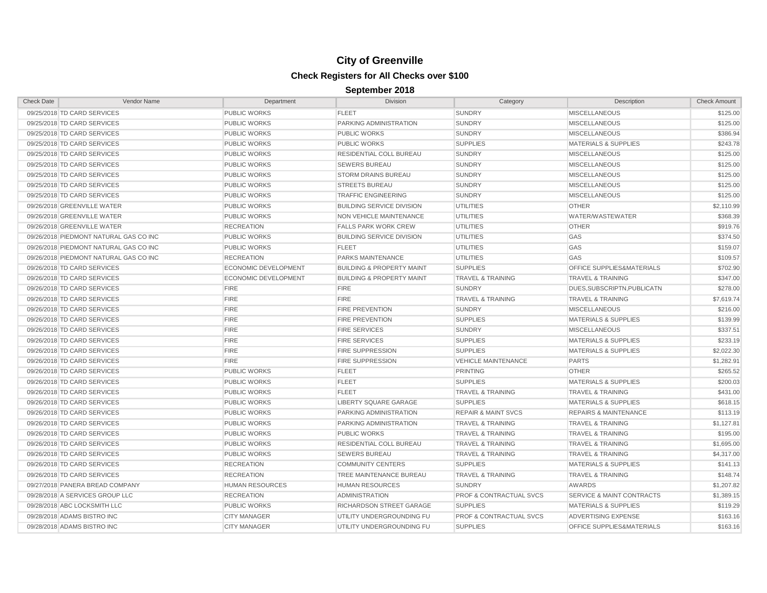| <b>Check Date</b> | Vendor Name                            | Department             | Division                             | Category                           | Description                          | <b>Check Amount</b> |
|-------------------|----------------------------------------|------------------------|--------------------------------------|------------------------------------|--------------------------------------|---------------------|
|                   | 09/25/2018 TD CARD SERVICES            | PUBLIC WORKS           | <b>FLEET</b>                         | <b>SUNDRY</b>                      | <b>MISCELLANEOUS</b>                 | \$125.00            |
|                   | 09/25/2018 TD CARD SERVICES            | <b>PUBLIC WORKS</b>    | PARKING ADMINISTRATION               | <b>SUNDRY</b>                      | <b>MISCELLANEOUS</b>                 | \$125.00            |
|                   | 09/25/2018 TD CARD SERVICES            | PUBLIC WORKS           | <b>PUBLIC WORKS</b>                  | <b>SUNDRY</b>                      | <b>MISCELLANEOUS</b>                 | \$386.94            |
|                   | 09/25/2018 TD CARD SERVICES            | PUBLIC WORKS           | <b>PUBLIC WORKS</b>                  | <b>SUPPLIES</b>                    | <b>MATERIALS &amp; SUPPLIES</b>      | \$243.78            |
|                   | 09/25/2018 TD CARD SERVICES            | PUBLIC WORKS           | RESIDENTIAL COLL BUREAU              | <b>SUNDRY</b>                      | <b>MISCELLANEOUS</b>                 | \$125.00            |
|                   | 09/25/2018 TD CARD SERVICES            | PUBLIC WORKS           | <b>SEWERS BUREAU</b>                 | <b>SUNDRY</b>                      | <b>MISCELLANEOUS</b>                 | \$125.00            |
|                   | 09/25/2018 TD CARD SERVICES            | PUBLIC WORKS           | <b>STORM DRAINS BUREAU</b>           | <b>SUNDRY</b>                      | <b>MISCELLANEOUS</b>                 | \$125.00            |
|                   | 09/25/2018 TD CARD SERVICES            | PUBLIC WORKS           | <b>STREETS BUREAU</b>                | <b>SUNDRY</b>                      | <b>MISCELLANEOUS</b>                 | \$125.00            |
|                   | 09/25/2018 TD CARD SERVICES            | PUBLIC WORKS           | <b>TRAFFIC ENGINEERING</b>           | <b>SUNDRY</b>                      | <b>MISCELLANEOUS</b>                 | \$125.00            |
|                   | 09/26/2018 GREENVILLE WATER            | PUBLIC WORKS           | <b>BUILDING SERVICE DIVISION</b>     | <b>UTILITIES</b>                   | <b>OTHER</b>                         | \$2,110.99          |
|                   | 09/26/2018 GREENVILLE WATER            | PUBLIC WORKS           | NON VEHICLE MAINTENANCE              | <b>UTILITIES</b>                   | WATER/WASTEWATER                     | \$368.39            |
|                   | 09/26/2018 GREENVILLE WATER            | <b>RECREATION</b>      | <b>FALLS PARK WORK CREW</b>          | <b>UTILITIES</b>                   | <b>OTHER</b>                         | \$919.76            |
|                   | 09/26/2018 PIEDMONT NATURAL GAS CO INC | PUBLIC WORKS           | <b>BUILDING SERVICE DIVISION</b>     | <b>UTILITIES</b>                   | GAS                                  | \$374.50            |
|                   | 09/26/2018 PIEDMONT NATURAL GAS CO INC | PUBLIC WORKS           | <b>FLEET</b>                         | <b>UTILITIES</b>                   | GAS                                  | \$159.07            |
|                   | 09/26/2018 PIEDMONT NATURAL GAS CO INC | <b>RECREATION</b>      | <b>PARKS MAINTENANCE</b>             | <b>UTILITIES</b>                   | GAS                                  | \$109.57            |
|                   | 09/26/2018 TD CARD SERVICES            | ECONOMIC DEVELOPMENT   | <b>BUILDING &amp; PROPERTY MAINT</b> | <b>SUPPLIES</b>                    | OFFICE SUPPLIES&MATERIALS            | \$702.90            |
|                   | 09/26/2018 TD CARD SERVICES            | ECONOMIC DEVELOPMENT   | <b>BUILDING &amp; PROPERTY MAINT</b> | <b>TRAVEL &amp; TRAINING</b>       | <b>TRAVEL &amp; TRAINING</b>         | \$347.00            |
|                   | 09/26/2018 TD CARD SERVICES            | <b>FIRE</b>            | <b>FIRE</b>                          | <b>SUNDRY</b>                      | DUES, SUBSCRIPTN, PUBLICATN          | \$278.00            |
|                   | 09/26/2018 TD CARD SERVICES            | <b>FIRE</b>            | <b>FIRE</b>                          | <b>TRAVEL &amp; TRAINING</b>       | <b>TRAVEL &amp; TRAINING</b>         | \$7,619.74          |
|                   | 09/26/2018 TD CARD SERVICES            | <b>FIRE</b>            | <b>FIRE PREVENTION</b>               | <b>SUNDRY</b>                      | <b>MISCELLANEOUS</b>                 | \$216.00            |
|                   | 09/26/2018 TD CARD SERVICES            | <b>FIRE</b>            | <b>FIRE PREVENTION</b>               | <b>SUPPLIES</b>                    | <b>MATERIALS &amp; SUPPLIES</b>      | \$139.99            |
|                   | 09/26/2018 TD CARD SERVICES            | <b>FIRE</b>            | <b>FIRE SERVICES</b>                 | <b>SUNDRY</b>                      | <b>MISCELLANEOUS</b>                 | \$337.51            |
|                   | 09/26/2018 TD CARD SERVICES            | <b>FIRE</b>            | <b>FIRE SERVICES</b>                 | <b>SUPPLIES</b>                    | <b>MATERIALS &amp; SUPPLIES</b>      | \$233.19            |
|                   | 09/26/2018 TD CARD SERVICES            | <b>FIRE</b>            | <b>FIRE SUPPRESSION</b>              | <b>SUPPLIES</b>                    | <b>MATERIALS &amp; SUPPLIES</b>      | \$2,022.30          |
|                   | 09/26/2018 TD CARD SERVICES            | <b>FIRE</b>            | <b>FIRE SUPPRESSION</b>              | <b>VEHICLE MAINTENANCE</b>         | <b>PARTS</b>                         | \$1,282.91          |
|                   | 09/26/2018 TD CARD SERVICES            | PUBLIC WORKS           | <b>FLEET</b>                         | <b>PRINTING</b>                    | <b>OTHER</b>                         | \$265.52            |
|                   | 09/26/2018 TD CARD SERVICES            | PUBLIC WORKS           | <b>FLEET</b>                         | <b>SUPPLIES</b>                    | MATERIALS & SUPPLIES                 | \$200.03            |
|                   | 09/26/2018 TD CARD SERVICES            | <b>PUBLIC WORKS</b>    | <b>FLEET</b>                         | <b>TRAVEL &amp; TRAINING</b>       | <b>TRAVEL &amp; TRAINING</b>         | \$431.00            |
|                   | 09/26/2018 TD CARD SERVICES            | <b>PUBLIC WORKS</b>    | <b>LIBERTY SQUARE GARAGE</b>         | <b>SUPPLIES</b>                    | <b>MATERIALS &amp; SUPPLIES</b>      | \$618.15            |
|                   | 09/26/2018 TD CARD SERVICES            | PUBLIC WORKS           | <b>PARKING ADMINISTRATION</b>        | <b>REPAIR &amp; MAINT SVCS</b>     | <b>REPAIRS &amp; MAINTENANCE</b>     | \$113.19            |
|                   | 09/26/2018 TD CARD SERVICES            | PUBLIC WORKS           | <b>PARKING ADMINISTRATION</b>        | <b>TRAVEL &amp; TRAINING</b>       | <b>TRAVEL &amp; TRAINING</b>         | \$1,127.81          |
|                   | 09/26/2018 TD CARD SERVICES            | <b>PUBLIC WORKS</b>    | <b>PUBLIC WORKS</b>                  | <b>TRAVEL &amp; TRAINING</b>       | <b>TRAVEL &amp; TRAINING</b>         | \$195.00            |
|                   | 09/26/2018 TD CARD SERVICES            | <b>PUBLIC WORKS</b>    | RESIDENTIAL COLL BUREAU              | <b>TRAVEL &amp; TRAINING</b>       | <b>TRAVEL &amp; TRAINING</b>         | \$1,695.00          |
|                   | 09/26/2018 TD CARD SERVICES            | PUBLIC WORKS           | <b>SEWERS BUREAU</b>                 | <b>TRAVEL &amp; TRAINING</b>       | <b>TRAVEL &amp; TRAINING</b>         | \$4,317.00          |
|                   | 09/26/2018 TD CARD SERVICES            | <b>RECREATION</b>      | <b>COMMUNITY CENTERS</b>             | <b>SUPPLIES</b>                    | <b>MATERIALS &amp; SUPPLIES</b>      | \$141.13            |
|                   | 09/26/2018 TD CARD SERVICES            | <b>RECREATION</b>      | TREE MAINTENANCE BUREAU              | <b>TRAVEL &amp; TRAINING</b>       | <b>TRAVEL &amp; TRAINING</b>         | \$148.74            |
|                   | 09/27/2018 PANERA BREAD COMPANY        | <b>HUMAN RESOURCES</b> | <b>HUMAN RESOURCES</b>               | <b>SUNDRY</b>                      | AWARDS                               | \$1,207.82          |
|                   | 09/28/2018 A SERVICES GROUP LLC        | <b>RECREATION</b>      | <b>ADMINISTRATION</b>                | PROF & CONTRACTUAL SVCS            | <b>SERVICE &amp; MAINT CONTRACTS</b> | \$1,389.15          |
|                   | 09/28/2018 ABC LOCKSMITH LLC           | <b>PUBLIC WORKS</b>    | RICHARDSON STREET GARAGE             | <b>SUPPLIES</b>                    | <b>MATERIALS &amp; SUPPLIES</b>      | \$119.29            |
|                   | 09/28/2018 ADAMS BISTRO INC            | <b>CITY MANAGER</b>    | UTILITY UNDERGROUNDING FU            | <b>PROF &amp; CONTRACTUAL SVCS</b> | <b>ADVERTISING EXPENSE</b>           | \$163.16            |
|                   | 09/28/2018 ADAMS BISTRO INC            | <b>CITY MANAGER</b>    | UTILITY UNDERGROUNDING FU            | <b>SUPPLIES</b>                    | OFFICE SUPPLIES&MATERIALS            | \$163.16            |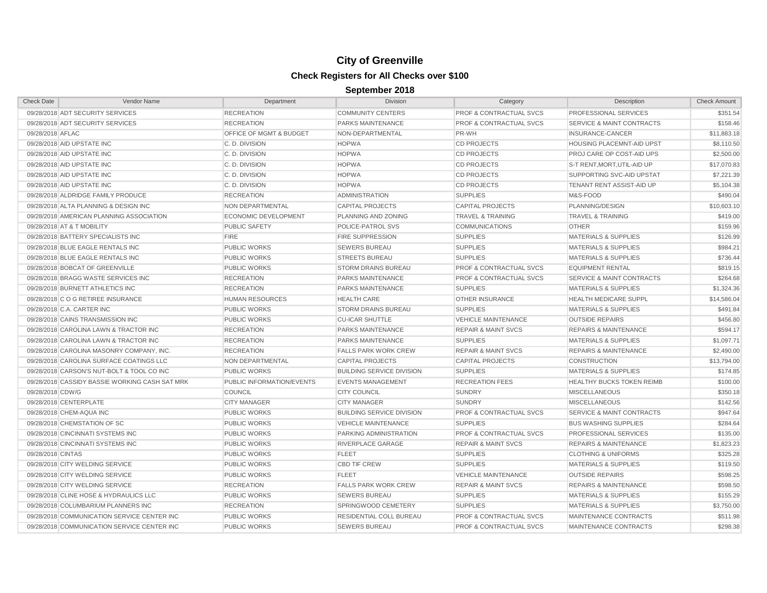| <b>Check Date</b> | Vendor Name                                    | Department                  | <b>Division</b>                  | Category                           | Description                          | <b>Check Amount</b> |
|-------------------|------------------------------------------------|-----------------------------|----------------------------------|------------------------------------|--------------------------------------|---------------------|
|                   | 09/28/2018 ADT SECURITY SERVICES               | <b>RECREATION</b>           | <b>COMMUNITY CENTERS</b>         | <b>PROF &amp; CONTRACTUAL SVCS</b> | PROFESSIONAL SERVICES                | \$351.54            |
|                   | 09/28/2018 ADT SECURITY SERVICES               | <b>RECREATION</b>           | PARKS MAINTENANCE                | <b>PROF &amp; CONTRACTUAL SVCS</b> | <b>SERVICE &amp; MAINT CONTRACTS</b> | \$158.46            |
| 09/28/2018 AFLAC  |                                                | OFFICE OF MGMT & BUDGET     | NON-DEPARTMENTAL                 | PR-WH                              | INSURANCE-CANCER                     | \$11,883.18         |
|                   | 09/28/2018 AID UPSTATE INC                     | C.D. DIVISION               | <b>HOPWA</b>                     | <b>CD PROJECTS</b>                 | HOUSING PLACEMNT-AID UPST            | \$8,110.50          |
|                   | 09/28/2018 AID UPSTATE INC                     | C.D. DIVISION               | <b>HOPWA</b>                     | <b>CD PROJECTS</b>                 | PROJ CARE OP COST-AID UPS            | \$2,500.00          |
|                   | 09/28/2018 AID UPSTATE INC                     | C.D. DIVISION               | <b>HOPWA</b>                     | <b>CD PROJECTS</b>                 | S-T RENT, MORT, UTIL-AID UP          | \$17,070.83         |
|                   | 09/28/2018 AID UPSTATE INC                     | C.D. DIVISION               | <b>HOPWA</b>                     | <b>CD PROJECTS</b>                 | SUPPORTING SVC-AID UPSTAT            | \$7,221.39          |
|                   | 09/28/2018 AID UPSTATE INC                     | C.D. DIVISION               | <b>HOPWA</b>                     | <b>CD PROJECTS</b>                 | TENANT RENT ASSIST-AID UP            | \$5,104.38          |
|                   | 09/28/2018 ALDRIDGE FAMILY PRODUCE             | <b>RECREATION</b>           | <b>ADMINISTRATION</b>            | <b>SUPPLIES</b>                    | M&S-FOOD                             | \$490.04            |
|                   | 09/28/2018 ALTA PLANNING & DESIGN INC          | NON DEPARTMENTAL            | <b>CAPITAL PROJECTS</b>          | <b>CAPITAL PROJECTS</b>            | PLANNING/DESIGN                      | \$10,603.10         |
|                   | 09/28/2018 AMERICAN PLANNING ASSOCIATION       | <b>ECONOMIC DEVELOPMENT</b> | PLANNING AND ZONING              | <b>TRAVEL &amp; TRAINING</b>       | <b>TRAVEL &amp; TRAINING</b>         | \$419.00            |
|                   | 09/28/2018 AT & T MOBILITY                     | <b>PUBLIC SAFETY</b>        | POLICE-PATROL SVS                | <b>COMMUNICATIONS</b>              | <b>OTHER</b>                         | \$159.96            |
|                   | 09/28/2018 BATTERY SPECIALISTS INC             | <b>FIRE</b>                 | <b>FIRE SUPPRESSION</b>          | <b>SUPPLIES</b>                    | <b>MATERIALS &amp; SUPPLIES</b>      | \$126.99            |
|                   | 09/28/2018 BLUE EAGLE RENTALS INC              | <b>PUBLIC WORKS</b>         | <b>SEWERS BUREAU</b>             | <b>SUPPLIES</b>                    | <b>MATERIALS &amp; SUPPLIES</b>      | \$984.21            |
|                   | 09/28/2018 BLUE EAGLE RENTALS INC              | <b>PUBLIC WORKS</b>         | <b>STREETS BUREAU</b>            | <b>SUPPLIES</b>                    | <b>MATERIALS &amp; SUPPLIES</b>      | \$736.44            |
|                   | 09/28/2018 BOBCAT OF GREENVILLE                | <b>PUBLIC WORKS</b>         | <b>STORM DRAINS BUREAU</b>       | <b>PROF &amp; CONTRACTUAL SVCS</b> | <b>EQUIPMENT RENTAL</b>              | \$819.15            |
|                   | 09/28/2018 BRAGG WASTE SERVICES INC            | <b>RECREATION</b>           | PARKS MAINTENANCE                | <b>PROF &amp; CONTRACTUAL SVCS</b> | SERVICE & MAINT CONTRACTS            | \$264.68            |
|                   | 09/28/2018 BURNETT ATHLETICS INC               | <b>RECREATION</b>           | PARKS MAINTENANCE                | <b>SUPPLIES</b>                    | <b>MATERIALS &amp; SUPPLIES</b>      | \$1,324.36          |
|                   | 09/28/2018 C O G RETIREE INSURANCE             | <b>HUMAN RESOURCES</b>      | <b>HEALTH CARE</b>               | OTHER INSURANCE                    | <b>HEALTH MEDICARE SUPPL</b>         | \$14,586.04         |
|                   | 09/28/2018 C.A. CARTER INC                     | <b>PUBLIC WORKS</b>         | <b>STORM DRAINS BUREAU</b>       | <b>SUPPLIES</b>                    | <b>MATERIALS &amp; SUPPLIES</b>      | \$491.84            |
|                   | 09/28/2018 CAINS TRANSMISSION INC              | <b>PUBLIC WORKS</b>         | <b>CU-ICAR SHUTTLE</b>           | <b>VEHICLE MAINTENANCE</b>         | <b>OUTSIDE REPAIRS</b>               | \$456.80            |
|                   | 09/28/2018 CAROLINA LAWN & TRACTOR INC         | <b>RECREATION</b>           | <b>PARKS MAINTENANCE</b>         | <b>REPAIR &amp; MAINT SVCS</b>     | <b>REPAIRS &amp; MAINTENANCE</b>     | \$594.17            |
|                   | 09/28/2018 CAROLINA LAWN & TRACTOR INC         | <b>RECREATION</b>           | PARKS MAINTENANCE                | <b>SUPPLIES</b>                    | <b>MATERIALS &amp; SUPPLIES</b>      | \$1,097.71          |
|                   | 09/28/2018 CAROLINA MASONRY COMPANY, INC.      | <b>RECREATION</b>           | <b>FALLS PARK WORK CREW</b>      | <b>REPAIR &amp; MAINT SVCS</b>     | <b>REPAIRS &amp; MAINTENANCE</b>     | \$2,490.00          |
|                   | 09/28/2018 CAROLINA SURFACE COATINGS LLC       | <b>NON DEPARTMENTAL</b>     | <b>CAPITAL PROJECTS</b>          | <b>CAPITAL PROJECTS</b>            | <b>CONSTRUCTION</b>                  | \$13,794.00         |
|                   | 09/28/2018 CARSON'S NUT-BOLT & TOOL CO INC     | <b>PUBLIC WORKS</b>         | <b>BUILDING SERVICE DIVISION</b> | <b>SUPPLIES</b>                    | <b>MATERIALS &amp; SUPPLIES</b>      | \$174.85            |
|                   | 09/28/2018 CASSIDY BASSIE WORKING CASH SAT MRK | PUBLIC INFORMATION/EVENTS   | <b>EVENTS MANAGEMENT</b>         | <b>RECREATION FEES</b>             | <b>HEALTHY BUCKS TOKEN REIMB</b>     | \$100.00            |
| 09/28/2018 CDW/G  |                                                | <b>COUNCIL</b>              | <b>CITY COUNCIL</b>              | <b>SUNDRY</b>                      | <b>MISCELLANEOUS</b>                 | \$350.18            |
|                   | 09/28/2018 CENTERPLATE                         | <b>CITY MANAGER</b>         | <b>CITY MANAGER</b>              | <b>SUNDRY</b>                      | <b>MISCELLANEOUS</b>                 | \$142.56            |
|                   | 09/28/2018 CHEM-AQUA INC                       | <b>PUBLIC WORKS</b>         | <b>BUILDING SERVICE DIVISION</b> | <b>PROF &amp; CONTRACTUAL SVCS</b> | <b>SERVICE &amp; MAINT CONTRACTS</b> | \$947.64            |
|                   | 09/28/2018 CHEMSTATION OF SC                   | <b>PUBLIC WORKS</b>         | <b>VEHICLE MAINTENANCE</b>       | <b>SUPPLIES</b>                    | <b>BUS WASHING SUPPLIES</b>          | \$284.64            |
|                   | 09/28/2018 CINCINNATI SYSTEMS INC              | <b>PUBLIC WORKS</b>         | PARKING ADMINISTRATION           | PROF & CONTRACTUAL SVCS            | PROFESSIONAL SERVICES                | \$135.00            |
|                   | 09/28/2018 CINCINNATI SYSTEMS INC              | <b>PUBLIC WORKS</b>         | RIVERPLACE GARAGE                | <b>REPAIR &amp; MAINT SVCS</b>     | <b>REPAIRS &amp; MAINTENANCE</b>     | \$1,823.23          |
| 09/28/2018 CINTAS |                                                | <b>PUBLIC WORKS</b>         | <b>FLEET</b>                     | <b>SUPPLIES</b>                    | <b>CLOTHING &amp; UNIFORMS</b>       | \$325.28            |
|                   | 09/28/2018 CITY WELDING SERVICE                | <b>PUBLIC WORKS</b>         | <b>CBD TIF CREW</b>              | <b>SUPPLIES</b>                    | <b>MATERIALS &amp; SUPPLIES</b>      | \$119.50            |
|                   | 09/28/2018 CITY WELDING SERVICE                | <b>PUBLIC WORKS</b>         | <b>FLEET</b>                     | <b>VEHICLE MAINTENANCE</b>         | <b>OUTSIDE REPAIRS</b>               | \$598.25            |
|                   | 09/28/2018 CITY WELDING SERVICE                | <b>RECREATION</b>           | <b>FALLS PARK WORK CREW</b>      | <b>REPAIR &amp; MAINT SVCS</b>     | <b>REPAIRS &amp; MAINTENANCE</b>     | \$598.50            |
|                   | 09/28/2018 CLINE HOSE & HYDRAULICS LLC         | <b>PUBLIC WORKS</b>         | <b>SEWERS BUREAU</b>             | <b>SUPPLIES</b>                    | <b>MATERIALS &amp; SUPPLIES</b>      | \$155.29            |
|                   | 09/28/2018 COLUMBARIUM PLANNERS INC            | <b>RECREATION</b>           | SPRINGWOOD CEMETERY              | <b>SUPPLIES</b>                    | <b>MATERIALS &amp; SUPPLIES</b>      | \$3,750.00          |
|                   | 09/28/2018 COMMUNICATION SERVICE CENTER INC    | <b>PUBLIC WORKS</b>         | RESIDENTIAL COLL BUREAU          | <b>PROF &amp; CONTRACTUAL SVCS</b> | MAINTENANCE CONTRACTS                | \$511.98            |
|                   | 09/28/2018 COMMUNICATION SERVICE CENTER INC    | <b>PUBLIC WORKS</b>         | <b>SEWERS BUREAU</b>             | <b>PROF &amp; CONTRACTUAL SVCS</b> | MAINTENANCE CONTRACTS                | \$298.38            |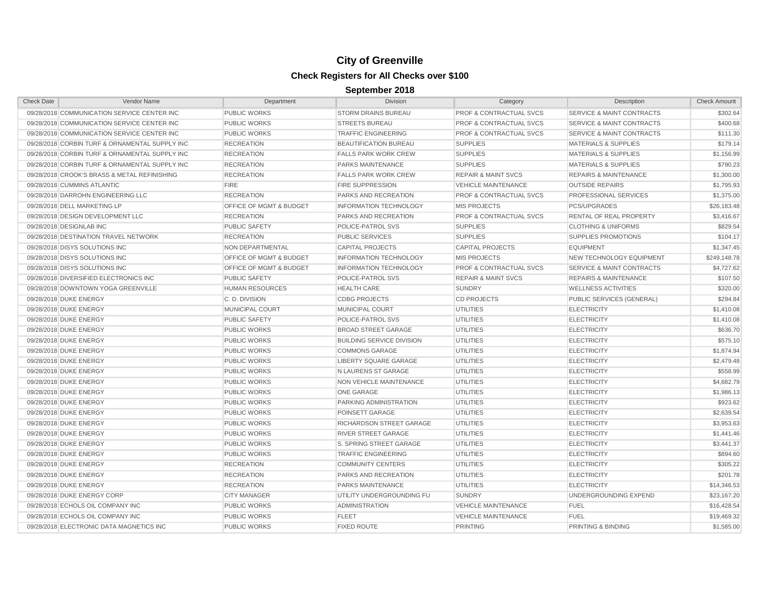| <b>Check Date</b> | Vendor Name                                    | Department              | <b>Division</b>                  | Category                           | Description                          | <b>Check Amount</b> |
|-------------------|------------------------------------------------|-------------------------|----------------------------------|------------------------------------|--------------------------------------|---------------------|
|                   | 09/28/2018 COMMUNICATION SERVICE CENTER INC    | <b>PUBLIC WORKS</b>     | <b>STORM DRAINS BUREAU</b>       | <b>PROF &amp; CONTRACTUAL SVCS</b> | SERVICE & MAINT CONTRACTS            | \$302.64            |
|                   | 09/28/2018 COMMUNICATION SERVICE CENTER INC    | <b>PUBLIC WORKS</b>     | <b>STREETS BUREAU</b>            | <b>PROF &amp; CONTRACTUAL SVCS</b> | <b>SERVICE &amp; MAINT CONTRACTS</b> | \$400.68            |
|                   | 09/28/2018 COMMUNICATION SERVICE CENTER INC    | <b>PUBLIC WORKS</b>     | <b>TRAFFIC ENGINEERING</b>       | <b>PROF &amp; CONTRACTUAL SVCS</b> | <b>SERVICE &amp; MAINT CONTRACTS</b> | \$111.30            |
|                   | 09/28/2018 CORBIN TURF & ORNAMENTAL SUPPLY INC | <b>RECREATION</b>       | BEAUTIFICATION BUREAU            | <b>SUPPLIES</b>                    | <b>MATERIALS &amp; SUPPLIES</b>      | \$179.14            |
|                   | 09/28/2018 CORBIN TURF & ORNAMENTAL SUPPLY INC | <b>RECREATION</b>       | <b>FALLS PARK WORK CREW</b>      | <b>SUPPLIES</b>                    | MATERIALS & SUPPLIES                 | \$1,156.99          |
|                   | 09/28/2018 CORBIN TURF & ORNAMENTAL SUPPLY INC | <b>RECREATION</b>       | <b>PARKS MAINTENANCE</b>         | <b>SUPPLIES</b>                    | <b>MATERIALS &amp; SUPPLIES</b>      | \$790.23            |
|                   | 09/28/2018 CROOK'S BRASS & METAL REFINISHING   | <b>RECREATION</b>       | <b>FALLS PARK WORK CREW</b>      | <b>REPAIR &amp; MAINT SVCS</b>     | <b>REPAIRS &amp; MAINTENANCE</b>     | \$1,300.00          |
|                   | 09/28/2018 CUMMINS ATLANTIC                    | <b>FIRE</b>             | <b>FIRE SUPPRESSION</b>          | <b>VEHICLE MAINTENANCE</b>         | <b>OUTSIDE REPAIRS</b>               | \$1,795.93          |
|                   | 09/28/2018 DARROHN ENGINEERING LLC             | <b>RECREATION</b>       | PARKS AND RECREATION             | <b>PROF &amp; CONTRACTUAL SVCS</b> | PROFESSIONAL SERVICES                | \$1,375.00          |
|                   | 09/28/2018 DELL MARKETING LP                   | OFFICE OF MGMT & BUDGET | <b>INFORMATION TECHNOLOGY</b>    | <b>MIS PROJECTS</b>                | <b>PCS/UPGRADES</b>                  | \$26,183.48         |
|                   | 09/28/2018 DESIGN DEVELOPMENT LLC              | <b>RECREATION</b>       | PARKS AND RECREATION             | <b>PROF &amp; CONTRACTUAL SVCS</b> | <b>RENTAL OF REAL PROPERTY</b>       | \$3,416.67          |
|                   | 09/28/2018 DESIGNLAB INC                       | <b>PUBLIC SAFETY</b>    | POLICE-PATROL SVS                | <b>SUPPLIES</b>                    | <b>CLOTHING &amp; UNIFORMS</b>       | \$829.54            |
|                   | 09/28/2018 DESTINATION TRAVEL NETWORK          | <b>RECREATION</b>       | <b>PUBLIC SERVICES</b>           | <b>SUPPLIES</b>                    | <b>SUPPLIES PROMOTIONS</b>           | \$104.17            |
|                   | 09/28/2018 DISYS SOLUTIONS INC                 | NON DEPARTMENTAL        | <b>CAPITAL PROJECTS</b>          | <b>CAPITAL PROJECTS</b>            | <b>EQUIPMENT</b>                     | \$1,347.45          |
|                   | 09/28/2018 DISYS SOLUTIONS INC                 | OFFICE OF MGMT & BUDGET | <b>INFORMATION TECHNOLOGY</b>    | <b>MIS PROJECTS</b>                | <b>NEW TECHNOLOGY EQUIPMENT</b>      | \$249,148.78        |
|                   | 09/28/2018 DISYS SOLUTIONS INC                 | OFFICE OF MGMT & BUDGET | <b>INFORMATION TECHNOLOGY</b>    | <b>PROF &amp; CONTRACTUAL SVCS</b> | <b>SERVICE &amp; MAINT CONTRACTS</b> | \$4,727.62          |
|                   | 09/28/2018 DIVERSIFIED ELECTRONICS INC         | <b>PUBLIC SAFETY</b>    | POLICE-PATROL SVS                | <b>REPAIR &amp; MAINT SVCS</b>     | <b>REPAIRS &amp; MAINTENANCE</b>     | \$107.50            |
|                   | 09/28/2018 DOWNTOWN YOGA GREENVILLE            | <b>HUMAN RESOURCES</b>  | <b>HEALTH CARE</b>               | <b>SUNDRY</b>                      | <b>WELLNESS ACTIVITIES</b>           | \$320.00            |
|                   | 09/28/2018 DUKE ENERGY                         | C.D. DIVISION           | <b>CDBG PROJECTS</b>             | <b>CD PROJECTS</b>                 | PUBLIC SERVICES (GENERAL)            | \$294.84            |
|                   | 09/28/2018 DUKE ENERGY                         | MUNICIPAL COURT         | MUNICIPAL COURT                  | <b>UTILITIES</b>                   | <b>ELECTRICITY</b>                   | \$1,410.08          |
|                   | 09/28/2018 DUKE ENERGY                         | <b>PUBLIC SAFETY</b>    | POLICE-PATROL SVS                | <b>UTILITIES</b>                   | <b>ELECTRICITY</b>                   | \$1,410.08          |
|                   | 09/28/2018 DUKE ENERGY                         | <b>PUBLIC WORKS</b>     | <b>BROAD STREET GARAGE</b>       | <b>UTILITIES</b>                   | <b>ELECTRICITY</b>                   | \$636.70            |
|                   | 09/28/2018 DUKE ENERGY                         | <b>PUBLIC WORKS</b>     | <b>BUILDING SERVICE DIVISION</b> | UTILITIES                          | <b>ELECTRICITY</b>                   | \$575.10            |
|                   | 09/28/2018 DUKE ENERGY                         | <b>PUBLIC WORKS</b>     | <b>COMMONS GARAGE</b>            | UTILITIES                          | <b>ELECTRICITY</b>                   | \$1.874.94          |
|                   | 09/28/2018 DUKE ENERGY                         | <b>PUBLIC WORKS</b>     | <b>LIBERTY SQUARE GARAGE</b>     | <b>UTILITIES</b>                   | <b>ELECTRICITY</b>                   | \$2,479.48          |
|                   | 09/28/2018 DUKE ENERGY                         | <b>PUBLIC WORKS</b>     | N LAURENS ST GARAGE              | <b>UTILITIES</b>                   | <b>ELECTRICITY</b>                   | \$558.99            |
|                   | 09/28/2018 DUKE ENERGY                         | <b>PUBLIC WORKS</b>     | NON VEHICLE MAINTENANCE          | UTILITIES                          | <b>ELECTRICITY</b>                   | \$4,682.79          |
|                   | 09/28/2018 DUKE ENERGY                         | <b>PUBLIC WORKS</b>     | ONE GARAGE                       | UTILITIES                          | <b>ELECTRICITY</b>                   | \$1,986.13          |
|                   | 09/28/2018 DUKE ENERGY                         | <b>PUBLIC WORKS</b>     | PARKING ADMINISTRATION           | UTILITIES                          | <b>ELECTRICITY</b>                   | \$923.62            |
|                   | 09/28/2018 DUKE ENERGY                         | <b>PUBLIC WORKS</b>     | POINSETT GARAGE                  | <b>UTILITIES</b>                   | <b>ELECTRICITY</b>                   | \$2,639.54          |
|                   | 09/28/2018 DUKE ENERGY                         | <b>PUBLIC WORKS</b>     | RICHARDSON STREET GARAGE         | <b>UTILITIES</b>                   | <b>ELECTRICITY</b>                   | \$3,953.63          |
|                   | 09/28/2018 DUKE ENERGY                         | <b>PUBLIC WORKS</b>     | <b>RIVER STREET GARAGE</b>       | <b>UTILITIES</b>                   | <b>ELECTRICITY</b>                   | \$1,441.46          |
|                   | 09/28/2018 DUKE ENERGY                         | <b>PUBLIC WORKS</b>     | S. SPRING STREET GARAGE          | <b>UTILITIES</b>                   | <b>ELECTRICITY</b>                   | \$3,441.37          |
|                   | 09/28/2018 DUKE ENERGY                         | <b>PUBLIC WORKS</b>     | <b>TRAFFIC ENGINEERING</b>       | UTILITIES                          | <b>ELECTRICITY</b>                   | \$894.60            |
|                   | 09/28/2018 DUKE ENERGY                         | <b>RECREATION</b>       | <b>COMMUNITY CENTERS</b>         | <b>UTILITIES</b>                   | <b>ELECTRICITY</b>                   | \$305.22            |
|                   | 09/28/2018 DUKE ENERGY                         | <b>RECREATION</b>       | PARKS AND RECREATION             | <b>UTILITIES</b>                   | <b>ELECTRICITY</b>                   | \$201.78            |
|                   | 09/28/2018 DUKE ENERGY                         | <b>RECREATION</b>       | <b>PARKS MAINTENANCE</b>         | <b>UTILITIES</b>                   | <b>ELECTRICITY</b>                   | \$14,346.53         |
|                   | 09/28/2018 DUKE ENERGY CORP                    | <b>CITY MANAGER</b>     | UTILITY UNDERGROUNDING FU        | <b>SUNDRY</b>                      | UNDERGROUNDING EXPEND                | \$23,167.20         |
|                   | 09/28/2018 ECHOLS OIL COMPANY INC              | <b>PUBLIC WORKS</b>     | <b>ADMINISTRATION</b>            | <b>VEHICLE MAINTENANCE</b>         | <b>FUEL</b>                          | \$16,428.54         |
|                   | 09/28/2018 ECHOLS OIL COMPANY INC              | <b>PUBLIC WORKS</b>     | <b>FLEET</b>                     | <b>VEHICLE MAINTENANCE</b>         | <b>FUEL</b>                          | \$19,469.32         |
|                   | 09/28/2018 ELECTRONIC DATA MAGNETICS INC       | <b>PUBLIC WORKS</b>     | <b>FIXED ROUTE</b>               | <b>PRINTING</b>                    | PRINTING & BINDING                   | \$1,585.00          |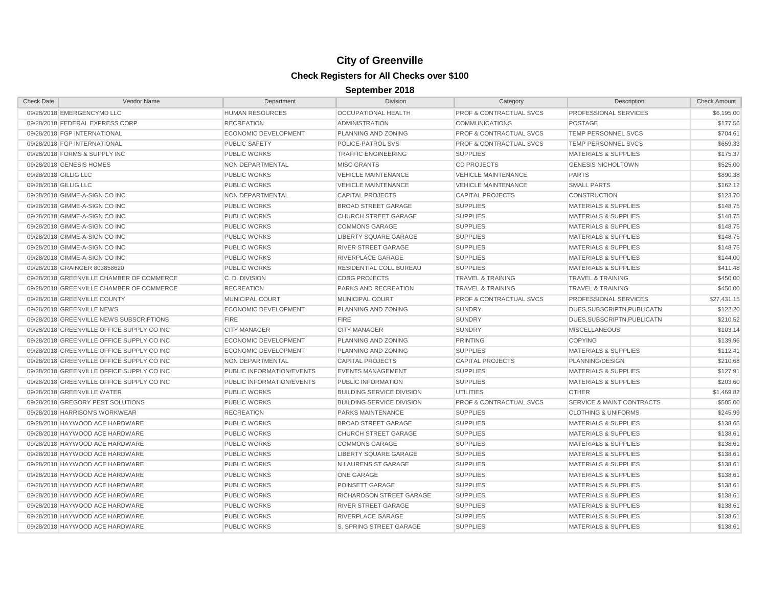| <b>Check Date</b>     | Vendor Name                                | Department                  | <b>Division</b>                  | Category                           | Description                          | <b>Check Amount</b> |
|-----------------------|--------------------------------------------|-----------------------------|----------------------------------|------------------------------------|--------------------------------------|---------------------|
|                       | 09/28/2018 EMERGENCYMD LLC                 | <b>HUMAN RESOURCES</b>      | <b>OCCUPATIONAL HEALTH</b>       | PROF & CONTRACTUAL SVCS            | PROFESSIONAL SERVICES                | \$6,195.00          |
|                       | 09/28/2018 FEDERAL EXPRESS CORP            | <b>RECREATION</b>           | <b>ADMINISTRATION</b>            | <b>COMMUNICATIONS</b>              | POSTAGE                              | \$177.56            |
|                       | 09/28/2018 FGP INTERNATIONAL               | <b>ECONOMIC DEVELOPMENT</b> | PLANNING AND ZONING              | <b>PROF &amp; CONTRACTUAL SVCS</b> | TEMP PERSONNEL SVCS                  | \$704.61            |
|                       | 09/28/2018 FGP INTERNATIONAL               | <b>PUBLIC SAFETY</b>        | POLICE-PATROL SVS                | <b>PROF &amp; CONTRACTUAL SVCS</b> | TEMP PERSONNEL SVCS                  | \$659.33            |
|                       | 09/28/2018 FORMS & SUPPLY INC              | <b>PUBLIC WORKS</b>         | <b>TRAFFIC ENGINEERING</b>       | <b>SUPPLIES</b>                    | <b>MATERIALS &amp; SUPPLIES</b>      | \$175.37            |
|                       | 09/28/2018 GENESIS HOMES                   | NON DEPARTMENTAL            | <b>MISC GRANTS</b>               | <b>CD PROJECTS</b>                 | <b>GENESIS NICHOLTOWN</b>            | \$525.00            |
| 09/28/2018 GILLIG LLC |                                            | <b>PUBLIC WORKS</b>         | <b>VEHICLE MAINTENANCE</b>       | <b>VEHICLE MAINTENANCE</b>         | <b>PARTS</b>                         | \$890.38            |
| 09/28/2018 GILLIG LLC |                                            | <b>PUBLIC WORKS</b>         | <b>VEHICLE MAINTENANCE</b>       | <b>VEHICLE MAINTENANCE</b>         | <b>SMALL PARTS</b>                   | \$162.12            |
|                       | 09/28/2018 GIMME-A-SIGN CO INC             | <b>NON DEPARTMENTAL</b>     | <b>CAPITAL PROJECTS</b>          | <b>CAPITAL PROJECTS</b>            | <b>CONSTRUCTION</b>                  | \$123.70            |
|                       | 09/28/2018 GIMME-A-SIGN CO INC             | PUBLIC WORKS                | <b>BROAD STREET GARAGE</b>       | <b>SUPPLIES</b>                    | <b>MATERIALS &amp; SUPPLIES</b>      | \$148.75            |
|                       | 09/28/2018 GIMME-A-SIGN CO INC             | <b>PUBLIC WORKS</b>         | <b>CHURCH STREET GARAGE</b>      | <b>SUPPLIES</b>                    | <b>MATERIALS &amp; SUPPLIES</b>      | \$148.75            |
|                       | 09/28/2018 GIMME-A-SIGN CO INC             | <b>PUBLIC WORKS</b>         | <b>COMMONS GARAGE</b>            | <b>SUPPLIES</b>                    | <b>MATERIALS &amp; SUPPLIES</b>      | \$148.75            |
|                       | 09/28/2018 GIMME-A-SIGN CO INC             | <b>PUBLIC WORKS</b>         | LIBERTY SQUARE GARAGE            | <b>SUPPLIES</b>                    | <b>MATERIALS &amp; SUPPLIES</b>      | \$148.75            |
|                       | 09/28/2018 GIMME-A-SIGN CO INC             | <b>PUBLIC WORKS</b>         | <b>RIVER STREET GARAGE</b>       | <b>SUPPLIES</b>                    | <b>MATERIALS &amp; SUPPLIES</b>      | \$148.75            |
|                       | 09/28/2018 GIMME-A-SIGN CO INC             | <b>PUBLIC WORKS</b>         | <b>RIVERPLACE GARAGE</b>         | <b>SUPPLIES</b>                    | <b>MATERIALS &amp; SUPPLIES</b>      | \$144.00            |
|                       | 09/28/2018 GRAINGER 803858620              | <b>PUBLIC WORKS</b>         | RESIDENTIAL COLL BUREAU          | <b>SUPPLIES</b>                    | <b>MATERIALS &amp; SUPPLIES</b>      | \$411.48            |
|                       | 09/28/2018 GREENVILLE CHAMBER OF COMMERCE  | C.D. DIVISION               | <b>CDBG PROJECTS</b>             | <b>TRAVEL &amp; TRAINING</b>       | <b>TRAVEL &amp; TRAINING</b>         | \$450.00            |
|                       | 09/28/2018 GREENVILLE CHAMBER OF COMMERCE  | <b>RECREATION</b>           | PARKS AND RECREATION             | <b>TRAVEL &amp; TRAINING</b>       | <b>TRAVEL &amp; TRAINING</b>         | \$450.00            |
|                       | 09/28/2018 GREENVILLE COUNTY               | MUNICIPAL COURT             | MUNICIPAL COURT                  | <b>PROF &amp; CONTRACTUAL SVCS</b> | PROFESSIONAL SERVICES                | \$27,431.15         |
|                       | 09/28/2018 GREENVILLE NEWS                 | <b>ECONOMIC DEVELOPMENT</b> | PLANNING AND ZONING              | <b>SUNDRY</b>                      | DUES, SUBSCRIPTN, PUBLICATN          | \$122.20            |
|                       | 09/28/2018 GREENVILLE NEWS SUBSCRIPTIONS   | <b>FIRE</b>                 | <b>FIRE</b>                      | <b>SUNDRY</b>                      | DUES, SUBSCRIPTN, PUBLICATN          | \$210.52            |
|                       | 09/28/2018 GREENVILLE OFFICE SUPPLY CO INC | <b>CITY MANAGER</b>         | <b>CITY MANAGER</b>              | <b>SUNDRY</b>                      | <b>MISCELLANEOUS</b>                 | \$103.14            |
|                       | 09/28/2018 GREENVILLE OFFICE SUPPLY CO INC | <b>ECONOMIC DEVELOPMENT</b> | PLANNING AND ZONING              | <b>PRINTING</b>                    | <b>COPYING</b>                       | \$139.96            |
|                       | 09/28/2018 GREENVILLE OFFICE SUPPLY CO INC | <b>ECONOMIC DEVELOPMENT</b> | PLANNING AND ZONING              | <b>SUPPLIES</b>                    | <b>MATERIALS &amp; SUPPLIES</b>      | \$112.41            |
|                       | 09/28/2018 GREENVILLE OFFICE SUPPLY CO INC | NON DEPARTMENTAL            | <b>CAPITAL PROJECTS</b>          | <b>CAPITAL PROJECTS</b>            | PLANNING/DESIGN                      | \$210.68            |
|                       | 09/28/2018 GREENVILLE OFFICE SUPPLY CO INC | PUBLIC INFORMATION/EVENTS   | <b>EVENTS MANAGEMENT</b>         | <b>SUPPLIES</b>                    | <b>MATERIALS &amp; SUPPLIES</b>      | \$127.91            |
|                       | 09/28/2018 GREENVILLE OFFICE SUPPLY CO INC | PUBLIC INFORMATION/EVENTS   | PUBLIC INFORMATION               | <b>SUPPLIES</b>                    | <b>MATERIALS &amp; SUPPLIES</b>      | \$203.60            |
|                       | 09/28/2018 GREENVILLE WATER                | <b>PUBLIC WORKS</b>         | <b>BUILDING SERVICE DIVISION</b> | <b>UTILITIES</b>                   | <b>OTHER</b>                         | \$1,469.82          |
|                       | 09/28/2018 GREGORY PEST SOLUTIONS          | <b>PUBLIC WORKS</b>         | <b>BUILDING SERVICE DIVISION</b> | <b>PROF &amp; CONTRACTUAL SVCS</b> | <b>SERVICE &amp; MAINT CONTRACTS</b> | \$505.00            |
|                       | 09/28/2018 HARRISON'S WORKWEAR             | <b>RECREATION</b>           | <b>PARKS MAINTENANCE</b>         | <b>SUPPLIES</b>                    | <b>CLOTHING &amp; UNIFORMS</b>       | \$245.99            |
|                       | 09/28/2018 HAYWOOD ACE HARDWARE            | PUBLIC WORKS                | BROAD STREET GARAGE              | <b>SUPPLIES</b>                    | <b>MATERIALS &amp; SUPPLIES</b>      | \$138.65            |
|                       | 09/28/2018 HAYWOOD ACE HARDWARE            | <b>PUBLIC WORKS</b>         | <b>CHURCH STREET GARAGE</b>      | <b>SUPPLIES</b>                    | <b>MATERIALS &amp; SUPPLIES</b>      | \$138.61            |
|                       | 09/28/2018 HAYWOOD ACE HARDWARE            | <b>PUBLIC WORKS</b>         | <b>COMMONS GARAGE</b>            | <b>SUPPLIES</b>                    | <b>MATERIALS &amp; SUPPLIES</b>      | \$138.61            |
|                       | 09/28/2018 HAYWOOD ACE HARDWARE            | <b>PUBLIC WORKS</b>         | LIBERTY SQUARE GARAGE            | <b>SUPPLIES</b>                    | <b>MATERIALS &amp; SUPPLIES</b>      | \$138.61            |
|                       | 09/28/2018 HAYWOOD ACE HARDWARE            | <b>PUBLIC WORKS</b>         | N LAURENS ST GARAGE              | <b>SUPPLIES</b>                    | <b>MATERIALS &amp; SUPPLIES</b>      | \$138.61            |
|                       | 09/28/2018 HAYWOOD ACE HARDWARE            | <b>PUBLIC WORKS</b>         | <b>ONE GARAGE</b>                | <b>SUPPLIES</b>                    | <b>MATERIALS &amp; SUPPLIES</b>      | \$138.61            |
|                       | 09/28/2018 HAYWOOD ACE HARDWARE            | <b>PUBLIC WORKS</b>         | POINSETT GARAGE                  | <b>SUPPLIES</b>                    | <b>MATERIALS &amp; SUPPLIES</b>      | \$138.61            |
|                       | 09/28/2018 HAYWOOD ACE HARDWARE            | <b>PUBLIC WORKS</b>         | RICHARDSON STREET GARAGE         | <b>SUPPLIES</b>                    | <b>MATERIALS &amp; SUPPLIES</b>      | \$138.61            |
|                       | 09/28/2018 HAYWOOD ACE HARDWARE            | <b>PUBLIC WORKS</b>         | <b>RIVER STREET GARAGE</b>       | <b>SUPPLIES</b>                    | <b>MATERIALS &amp; SUPPLIES</b>      | \$138.61            |
|                       | 09/28/2018 HAYWOOD ACE HARDWARE            | <b>PUBLIC WORKS</b>         | RIVERPLACE GARAGE                | <b>SUPPLIES</b>                    | <b>MATERIALS &amp; SUPPLIES</b>      | \$138.61            |
|                       | 09/28/2018 HAYWOOD ACE HARDWARE            | <b>PUBLIC WORKS</b>         | S. SPRING STREET GARAGE          | <b>SUPPLIES</b>                    | <b>MATERIALS &amp; SUPPLIES</b>      | \$138.61            |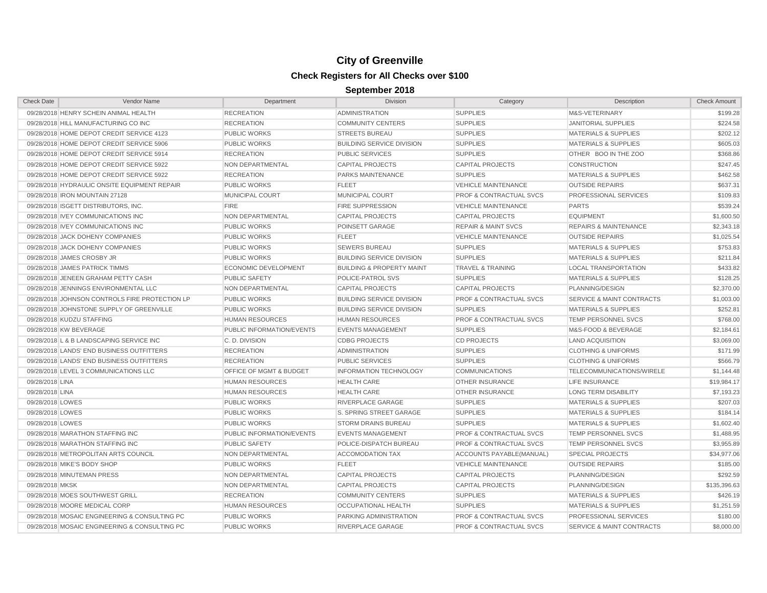| <b>Check Date</b> | Vendor Name                                    | Department                         | <b>Division</b>                      | Category                           | Description                          | <b>Check Amount</b> |
|-------------------|------------------------------------------------|------------------------------------|--------------------------------------|------------------------------------|--------------------------------------|---------------------|
|                   | 09/28/2018 HENRY SCHEIN ANIMAL HEALTH          | <b>RECREATION</b>                  | <b>ADMINISTRATION</b>                | <b>SUPPLIES</b>                    | M&S-VETERINARY                       | \$199.28            |
|                   | 09/28/2018 HILL MANUFACTURING CO INC           | <b>RECREATION</b>                  | <b>COMMUNITY CENTERS</b>             | <b>SUPPLIES</b>                    | <b>JANITORIAL SUPPLIES</b>           | \$224.58            |
|                   | 09/28/2018 HOME DEPOT CREDIT SERVICE 4123      | <b>PUBLIC WORKS</b>                | <b>STREETS BUREAU</b>                | <b>SUPPLIES</b>                    | <b>MATERIALS &amp; SUPPLIES</b>      | \$202.12            |
|                   | 09/28/2018 HOME DEPOT CREDIT SERVICE 5906      | <b>PUBLIC WORKS</b>                | <b>BUILDING SERVICE DIVISION</b>     | <b>SUPPLIES</b>                    | <b>MATERIALS &amp; SUPPLIES</b>      | \$605.03            |
|                   | 09/28/2018 HOME DEPOT CREDIT SERVICE 5914      | <b>RECREATION</b>                  | <b>PUBLIC SERVICES</b>               | <b>SUPPLIES</b>                    | OTHER BOO IN THE ZOO                 | \$368.86            |
|                   | 09/28/2018 HOME DEPOT CREDIT SERVICE 5922      | NON DEPARTMENTAL                   | <b>CAPITAL PROJECTS</b>              | <b>CAPITAL PROJECTS</b>            | <b>CONSTRUCTION</b>                  | \$247.45            |
|                   | 09/28/2018 HOME DEPOT CREDIT SERVICE 5922      | <b>RECREATION</b>                  | PARKS MAINTENANCE                    | <b>SUPPLIES</b>                    | <b>MATERIALS &amp; SUPPLIES</b>      | \$462.58            |
|                   | 09/28/2018 HYDRAULIC ONSITE EQUIPMENT REPAIR   | <b>PUBLIC WORKS</b>                | <b>FLEET</b>                         | <b>VEHICLE MAINTENANCE</b>         | <b>OUTSIDE REPAIRS</b>               | \$637.31            |
|                   | 09/28/2018 IRON MOUNTAIN 27128                 | <b>MUNICIPAL COURT</b>             | MUNICIPAL COURT                      | <b>PROF &amp; CONTRACTUAL SVCS</b> | PROFESSIONAL SERVICES                | \$109.83            |
|                   | 09/28/2018 ISGETT DISTRIBUTORS, INC.           | <b>FIRE</b>                        | FIRE SUPPRESSION                     | <b>VEHICLE MAINTENANCE</b>         | <b>PARTS</b>                         | \$539.24            |
|                   | 09/28/2018 IVEY COMMUNICATIONS INC             | NON DEPARTMENTAL                   | <b>CAPITAL PROJECTS</b>              | <b>CAPITAL PROJECTS</b>            | <b>EQUIPMENT</b>                     | \$1,600.50          |
|                   | 09/28/2018 IVEY COMMUNICATIONS INC             | <b>PUBLIC WORKS</b>                | POINSETT GARAGE                      | <b>REPAIR &amp; MAINT SVCS</b>     | <b>REPAIRS &amp; MAINTENANCE</b>     | \$2,343.18          |
|                   | 09/28/2018 JACK DOHENY COMPANIES               | <b>PUBLIC WORKS</b>                | <b>FLEET</b>                         | <b>VEHICLE MAINTENANCE</b>         | <b>OUTSIDE REPAIRS</b>               | \$1,025.54          |
|                   | 09/28/2018 JACK DOHENY COMPANIES               | <b>PUBLIC WORKS</b>                | <b>SEWERS BUREAU</b>                 | <b>SUPPLIES</b>                    | <b>MATERIALS &amp; SUPPLIES</b>      | \$753.83            |
|                   | 09/28/2018 JAMES CROSBY JR                     | <b>PUBLIC WORKS</b>                | <b>BUILDING SERVICE DIVISION</b>     | <b>SUPPLIES</b>                    | <b>MATERIALS &amp; SUPPLIES</b>      | \$211.84            |
|                   | 09/28/2018 JAMES PATRICK TIMMS                 | <b>ECONOMIC DEVELOPMENT</b>        | <b>BUILDING &amp; PROPERTY MAINT</b> | <b>TRAVEL &amp; TRAINING</b>       | <b>LOCAL TRANSPORTATION</b>          | \$433.82            |
|                   | 09/28/2018 JENEEN GRAHAM PETTY CASH            | <b>PUBLIC SAFETY</b>               | POLICE-PATROL SVS                    | <b>SUPPLIES</b>                    | <b>MATERIALS &amp; SUPPLIES</b>      | \$128.25            |
|                   | 09/28/2018 JENNINGS ENVIRONMENTAL LLC          | NON DEPARTMENTAL                   | <b>CAPITAL PROJECTS</b>              | <b>CAPITAL PROJECTS</b>            | PLANNING/DESIGN                      | \$2,370.00          |
|                   | 09/28/2018 JOHNSON CONTROLS FIRE PROTECTION LP | <b>PUBLIC WORKS</b>                | <b>BUILDING SERVICE DIVISION</b>     | <b>PROF &amp; CONTRACTUAL SVCS</b> | <b>SERVICE &amp; MAINT CONTRACTS</b> | \$1,003.00          |
|                   | 09/28/2018 JOHNSTONE SUPPLY OF GREENVILLE      | <b>PUBLIC WORKS</b>                | <b>BUILDING SERVICE DIVISION</b>     | <b>SUPPLIES</b>                    | <b>MATERIALS &amp; SUPPLIES</b>      | \$252.81            |
|                   | 09/28/2018 KUDZU STAFFING                      | <b>HUMAN RESOURCES</b>             | <b>HUMAN RESOURCES</b>               | <b>PROF &amp; CONTRACTUAL SVCS</b> | TEMP PERSONNEL SVCS                  | \$768.00            |
|                   | 09/28/2018 KW BEVERAGE                         | PUBLIC INFORMATION/EVENTS          | <b>EVENTS MANAGEMENT</b>             | <b>SUPPLIES</b>                    | M&S-FOOD & BEVERAGE                  | \$2,184.61          |
|                   | 09/28/2018 L & B LANDSCAPING SERVICE INC       | C.D. DIVISION                      | <b>CDBG PROJECTS</b>                 | <b>CD PROJECTS</b>                 | LAND ACQUISITION                     | \$3,069.00          |
|                   | 09/28/2018 LANDS' END BUSINESS OUTFITTERS      | <b>RECREATION</b>                  | <b>ADMINISTRATION</b>                | <b>SUPPLIES</b>                    | <b>CLOTHING &amp; UNIFORMS</b>       | \$171.99            |
|                   | 09/28/2018 LANDS' END BUSINESS OUTFITTERS      | <b>RECREATION</b>                  | <b>PUBLIC SERVICES</b>               | <b>SUPPLIES</b>                    | <b>CLOTHING &amp; UNIFORMS</b>       | \$566.79            |
|                   | 09/28/2018 LEVEL 3 COMMUNICATIONS LLC          | <b>OFFICE OF MGMT &amp; BUDGET</b> | <b>INFORMATION TECHNOLOGY</b>        | <b>COMMUNICATIONS</b>              | TELECOMMUNICATIONS/WIRELE            | \$1,144.48          |
| 09/28/2018 LINA   |                                                | HUMAN RESOURCES                    | <b>HEALTH CARE</b>                   | OTHER INSURANCE                    | LIFE INSURANCE                       | \$19,984.17         |
| 09/28/2018 LINA   |                                                | <b>HUMAN RESOURCES</b>             | <b>HEALTH CARE</b>                   | OTHER INSURANCE                    | <b>LONG TERM DISABILITY</b>          | \$7,193.23          |
| 09/28/2018 LOWES  |                                                | <b>PUBLIC WORKS</b>                | RIVERPLACE GARAGE                    | <b>SUPPLIES</b>                    | <b>MATERIALS &amp; SUPPLIES</b>      | \$207.03            |
| 09/28/2018 LOWES  |                                                | <b>PUBLIC WORKS</b>                | S. SPRING STREET GARAGE              | <b>SUPPLIES</b>                    | <b>MATERIALS &amp; SUPPLIES</b>      | \$184.14            |
| 09/28/2018 LOWES  |                                                | <b>PUBLIC WORKS</b>                | <b>STORM DRAINS BUREAU</b>           | <b>SUPPLIES</b>                    | <b>MATERIALS &amp; SUPPLIES</b>      | \$1,602.40          |
|                   | 09/28/2018 MARATHON STAFFING INC               | PUBLIC INFORMATION/EVENTS          | <b>EVENTS MANAGEMENT</b>             | <b>PROF &amp; CONTRACTUAL SVCS</b> | TEMP PERSONNEL SVCS                  | \$1,488.95          |
|                   | 09/28/2018 MARATHON STAFFING INC               | <b>PUBLIC SAFETY</b>               | POLICE-DISPATCH BUREAU               | <b>PROF &amp; CONTRACTUAL SVCS</b> | TEMP PERSONNEL SVCS                  | \$3,955.89          |
|                   | 09/28/2018 METROPOLITAN ARTS COUNCIL           | NON DEPARTMENTAL                   | <b>ACCOMODATION TAX</b>              | ACCOUNTS PAYABLE(MANUAL)           | <b>SPECIAL PROJECTS</b>              | \$34,977.06         |
|                   | 09/28/2018 MIKE'S BODY SHOP                    | <b>PUBLIC WORKS</b>                | <b>FLEET</b>                         | <b>VEHICLE MAINTENANCE</b>         | <b>OUTSIDE REPAIRS</b>               | \$185.00            |
|                   | 09/28/2018 MINUTEMAN PRESS                     | NON DEPARTMENTAL                   | <b>CAPITAL PROJECTS</b>              | <b>CAPITAL PROJECTS</b>            | PLANNING/DESIGN                      | \$292.59            |
| 09/28/2018 MKSK   |                                                | NON DEPARTMENTAL                   | <b>CAPITAL PROJECTS</b>              | <b>CAPITAL PROJECTS</b>            | PLANNING/DESIGN                      | \$135,396.63        |
|                   | 09/28/2018 MOES SOUTHWEST GRILL                | <b>RECREATION</b>                  | <b>COMMUNITY CENTERS</b>             | <b>SUPPLIES</b>                    | <b>MATERIALS &amp; SUPPLIES</b>      | \$426.19            |
|                   | 09/28/2018 MOORE MEDICAL CORP                  | <b>HUMAN RESOURCES</b>             | <b>OCCUPATIONAL HEALTH</b>           | <b>SUPPLIES</b>                    | <b>MATERIALS &amp; SUPPLIES</b>      | \$1,251.59          |
|                   | 09/28/2018 MOSAIC ENGINEERING & CONSULTING PC  | <b>PUBLIC WORKS</b>                | PARKING ADMINISTRATION               | <b>PROF &amp; CONTRACTUAL SVCS</b> | PROFESSIONAL SERVICES                | \$180.00            |
|                   | 09/28/2018 MOSAIC ENGINEERING & CONSULTING PC  | <b>PUBLIC WORKS</b>                | RIVERPLACE GARAGE                    | <b>PROF &amp; CONTRACTUAL SVCS</b> | <b>SERVICE &amp; MAINT CONTRACTS</b> | \$8,000.00          |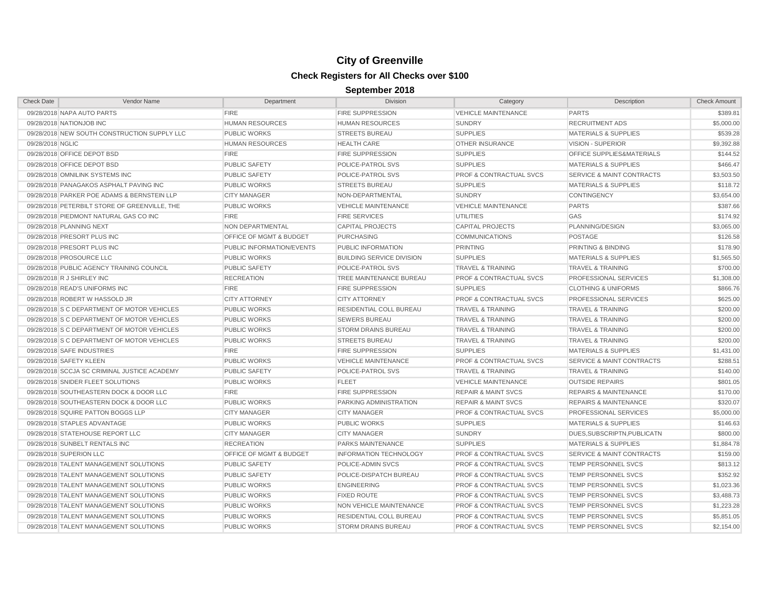| <b>Check Date</b> | Vendor Name                                   | Department                         | <b>Division</b>                  | Category                           | Description                          | <b>Check Amount</b> |
|-------------------|-----------------------------------------------|------------------------------------|----------------------------------|------------------------------------|--------------------------------------|---------------------|
|                   | 09/28/2018 NAPA AUTO PARTS                    | <b>FIRE</b>                        | <b>FIRE SUPPRESSION</b>          | <b>VEHICLE MAINTENANCE</b>         | <b>PARTS</b>                         | \$389.81            |
|                   | 09/28/2018 NATIONJOB INC                      | <b>HUMAN RESOURCES</b>             | <b>HUMAN RESOURCES</b>           | <b>SUNDRY</b>                      | <b>RECRUITMENT ADS</b>               | \$5,000.00          |
|                   | 09/28/2018 NEW SOUTH CONSTRUCTION SUPPLY LLC  | <b>PUBLIC WORKS</b>                | <b>STREETS BUREAU</b>            | <b>SUPPLIES</b>                    | <b>MATERIALS &amp; SUPPLIES</b>      | \$539.28            |
| 09/28/2018 NGLIC  |                                               | <b>HUMAN RESOURCES</b>             | <b>HEALTH CARE</b>               | <b>OTHER INSURANCE</b>             | <b>VISION - SUPERIOR</b>             | \$9,392.88          |
|                   | 09/28/2018 OFFICE DEPOT BSD                   | <b>FIRE</b>                        | <b>FIRE SUPPRESSION</b>          | <b>SUPPLIES</b>                    | OFFICE SUPPLIES&MATERIALS            | \$144.52            |
|                   | 09/28/2018 OFFICE DEPOT BSD                   | <b>PUBLIC SAFETY</b>               | POLICE-PATROL SVS                | <b>SUPPLIES</b>                    | <b>MATERIALS &amp; SUPPLIES</b>      | \$466.47            |
|                   | 09/28/2018 OMNILINK SYSTEMS INC               | <b>PUBLIC SAFETY</b>               | POLICE-PATROL SVS                | <b>PROF &amp; CONTRACTUAL SVCS</b> | <b>SERVICE &amp; MAINT CONTRACTS</b> | \$3,503.50          |
|                   | 09/28/2018 PANAGAKOS ASPHALT PAVING INC       | <b>PUBLIC WORKS</b>                | <b>STREETS BUREAU</b>            | <b>SUPPLIES</b>                    | <b>MATERIALS &amp; SUPPLIES</b>      | \$118.72            |
|                   | 09/28/2018 PARKER POE ADAMS & BERNSTEIN LLP   | <b>CITY MANAGER</b>                | NON-DEPARTMENTAL                 | <b>SUNDRY</b>                      | <b>CONTINGENCY</b>                   | \$3,654.00          |
|                   | 09/28/2018 PETERBILT STORE OF GREENVILLE, THE | <b>PUBLIC WORKS</b>                | <b>VEHICLE MAINTENANCE</b>       | <b>VEHICLE MAINTENANCE</b>         | <b>PARTS</b>                         | \$387.66            |
|                   | 09/28/2018 PIEDMONT NATURAL GAS CO INC        | <b>FIRE</b>                        | <b>FIRE SERVICES</b>             | <b>UTILITIES</b>                   | GAS                                  | \$174.92            |
|                   | 09/28/2018 PLANNING NEXT                      | NON DEPARTMENTAL                   | <b>CAPITAL PROJECTS</b>          | <b>CAPITAL PROJECTS</b>            | PLANNING/DESIGN                      | \$3,065.00          |
|                   | 09/28/2018 PRESORT PLUS INC                   | <b>OFFICE OF MGMT &amp; BUDGET</b> | <b>PURCHASING</b>                | <b>COMMUNICATIONS</b>              | <b>POSTAGE</b>                       | \$126.58            |
|                   | 09/28/2018 PRESORT PLUS INC                   | PUBLIC INFORMATION/EVENTS          | PUBLIC INFORMATION               | <b>PRINTING</b>                    | PRINTING & BINDING                   | \$178.90            |
|                   | 09/28/2018 PROSOURCE LLC                      | <b>PUBLIC WORKS</b>                | <b>BUILDING SERVICE DIVISION</b> | <b>SUPPLIES</b>                    | <b>MATERIALS &amp; SUPPLIES</b>      | \$1,565.50          |
|                   | 09/28/2018 PUBLIC AGENCY TRAINING COUNCIL     | <b>PUBLIC SAFETY</b>               | POLICE-PATROL SVS                | <b>TRAVEL &amp; TRAINING</b>       | <b>TRAVEL &amp; TRAINING</b>         | \$700.00            |
|                   | 09/28/2018 R J SHIRLEY INC                    | <b>RECREATION</b>                  | TREE MAINTENANCE BUREAU          | <b>PROF &amp; CONTRACTUAL SVCS</b> | PROFESSIONAL SERVICES                | \$1,308.00          |
|                   | 09/28/2018 READ'S UNIFORMS INC                | <b>FIRE</b>                        | <b>FIRE SUPPRESSION</b>          | <b>SUPPLIES</b>                    | <b>CLOTHING &amp; UNIFORMS</b>       | \$866.76            |
|                   | 09/28/2018 ROBERT W HASSOLD JR                | <b>CITY ATTORNEY</b>               | <b>CITY ATTORNEY</b>             | <b>PROF &amp; CONTRACTUAL SVCS</b> | PROFESSIONAL SERVICES                | \$625.00            |
|                   | 09/28/2018 S C DEPARTMENT OF MOTOR VEHICLES   | <b>PUBLIC WORKS</b>                | RESIDENTIAL COLL BUREAU          | <b>TRAVEL &amp; TRAINING</b>       | <b>TRAVEL &amp; TRAINING</b>         | \$200.00            |
|                   | 09/28/2018 S C DEPARTMENT OF MOTOR VEHICLES   | <b>PUBLIC WORKS</b>                | <b>SEWERS BUREAU</b>             | <b>TRAVEL &amp; TRAINING</b>       | <b>TRAVEL &amp; TRAINING</b>         | \$200.00            |
|                   | 09/28/2018 S C DEPARTMENT OF MOTOR VEHICLES   | <b>PUBLIC WORKS</b>                | <b>STORM DRAINS BUREAU</b>       | <b>TRAVEL &amp; TRAINING</b>       | <b>TRAVEL &amp; TRAINING</b>         | \$200.00            |
|                   | 09/28/2018 S C DEPARTMENT OF MOTOR VEHICLES   | <b>PUBLIC WORKS</b>                | <b>STREETS BUREAU</b>            | <b>TRAVEL &amp; TRAINING</b>       | <b>TRAVEL &amp; TRAINING</b>         | \$200.00            |
|                   | 09/28/2018 SAFE INDUSTRIES                    | <b>FIRE</b>                        | <b>FIRE SUPPRESSION</b>          | <b>SUPPLIES</b>                    | <b>MATERIALS &amp; SUPPLIES</b>      | \$1,431.00          |
|                   | 09/28/2018 SAFETY KLEEN                       | <b>PUBLIC WORKS</b>                | <b>VEHICLE MAINTENANCE</b>       | <b>PROF &amp; CONTRACTUAL SVCS</b> | <b>SERVICE &amp; MAINT CONTRACTS</b> | \$288.51            |
|                   | 09/28/2018 SCCJA SC CRIMINAL JUSTICE ACADEMY  | <b>PUBLIC SAFETY</b>               | POLICE-PATROL SVS                | <b>TRAVEL &amp; TRAINING</b>       | <b>TRAVEL &amp; TRAINING</b>         | \$140.00            |
|                   | 09/28/2018 SNIDER FLEET SOLUTIONS             | <b>PUBLIC WORKS</b>                | <b>FLEET</b>                     | <b>VEHICLE MAINTENANCE</b>         | <b>OUTSIDE REPAIRS</b>               | \$801.05            |
|                   | 09/28/2018 SOUTHEASTERN DOCK & DOOR LLC       | <b>FIRE</b>                        | <b>FIRE SUPPRESSION</b>          | <b>REPAIR &amp; MAINT SVCS</b>     | <b>REPAIRS &amp; MAINTENANCE</b>     | \$170.00            |
|                   | 09/28/2018 SOUTHEASTERN DOCK & DOOR LLC       | <b>PUBLIC WORKS</b>                | PARKING ADMINISTRATION           | <b>REPAIR &amp; MAINT SVCS</b>     | <b>REPAIRS &amp; MAINTENANCE</b>     | \$320.07            |
|                   | 09/28/2018 SQUIRE PATTON BOGGS LLP            | <b>CITY MANAGER</b>                | <b>CITY MANAGER</b>              | <b>PROF &amp; CONTRACTUAL SVCS</b> | PROFESSIONAL SERVICES                | \$5,000.00          |
|                   | 09/28/2018 STAPLES ADVANTAGE                  | <b>PUBLIC WORKS</b>                | <b>PUBLIC WORKS</b>              | <b>SUPPLIES</b>                    | <b>MATERIALS &amp; SUPPLIES</b>      | \$146.63            |
|                   | 09/28/2018 STATEHOUSE REPORT LLC              | <b>CITY MANAGER</b>                | <b>CITY MANAGER</b>              | <b>SUNDRY</b>                      | DUES, SUBSCRIPTN, PUBLICATN          | \$800.00            |
|                   | 09/28/2018 SUNBELT RENTALS INC                | <b>RECREATION</b>                  | <b>PARKS MAINTENANCE</b>         | <b>SUPPLIES</b>                    | <b>MATERIALS &amp; SUPPLIES</b>      | \$1,884.78          |
|                   | 09/28/2018 SUPERION LLC                       | OFFICE OF MGMT & BUDGET            | <b>INFORMATION TECHNOLOGY</b>    | <b>PROF &amp; CONTRACTUAL SVCS</b> | <b>SERVICE &amp; MAINT CONTRACTS</b> | \$159.00            |
|                   | 09/28/2018 TALENT MANAGEMENT SOLUTIONS        | <b>PUBLIC SAFETY</b>               | POLICE-ADMIN SVCS                | <b>PROF &amp; CONTRACTUAL SVCS</b> | <b>TEMP PERSONNEL SVCS</b>           | \$813.12            |
|                   | 09/28/2018 TALENT MANAGEMENT SOLUTIONS        | <b>PUBLIC SAFETY</b>               | POLICE-DISPATCH BUREAU           | <b>PROF &amp; CONTRACTUAL SVCS</b> | <b>TEMP PERSONNEL SVCS</b>           | \$352.92            |
|                   | 09/28/2018 TALENT MANAGEMENT SOLUTIONS        | <b>PUBLIC WORKS</b>                | <b>ENGINEERING</b>               | <b>PROF &amp; CONTRACTUAL SVCS</b> | <b>TEMP PERSONNEL SVCS</b>           | \$1,023.36          |
|                   | 09/28/2018 TALENT MANAGEMENT SOLUTIONS        | <b>PUBLIC WORKS</b>                | <b>FIXED ROUTE</b>               | <b>PROF &amp; CONTRACTUAL SVCS</b> | <b>TEMP PERSONNEL SVCS</b>           | \$3,488.73          |
|                   | 09/28/2018 TALENT MANAGEMENT SOLUTIONS        | <b>PUBLIC WORKS</b>                | <b>NON VEHICLE MAINTENANCE</b>   | <b>PROF &amp; CONTRACTUAL SVCS</b> | <b>TEMP PERSONNEL SVCS</b>           | \$1,223.28          |
|                   | 09/28/2018 TALENT MANAGEMENT SOLUTIONS        | <b>PUBLIC WORKS</b>                | <b>RESIDENTIAL COLL BUREAU</b>   | <b>PROF &amp; CONTRACTUAL SVCS</b> | <b>TEMP PERSONNEL SVCS</b>           | \$5,851.05          |
|                   | 09/28/2018 TALENT MANAGEMENT SOLUTIONS        | <b>PUBLIC WORKS</b>                | <b>STORM DRAINS BUREAU</b>       | <b>PROF &amp; CONTRACTUAL SVCS</b> | <b>TEMP PERSONNEL SVCS</b>           | \$2,154.00          |